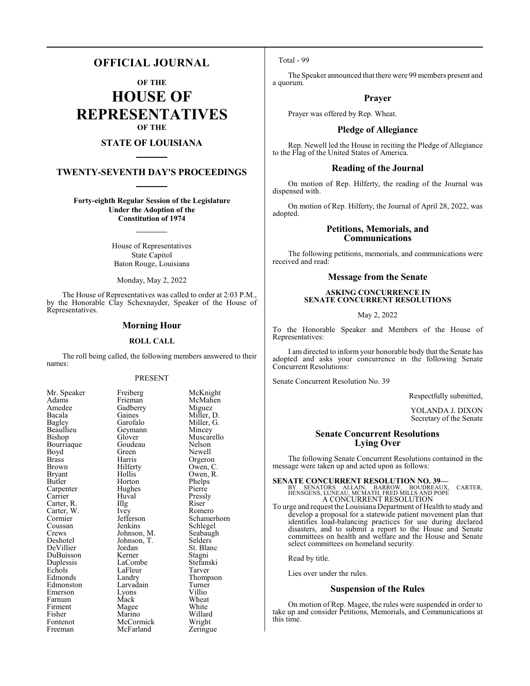# **OFFICIAL JOURNAL**

**OF THE**

**HOUSE OF REPRESENTATIVES OF THE**

# **STATE OF LOUISIANA**

# **TWENTY-SEVENTH DAY'S PROCEEDINGS**

**Forty-eighth Regular Session of the Legislature Under the Adoption of the Constitution of 1974**

> House of Representatives State Capitol Baton Rouge, Louisiana

Monday, May 2, 2022

The House of Representatives was called to order at 2:03 P.M., by the Honorable Clay Schexnayder, Speaker of the House of Representatives.

### **Morning Hour**

#### **ROLL CALL**

The roll being called, the following members answered to their names:

#### PRESENT

| Mr. Speaker          |
|----------------------|
| Adams                |
| Amedee               |
| Bacala               |
| Bagley               |
| Beaullieu            |
| Bishop               |
| Bourriaque           |
| Boyd                 |
| <b>Brass</b>         |
| Brown                |
| Bryant               |
| Butler               |
| Carpenter<br>Carrier |
|                      |
| Carter, R.           |
| Carter, W.           |
| Carter,<br>Cormier   |
|                      |
| Crews                |
| Deshotel             |
| DeVillier            |
| DuBuisson            |
| Duplessis            |
| Echols               |
| Edmonds              |
| Edmonston            |
| Emerson              |
| Farnum               |
| Firment              |
| Fisher               |
| Fontenot             |
| Freeman              |

Freiberg McKnight<br>Frieman McMahen McMahen<br>Miguez Gadberry<br>Gaines Gaines Miller, D.<br>Garofalo Miller, G. Miller, G.<br>Mincey Geymann<br>Glover Muscarello<br>Nelson Goudeau<br>Green Green Newell<br>Harris Orgeror Harris Orgeron<br>Hilferty Owen, C Hilferty Owen, C.<br>Hollis Owen, R. Hollis Owen, R.<br>Horton Phelps Phelps<br>Pierre Huval Pressly<br>Illg Riser Carter, R. Illg Riser Ivey Romero<br>Jefferson Schamer Jefferson Schamerhorn<br>Jenkins Schlegel Schlegel<br>Seabaugh Johnson, M.<br>Johnson, T.<br>Selders Johnson, T.<br>Jordan St. Blanc<br>Stagni Kerner Stagni<br>LaCombe Stefanski LaCombe Stefans<br>LaFleur Tarver Thompson<br>Turner Larvadain Turner<br>Lyons Villio Extends Lyons Villio<br>
Mack Wheat Farnum Mack Wheat Magee White<br>Marino Willard Marino Willard<br>
McCormick Wright McCormick Wright<br>
McFarland Zeringue McFarland

Hughes<br>Huval

LaFleur<br>Landry

Total - 99

The Speaker announced that there were 99 members present and a quorum.

# **Prayer**

Prayer was offered by Rep. Wheat.

### **Pledge of Allegiance**

Rep. Newell led the House in reciting the Pledge of Allegiance to the Flag of the United States of America.

#### **Reading of the Journal**

On motion of Rep. Hilferty, the reading of the Journal was dispensed with.

On motion of Rep. Hilferty, the Journal of April 28, 2022, was adopted.

# **Petitions, Memorials, and Communications**

The following petitions, memorials, and communications were received and read:

### **Message from the Senate**

#### **ASKING CONCURRENCE IN SENATE CONCURRENT RESOLUTIONS**

May 2, 2022

To the Honorable Speaker and Members of the House of Representatives:

I am directed to inform your honorable body that the Senate has adopted and asks your concurrence in the following Senate Concurrent Resolutions:

Senate Concurrent Resolution No. 39

Respectfully submitted,

YOLANDA J. DIXON Secretary of the Senate

# **Senate Concurrent Resolutions Lying Over**

The following Senate Concurrent Resolutions contained in the message were taken up and acted upon as follows:

**SENATE CONCURRENT RESOLUTION NO. 39—**<br>
BY SENATORS ALLAIN, BARROW, BOUDREAUX,<br>
HENSGENS, LUNEAU, MCMATH, FRED MILLS AND POPE<br>
A CONCURRENT RESOLUTION<br>
A CONCURRENT RESOLUTION

To urge and request the Louisiana Department of Health to study and develop a proposal for a statewide patient movement plan that identifies load-balancing practices for use during declared disasters, and to submit a report to the House and Senate committees on health and welfare and the House and Senate select committees on homeland security.

Read by title.

Lies over under the rules.

### **Suspension of the Rules**

On motion of Rep. Magee, the rules were suspended in order to take up and consider Petitions, Memorials, and Communications at this time.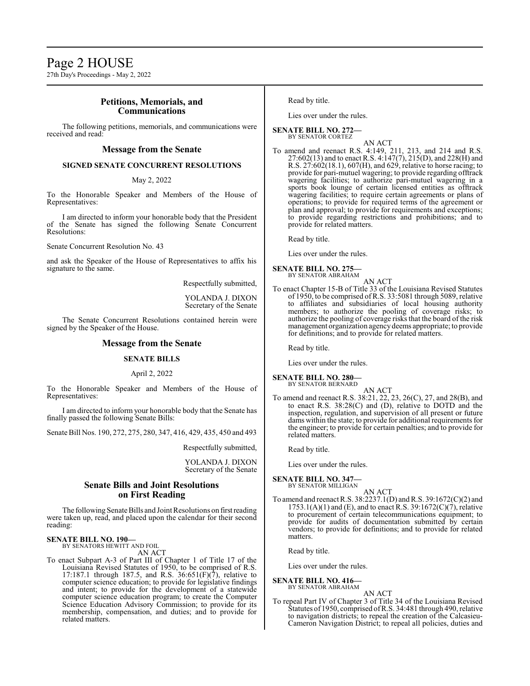27th Day's Proceedings - May 2, 2022

# **Petitions, Memorials, and Communications**

The following petitions, memorials, and communications were received and read:

### **Message from the Senate**

### **SIGNED SENATE CONCURRENT RESOLUTIONS**

#### May 2, 2022

To the Honorable Speaker and Members of the House of Representatives:

I am directed to inform your honorable body that the President of the Senate has signed the following Senate Concurrent Resolutions:

Senate Concurrent Resolution No. 43

and ask the Speaker of the House of Representatives to affix his signature to the same.

Respectfully submitted,

YOLANDA J. DIXON Secretary of the Senate

The Senate Concurrent Resolutions contained herein were signed by the Speaker of the House.

# **Message from the Senate**

### **SENATE BILLS**

April 2, 2022

To the Honorable Speaker and Members of the House of Representatives:

I am directed to inform your honorable body that the Senate has finally passed the following Senate Bills:

Senate Bill Nos. 190, 272, 275, 280, 347, 416, 429, 435, 450 and 493

Respectfully submitted,

YOLANDA J. DIXON Secretary of the Senate

# **Senate Bills and Joint Resolutions on First Reading**

The following Senate Bills and Joint Resolutions on firstreading were taken up, read, and placed upon the calendar for their second reading:

#### **SENATE BILL NO. 190—** BY SENATORS HEWITT AND FOIL

AN ACT

To enact Subpart A-3 of Part III of Chapter 1 of Title 17 of the Louisiana Revised Statutes of 1950, to be comprised of R.S. 17:187.1 through 187.5, and R.S. 36:651(F)(7), relative to computer science education; to provide for legislative findings and intent; to provide for the development of a statewide computer science education program; to create the Computer Science Education Advisory Commission; to provide for its membership, compensation, and duties; and to provide for related matters.

Read by title.

Lies over under the rules.

**SENATE BILL NO. 272—** BY SENATOR CORTEZ

AN ACT

To amend and reenact R.S. 4:149, 211, 213, and 214 and R.S. 27:602(13) and to enact R.S. 4:147(7), 215(D), and 228(H) and R.S. 27:602(18.1), 607(H), and 629, relative to horse racing; to provide for pari-mutuel wagering; to provide regarding offtrack wagering facilities; to authorize pari-mutuel wagering in a sports book lounge of certain licensed entities as offtrack wagering facilities; to require certain agreements or plans of operations; to provide for required terms of the agreement or plan and approval; to provide for requirements and exceptions; to provide regarding restrictions and prohibitions; and to provide for related matters.

Read by title.

Lies over under the rules.

#### **SENATE BILL NO. 275—** BY SENATOR ABRAHAM

AN ACT

To enact Chapter 15-B of Title 33 of the Louisiana Revised Statutes of 1950, to be comprised ofR.S. 33:5081 through 5089, relative to affiliates and subsidiaries of local housing authority members; to authorize the pooling of coverage risks; to authorize the pooling of coverage risks that the board of the risk management organization agencydeems appropriate; to provide for definitions; and to provide for related matters.

Read by title.

Lies over under the rules.

#### **SENATE BILL NO. 280—** BY SENATOR BERNARD

AN ACT To amend and reenact R.S. 38:21, 22, 23, 26(C), 27, and 28(B), and to enact R.S. 38:28(C) and (D), relative to DOTD and the inspection, regulation, and supervision of all present or future dams within the state; to provide for additional requirements for the engineer; to provide for certain penalties; and to provide for related matters.

Read by title.

Lies over under the rules.

#### **SENATE BILL NO. 347—** BY SENATOR MILLIGAN

- AN ACT
- To amend and reenact R.S. 38:2237.1(D) andR.S. 39:1672(C)(2) and  $1753.1(A)(1)$  and (E), and to enact R.S.  $39:1672(C)(7)$ , relative to procurement of certain telecommunications equipment; to provide for audits of documentation submitted by certain vendors; to provide for definitions; and to provide for related matters.

Read by title.

Lies over under the rules.

# **SENATE BILL NO. 416—**

BY SENATOR ABRAHAM AN ACT

To repeal Part IV of Chapter 3 of Title 34 of the Louisiana Revised Statutes of 1950, comprised ofR.S. 34:481 through 490, relative to navigation districts; to repeal the creation of the Calcasieu-Cameron Navigation District; to repeal all policies, duties and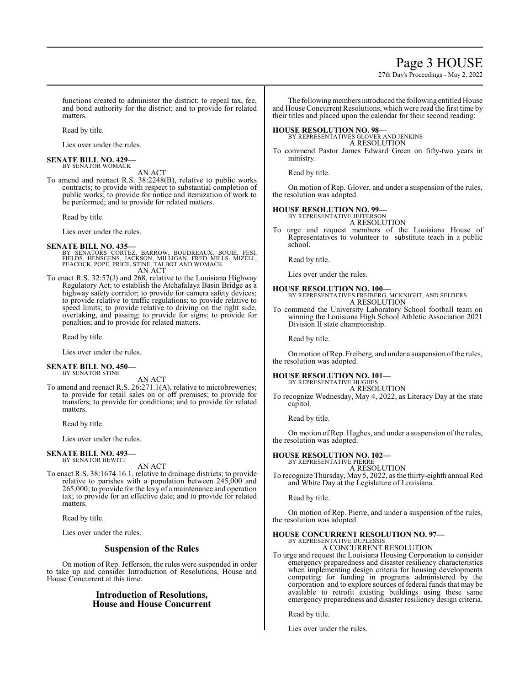# Page 3 HOUSE

27th Day's Proceedings - May 2, 2022

functions created to administer the district; to repeal tax, fee, and bond authority for the district; and to provide for related matters.

Read by title.

Lies over under the rules.

#### **SENATE BILL NO. 429—** BY SENATOR WOMACK

AN ACT

To amend and reenact R.S. 38:2248(B), relative to public works contracts; to provide with respect to substantial completion of public works; to provide for notice and itemization of work to be performed; and to provide for related matters.

Read by title.

Lies over under the rules.

#### **SENATE BILL NO. 435—**

BY SENATORS CORTEZ, BARROW, BOUDREAUX, BOUIE, FESI,<br>FIELDS, HENSGENS, JACKSON, MILLIGAN, FRED MILLS, MIZELL,<br>PEACOCK,POPE,PRICE,STINE,TALBOT AND WOMACK AN ACT

To enact R.S. 32:57(J) and 268, relative to the Louisiana Highway Regulatory Act; to establish the Atchafalaya Basin Bridge as a highway safety corridor; to provide for camera safety devices; to provide relative to traffic regulations; to provide relative to speed limits; to provide relative to driving on the right side, overtaking, and passing; to provide for signs; to provide for penalties; and to provide for related matters.

Read by title.

Lies over under the rules.

# **SENATE BILL NO. 450—**

BY SENATOR STINE

AN ACT

To amend and reenact R.S. 26:271.1(A), relative to microbreweries; to provide for retail sales on or off premises; to provide for transfers; to provide for conditions; and to provide for related matters.

Read by title.

Lies over under the rules.

#### **SENATE BILL NO. 493—** BY SENATOR HEWITT

AN ACT

To enact R.S. 38:1674.16.1, relative to drainage districts; to provide relative to parishes with a population between 245,000 and 265,000; to provide for the levy of a maintenance and operation tax; to provide for an effective date; and to provide for related matters.

Read by title.

Lies over under the rules.

### **Suspension of the Rules**

On motion of Rep. Jefferson, the rules were suspended in order to take up and consider Introduction of Resolutions, House and House Concurrent at this time.

# **Introduction of Resolutions, House and House Concurrent**

The following members introduced the following entitled House and House Concurrent Resolutions, which were read the first time by their titles and placed upon the calendar for their second reading:

#### **HOUSE RESOLUTION NO. 98—**

BY REPRESENTATIVES GLOVER AND JENKINS A RESOLUTION

To commend Pastor James Edward Green on fifty-two years in ministry.

Read by title.

On motion of Rep. Glover, and under a suspension of the rules, the resolution was adopted.

### **HOUSE RESOLUTION NO. 99—**

BY REPRESENTATIVE JEFFERSON A RESOLUTION

To urge and request members of the Louisiana House of Representatives to volunteer to substitute teach in a public school.

Read by title.

Lies over under the rules.

#### **HOUSE RESOLUTION NO. 100—**

BY REPRESENTATIVES FREIBERG, MCKNIGHT, AND SELDERS A RESOLUTION

To commend the University Laboratory School football team on winning the Louisiana High School Athletic Association 2021 Division II state championship.

Read by title.

On motion of Rep. Freiberg, and under a suspension of the rules, the resolution was adopted.

# **HOUSE RESOLUTION NO. 101—** BY REPRESENTATIVE HUGHES

A RESOLUTION

To recognize Wednesday, May 4, 2022, as Literacy Day at the state capitol.

Read by title.

On motion of Rep. Hughes, and under a suspension of the rules, the resolution was adopted.

# **HOUSE RESOLUTION NO. 102—**

BY REPRESENTATIVE PIERRE A RESOLUTION

To recognize Thursday, May 5, 2022, as the thirty-eighth annual Red and White Day at the Legislature of Louisiana.

Read by title.

On motion of Rep. Pierre, and under a suspension of the rules, the resolution was adopted.

#### **HOUSE CONCURRENT RESOLUTION NO. 97—** BY REPRESENTATIVE DUPLESSIS

A CONCURRENT RESOLUTION

To urge and request the Louisiana Housing Corporation to consider emergency preparedness and disaster resiliency characteristics when implementing design criteria for housing developments competing for funding in programs administered by the corporation and to explore sources of federal funds that may be available to retrofit existing buildings using these same emergency preparedness and disaster resiliency design criteria.

Read by title.

Lies over under the rules.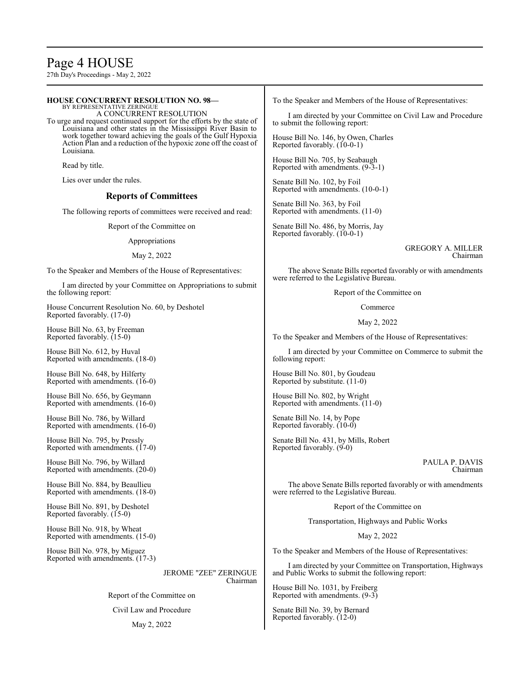# Page 4 HOUSE

27th Day's Proceedings - May 2, 2022

#### **HOUSE CONCURRENT RESOLUTION NO. 98—** BY REPRESENTATIVE ZERINGUE A CONCURRENT RESOLUTION To urge and request continued support for the efforts by the state of Louisiana and other states in the Mississippi River Basin to work together toward achieving the goals of the Gulf Hypoxia Action Plan and a reduction of the hypoxic zone off the coast of Louisiana. Read by title. Lies over under the rules. **Reports of Committees** The following reports of committees were received and read: Report of the Committee on Appropriations May 2, 2022 To the Speaker and Members of the House of Representatives: I am directed by your Committee on Appropriations to submit the following report: House Concurrent Resolution No. 60, by Deshotel Reported favorably. (17-0) House Bill No. 63, by Freeman Reported favorably. (15-0) House Bill No. 612, by Huval Reported with amendments. (18-0) House Bill No. 648, by Hilferty Reported with amendments. (16-0) House Bill No. 656, by Geymann Reported with amendments. (16-0) House Bill No. 786, by Willard Reported with amendments. (16-0) House Bill No. 795, by Pressly Reported with amendments. (17-0) House Bill No. 796, by Willard to submit the following report: Reported favorably. (10-0-1) House Bill No. 705, by Seabaugh Senate Bill No. 102, by Foil Senate Bill No. 363, by Foil Reported with amendments. (11-0) Senate Bill No. 486, by Morris, Jay Reported favorably. (10-0-1) following report: House Bill No. 801, by Goudeau Reported by substitute. (11-0) House Bill No. 802, by Wright Reported with amendments. (11-0) Senate Bill No. 14, by Pope Reported favorably. (10-0) Reported favorably. (9-0)

Chairman

The above Senate Bills reported favorably or with amendments were referred to the Legislative Bureau.

Report of the Committee on

I am directed by your Committee on Transportation, Highways and Public Works to submit the following report:

House Bill No. 1031, by Freiberg Reported with amendments. (9-3)

Senate Bill No. 39, by Bernard Reported favorably. (12-0)

Reported with amendments. (20-0)

House Bill No. 884, by Beaullieu Reported with amendments. (18-0)

House Bill No. 891, by Deshotel Reported favorably. (15-0)

House Bill No. 918, by Wheat Reported with amendments. (15-0)

House Bill No. 978, by Miguez Reported with amendments. (17-3)

> JEROME "ZEE" ZERINGUE Chairman

Report of the Committee on

Civil Law and Procedure

#### May 2, 2022

To the Speaker and Members of the House of Representatives:

I am directed by your Committee on Civil Law and Procedure

House Bill No. 146, by Owen, Charles

Reported with amendments. (9-3-1)

Reported with amendments. (10-0-1)

GREGORY A. MILLER Chairman

The above Senate Bills reported favorably or with amendments were referred to the Legislative Bureau.

Report of the Committee on

Commerce

#### May 2, 2022

To the Speaker and Members of the House of Representatives:

I am directed by your Committee on Commerce to submit the

Senate Bill No. 431, by Mills, Robert

PAULA P. DAVIS

Transportation, Highways and Public Works

May 2, 2022

To the Speaker and Members of the House of Representatives: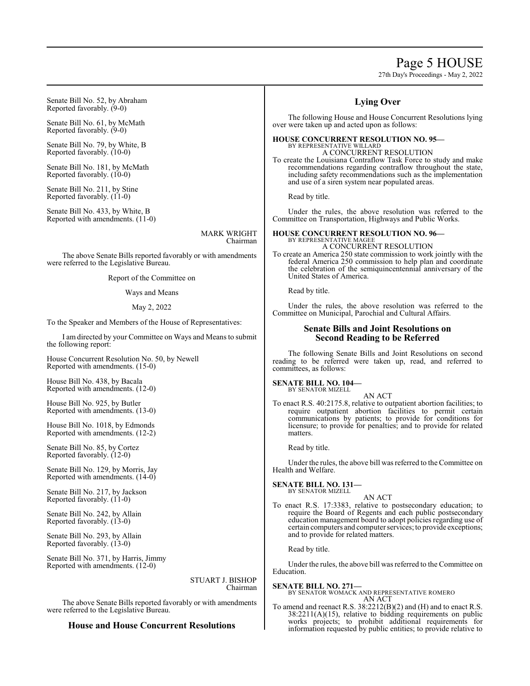# Page 5 HOUSE

27th Day's Proceedings - May 2, 2022

Senate Bill No. 52, by Abraham Reported favorably. (9-0)

Senate Bill No. 61, by McMath Reported favorably. (9-0)

Senate Bill No. 79, by White, B Reported favorably. (10-0)

Senate Bill No. 181, by McMath Reported favorably. (10-0)

Senate Bill No. 211, by Stine Reported favorably. (11-0)

Senate Bill No. 433, by White, B Reported with amendments. (11-0)

> MARK WRIGHT Chairman

The above Senate Bills reported favorably or with amendments were referred to the Legislative Bureau.

Report of the Committee on

Ways and Means

#### May 2, 2022

To the Speaker and Members of the House of Representatives:

I am directed by your Committee on Ways and Means to submit the following report:

House Concurrent Resolution No. 50, by Newell Reported with amendments. (15-0)

House Bill No. 438, by Bacala Reported with amendments. (12-0)

House Bill No. 925, by Butler Reported with amendments. (13-0)

House Bill No. 1018, by Edmonds Reported with amendments. (12-2)

Senate Bill No. 85, by Cortez Reported favorably. (12-0)

Senate Bill No. 129, by Morris, Jay Reported with amendments. (14-0)

Senate Bill No. 217, by Jackson Reported favorably. (11-0)

Senate Bill No. 242, by Allain Reported favorably. (13-0)

Senate Bill No. 293, by Allain Reported favorably. (13-0)

Senate Bill No. 371, by Harris, Jimmy Reported with amendments. (12-0)

> STUART J. BISHOP Chairman

The above Senate Bills reported favorably or with amendments were referred to the Legislative Bureau.

# **House and House Concurrent Resolutions**

# **Lying Over**

The following House and House Concurrent Resolutions lying over were taken up and acted upon as follows:

#### **HOUSE CONCURRENT RESOLUTION NO. 95—** BY REPRESENTATIVE WILLARD A CONCURRENT RESOLUTION

To create the Louisiana Contraflow Task Force to study and make recommendations regarding contraflow throughout the state, including safety recommendations such as the implementation and use of a siren system near populated areas.

Read by title.

Under the rules, the above resolution was referred to the Committee on Transportation, Highways and Public Works.

# **HOUSE CONCURRENT RESOLUTION NO. 96—** BY REPRESENTATIVE MAGEE

A CONCURRENT RESOLUTION To create an America 250 state commission to work jointly with the federal America 250 commission to help plan and coordinate the celebration of the semiquincentennial anniversary of the United States of America.

Read by title.

Under the rules, the above resolution was referred to the Committee on Municipal, Parochial and Cultural Affairs.

# **Senate Bills and Joint Resolutions on Second Reading to be Referred**

The following Senate Bills and Joint Resolutions on second reading to be referred were taken up, read, and referred to committees, as follows:

#### **SENATE BILL NO. 104—**

BY SENATOR MIZELL AN ACT

To enact R.S. 40:2175.8, relative to outpatient abortion facilities; to require outpatient abortion facilities to permit certain communications by patients; to provide for conditions for licensure; to provide for penalties; and to provide for related matters.

Read by title.

Under the rules, the above bill was referred to the Committee on Health and Welfare.

#### **SENATE BILL NO. 131—** BY SENATOR MIZELL

AN ACT

To enact R.S. 17:3383, relative to postsecondary education; to require the Board of Regents and each public postsecondary education management board to adopt policies regarding use of certain computers and computer services; to provide exceptions; and to provide for related matters.

Read by title.

Under the rules, the above bill was referred to the Committee on Education.

**SENATE BILL NO. 271—**

#### BY SENATOR WOMACK AND REPRESENTATIVE ROMERO AN ACT

To amend and reenact R.S. 38:2212(B)(2) and (H) and to enact R.S.  $38:2211(A)(15)$ , relative to bidding requirements on public works projects; to prohibit additional requirements for information requested by public entities; to provide relative to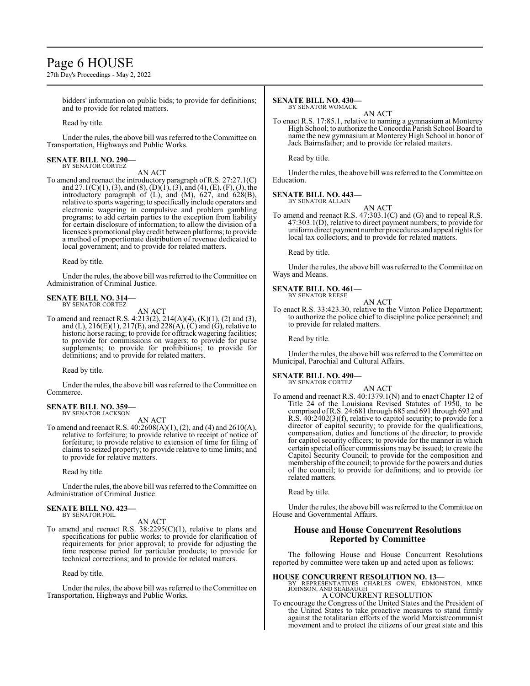# Page 6 HOUSE

27th Day's Proceedings - May 2, 2022

bidders' information on public bids; to provide for definitions; and to provide for related matters.

Read by title.

Under the rules, the above bill was referred to the Committee on Transportation, Highways and Public Works.

#### **SENATE BILL NO. 290—** BY SENATOR CORTEZ

AN ACT

To amend and reenact the introductory paragraph of R.S. 27:27.1(C) and 27.1(C)(1), (3), and (8), (D)(1), (3), and (4), (E), (F), (J), the introductory paragraph of (L), and (M), 627, and 628(B), relative to sports wagering; to specifically include operators and electronic wagering in compulsive and problem gambling programs; to add certain parties to the exception from liability for certain disclosure of information; to allow the division of a licensee's promotional playcredit between platforms; to provide a method of proportionate distribution of revenue dedicated to local government; and to provide for related matters.

Read by title.

Under the rules, the above bill was referred to the Committee on Administration of Criminal Justice.

# **SENATE BILL NO. 314—** BY SENATOR CORTEZ

AN ACT

To amend and reenact R.S.  $4:213(2), 214(A)(4), (K)(1), (2)$  and (3), and (L),  $216(E)(1)$ ,  $217(E)$ , and  $228(A)$ ,  $(C)$  and  $(G)$ , relative to historic horse racing; to provide for offtrack wagering facilities; to provide for commissions on wagers; to provide for purse supplements; to provide for prohibitions; to provide for definitions; and to provide for related matters.

Read by title.

Under the rules, the above bill was referred to the Committee on Commerce.

#### **SENATE BILL NO. 359—** BY SENATOR JACKSON

AN ACT

To amend and reenact R.S. 40:2608(A)(1), (2), and (4) and 2610(A), relative to forfeiture; to provide relative to receipt of notice of forfeiture; to provide relative to extension of time for filing of claims to seized property; to provide relative to time limits; and to provide for relative matters.

Read by title.

Under the rules, the above bill was referred to theCommittee on Administration of Criminal Justice.

#### **SENATE BILL NO. 423—** BY SENATOR FOIL

AN ACT

To amend and reenact R.S.  $38:2295(C)(1)$ , relative to plans and specifications for public works; to provide for clarification of requirements for prior approval; to provide for adjusting the time response period for particular products; to provide for technical corrections; and to provide for related matters.

Read by title.

Under the rules, the above bill was referred to the Committee on Transportation, Highways and Public Works.

# **SENATE BILL NO. 430—**

BY SENATOR WOMACK AN ACT

To enact R.S. 17:85.1, relative to naming a gymnasium at Monterey High School; to authorize the Concordia Parish School Board to name the new gymnasium at Monterey High School in honor of Jack Bairnsfather; and to provide for related matters.

Read by title.

Under the rules, the above bill was referred to the Committee on Education.

# **SENATE BILL NO. 443—**

BY SENATOR ALLAIN

AN ACT To amend and reenact R.S. 47:303.1(C) and (G) and to repeal R.S. 47:303.1(D), relative to direct payment numbers; to provide for uniformdirect payment number procedures and appeal rights for local tax collectors; and to provide for related matters.

Read by title.

Under the rules, the above bill was referred to the Committee on Ways and Means.

# **SENATE BILL NO. 461—** BY SENATOR REESE

AN ACT

To enact R.S. 33:423.30, relative to the Vinton Police Department; to authorize the police chief to discipline police personnel; and to provide for related matters.

Read by title.

Under the rules, the above bill was referred to the Committee on Municipal, Parochial and Cultural Affairs.

# **SENATE BILL NO. 490—**

BY SENATOR CORTEZ

AN ACT To amend and reenact R.S. 40:1379.1(N) and to enact Chapter 12 of Title 24 of the Louisiana Revised Statutes of 1950, to be comprised ofR.S. 24:681 through 685 and 691 through 693 and R.S. 40:2402(3)(f), relative to capitol security; to provide for a director of capitol security; to provide for the qualifications, compensation, duties and functions of the director; to provide for capitol security officers; to provide for the manner in which certain special officer commissions may be issued; to create the Capitol Security Council; to provide for the composition and membership of the council; to provide for the powers and duties of the council; to provide for definitions; and to provide for related matters.

Read by title.

Under the rules, the above bill was referred to the Committee on House and Governmental Affairs.

# **House and House Concurrent Resolutions Reported by Committee**

The following House and House Concurrent Resolutions reported by committee were taken up and acted upon as follows:

**HOUSE CONCURRENT RESOLUTION NO. 13—**<br>BY REPRESENTATIVES CHARLES OWEN, EDMONSTON, MIKE<br>JOHNSON, AND SEABAUGH A CONCURRENT RESOLUTION

To encourage the Congress of the United States and the President of the United States to take proactive measures to stand firmly against the totalitarian efforts of the world Marxist/communist movement and to protect the citizens of our great state and this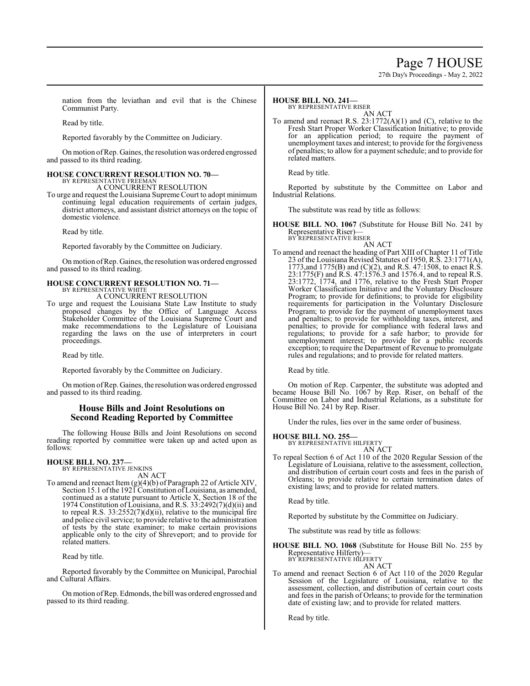# Page 7 HOUSE

27th Day's Proceedings - May 2, 2022

nation from the leviathan and evil that is the Chinese Communist Party.

Read by title.

Reported favorably by the Committee on Judiciary.

Onmotion ofRep. Gaines, the resolution was ordered engrossed and passed to its third reading.

# **HOUSE CONCURRENT RESOLUTION NO. 70—** BY REPRESENTATIVE FREEMAN

A CONCURRENT RESOLUTION

To urge and request the Louisiana Supreme Court to adopt minimum continuing legal education requirements of certain judges, district attorneys, and assistant district attorneys on the topic of domestic violence.

Read by title.

Reported favorably by the Committee on Judiciary.

On motion ofRep. Gaines, the resolution was ordered engrossed and passed to its third reading.

#### **HOUSE CONCURRENT RESOLUTION NO. 71—** BY REPRESENTATIVE WHITE

A CONCURRENT RESOLUTION

To urge and request the Louisiana State Law Institute to study proposed changes by the Office of Language Access Stakeholder Committee of the Louisiana Supreme Court and make recommendations to the Legislature of Louisiana regarding the laws on the use of interpreters in court proceedings.

Read by title.

Reported favorably by the Committee on Judiciary.

On motion ofRep. Gaines, the resolution was ordered engrossed and passed to its third reading.

# **House Bills and Joint Resolutions on Second Reading Reported by Committee**

The following House Bills and Joint Resolutions on second reading reported by committee were taken up and acted upon as follows:

# **HOUSE BILL NO. 237—** BY REPRESENTATIVE JENKINS

AN ACT

To amend and reenact Item (g)(4)(b) of Paragraph 22 of Article XIV, Section 15.1 of the 1921 Constitution of Louisiana, as amended, continued as a statute pursuant to Article X, Section 18 of the 1974 Constitution of Louisiana, and R.S. 33:2492(7)(d)(ii) and to repeal R.S. 33:2552(7)(d)(ii), relative to the municipal fire and police civil service; to provide relative to the administration of tests by the state examiner; to make certain provisions applicable only to the city of Shreveport; and to provide for related matters.

Read by title.

Reported favorably by the Committee on Municipal, Parochial and Cultural Affairs.

On motion ofRep. Edmonds, the bill was ordered engrossed and passed to its third reading.

# **HOUSE BILL NO. 241—**

BY REPRESENTATIVE RISER

AN ACT To amend and reenact R.S. 23:1772(A)(1) and (C), relative to the Fresh Start Proper Worker Classification Initiative; to provide for an application period; to require the payment of unemployment taxes and interest; to provide for the forgiveness of penalties; to allow for a payment schedule; and to provide for related matters.

Read by title.

Reported by substitute by the Committee on Labor and Industrial Relations.

The substitute was read by title as follows:

**HOUSE BILL NO. 1067** (Substitute for House Bill No. 241 by Representative Riser)— BY REPRESENTATIVE RISER

AN ACT

To amend and reenact the heading of Part XIII of Chapter 11 of Title 23 of the Louisiana Revised Statutes of 1950, R.S. 23:1771(A), 1773,and 1775(B) and (C)(2), and R.S. 47:1508, to enact R.S. 23:1775(F) and R.S. 47:1576.3 and 1576.4, and to repeal R.S. 23:1772, 1774, and 1776, relative to the Fresh Start Proper Worker Classification Initiative and the Voluntary Disclosure Program; to provide for definitions; to provide for eligibility requirements for participation in the Voluntary Disclosure Program; to provide for the payment of unemployment taxes and penalties; to provide for withholding taxes, interest, and penalties; to provide for compliance with federal laws and regulations; to provide for a safe harbor; to provide for unemployment interest; to provide for a public records exception; to require the Department of Revenue to promulgate rules and regulations; and to provide for related matters.

Read by title.

On motion of Rep. Carpenter, the substitute was adopted and became House Bill No. 1067 by Rep. Riser, on behalf of the Committee on Labor and Industrial Relations, as a substitute for House Bill No. 241 by Rep. Riser.

Under the rules, lies over in the same order of business.

#### **HOUSE BILL NO. 255—**

BY REPRESENTATIVE HILFERTY AN ACT

To repeal Section 6 of Act 110 of the 2020 Regular Session of the Legislature of Louisiana, relative to the assessment, collection, and distribution of certain court costs and fees in the parish of Orleans; to provide relative to certain termination dates of existing laws; and to provide for related matters.

Read by title.

Reported by substitute by the Committee on Judiciary.

The substitute was read by title as follows:

**HOUSE BILL NO. 1068** (Substitute for House Bill No. 255 by Representative Hilferty)— BY REPRESENTATIVE HILFERTY

AN ACT

To amend and reenact Section 6 of Act 110 of the 2020 Regular Session of the Legislature of Louisiana, relative to the assessment, collection, and distribution of certain court costs and fees in the parish of Orleans; to provide for the termination date of existing law; and to provide for related matters.

Read by title.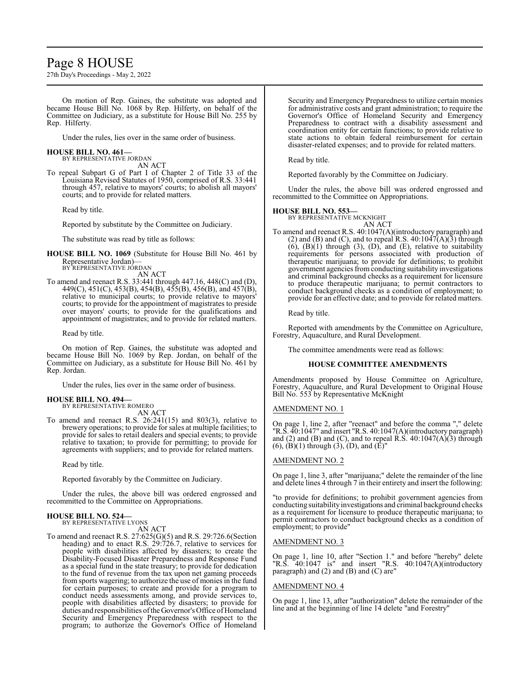# Page 8 HOUSE

27th Day's Proceedings - May 2, 2022

On motion of Rep. Gaines, the substitute was adopted and became House Bill No. 1068 by Rep. Hilferty, on behalf of the Committee on Judiciary, as a substitute for House Bill No. 255 by Rep. Hilferty.

Under the rules, lies over in the same order of business.

# **HOUSE BILL NO. 461—**

BY REPRESENTATIVE JORDAN AN ACT

To repeal Subpart G of Part I of Chapter 2 of Title 33 of the Louisiana Revised Statutes of 1950, comprised of R.S. 33:441 through 457, relative to mayors' courts; to abolish all mayors' courts; and to provide for related matters.

Read by title.

Reported by substitute by the Committee on Judiciary.

The substitute was read by title as follows:

**HOUSE BILL NO. 1069** (Substitute for House Bill No. 461 by Representative Jordan)— BY REPRESENTATIVE JORDAN

AN ACT

To amend and reenact R.S. 33:441 through 447.16, 448(C) and (D), 449(C), 451(C), 453(B), 454(B), 455(B), 456(B), and 457(B), relative to municipal courts; to provide relative to mayors' courts; to provide for the appointment of magistrates to preside over mayors' courts; to provide for the qualifications and appointment of magistrates; and to provide for related matters.

Read by title.

On motion of Rep. Gaines, the substitute was adopted and became House Bill No. 1069 by Rep. Jordan, on behalf of the Committee on Judiciary, as a substitute for House Bill No. 461 by Rep. Jordan.

Under the rules, lies over in the same order of business.

#### **HOUSE BILL NO. 494—** BY REPRESENTATIVE ROMERO

AN ACT

To amend and reenact R.S. 26:241(15) and 803(3), relative to brewery operations; to provide for sales at multiple facilities; to provide for sales to retail dealers and special events; to provide relative to taxation; to provide for permitting; to provide for agreements with suppliers; and to provide for related matters.

Read by title.

Reported favorably by the Committee on Judiciary.

Under the rules, the above bill was ordered engrossed and recommitted to the Committee on Appropriations.

#### **HOUSE BILL NO. 524—**

BY REPRESENTATIVE LYONS AN ACT

To amend and reenact R.S. 27:625(G)(5) and R.S. 29:726.6(Section heading) and to enact R.S. 29:726.7, relative to services for people with disabilities affected by disasters; to create the Disability-Focused Disaster Preparedness and Response Fund as a special fund in the state treasury; to provide for dedication to the fund of revenue from the tax upon net gaming proceeds from sports wagering; to authorize the use of monies in the fund for certain purposes; to create and provide for a program to conduct needs assessments among, and provide services to, people with disabilities affected by disasters; to provide for duties and responsibilities of the Governor's Office of Homeland Security and Emergency Preparedness with respect to the program; to authorize the Governor's Office of Homeland

Security and Emergency Preparedness to utilize certain monies for administrative costs and grant administration; to require the Governor's Office of Homeland Security and Emergency Preparedness to contract with a disability assessment and coordination entity for certain functions; to provide relative to state actions to obtain federal reimbursement for certain disaster-related expenses; and to provide for related matters.

Read by title.

Reported favorably by the Committee on Judiciary.

Under the rules, the above bill was ordered engrossed and recommitted to the Committee on Appropriations.

#### **HOUSE BILL NO. 553—**

BY REPRESENTATIVE MCKNIGHT AN ACT

To amend and reenact R.S. 40:1047(A)(introductory paragraph) and (2) and (B) and (C), and to repeal R.S.  $40:1047(A)(3)$  through  $(6)$ ,  $(B)(1)$  through  $(3)$ ,  $(D)$ , and  $(E)$ , relative to suitability requirements for persons associated with production of therapeutic marijuana; to provide for definitions; to prohibit government agencies fromconducting suitability investigations and criminal background checks as a requirement for licensure to produce therapeutic marijuana; to permit contractors to conduct background checks as a condition of employment; to provide for an effective date; and to provide for related matters.

Read by title.

Reported with amendments by the Committee on Agriculture, Forestry, Aquaculture, and Rural Development.

The committee amendments were read as follows:

#### **HOUSE COMMITTEE AMENDMENTS**

Amendments proposed by House Committee on Agriculture, Forestry, Aquaculture, and Rural Development to Original House Bill No. 553 by Representative McKnight

#### AMENDMENT NO. 1

On page 1, line 2, after "reenact" and before the comma "," delete "R.S. 40:1047" and insert "R.S. 40:1047(A)(introductory paragraph) and (2) and (B) and (C), and to repeal  $\hat{R}$ . S. 40:1047(A)(3) through (6),  $(\vec{B})(1)$  through  $(\vec{3})$ ,  $(\vec{D})$ , and  $(\vec{E})$ "

#### AMENDMENT NO. 2

On page 1, line 3, after "marijuana;" delete the remainder of the line and delete lines 4 through 7 in their entirety and insert the following:

"to provide for definitions; to prohibit government agencies from conducting suitability investigations and criminal background checks as a requirement for licensure to produce therapeutic marijuana; to permit contractors to conduct background checks as a condition of employment; to provide"

### AMENDMENT NO. 3

On page 1, line 10, after "Section 1." and before "hereby" delete "R.S. 40:1047 is" and insert "R.S. 40:1047(A)(introductory paragraph) and (2) and (B) and (C) are"

#### AMENDMENT NO. 4

On page 1, line 13, after "authorization" delete the remainder of the line and at the beginning of line 14 delete "and Forestry"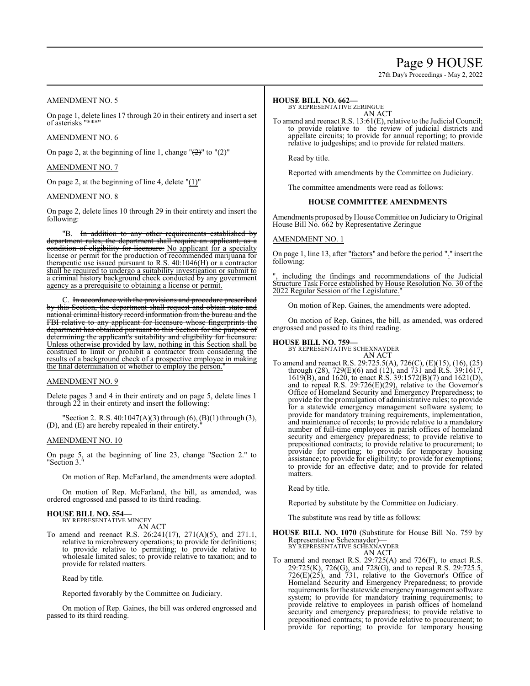# Page 9 HOUSE

27th Day's Proceedings - May 2, 2022

# AMENDMENT NO. 5

On page 1, delete lines 17 through 20 in their entirety and insert a set of asterisks "\*\*

### AMENDMENT NO. 6

On page 2, at the beginning of line 1, change " $(2)$ " to " $(2)$ "

## AMENDMENT NO. 7

On page 2, at the beginning of line 4, delete "(1)"

### AMENDMENT NO. 8

On page 2, delete lines 10 through 29 in their entirety and insert the following:

"B. In addition to any other requirements established by department rules, the department shall require an applicant, as condition of eligibility for licensure: No applicant for a specialty license or permit for the production of recommended marijuana for therapeutic use issued pursuant to R.S. 40:1046(H) or a contractor shall be required to undergo a suitability investigation or submit to a criminal history background check conducted by any government agency as a prerequisite to obtaining a license or permit.

C. In accordance with the provisions and procedure prescribed by this Section, the department shall request and obtain state and national criminal history record information from the bureau and the FBI relative to any applicant for licensure whose fingerprints the department has obtained pursuant to this Section for the purpose of determining the applicant's suitability and eligibility for licensure. Unless otherwise provided by law, nothing in this Section shall be construed to limit or prohibit a contractor from considering the results of a background check of a prospective employee in making the final determination of whether to employ the person.

#### AMENDMENT NO. 9

Delete pages 3 and 4 in their entirety and on page 5, delete lines 1 through 22 in their entirety and insert the following:

"Section 2. R.S. 40:1047(A)(3) through (6), (B)(1) through (3), (D), and (E) are hereby repealed in their entirety."

#### AMENDMENT NO. 10

On page 5, at the beginning of line 23, change "Section 2." to "Section 3."

On motion of Rep. McFarland, the amendments were adopted.

On motion of Rep. McFarland, the bill, as amended, was ordered engrossed and passed to its third reading.

### **HOUSE BILL NO. 554—** BY REPRESENTATIVE MINCEY

AN ACT

To amend and reenact R.S. 26:241(17), 271(A)(5), and 271.1, relative to microbrewery operations; to provide for definitions; to provide relative to permitting; to provide relative to wholesale limited sales; to provide relative to taxation; and to provide for related matters.

Read by title.

Reported favorably by the Committee on Judiciary.

On motion of Rep. Gaines, the bill was ordered engrossed and passed to its third reading.

#### **HOUSE BILL NO. 662—**

BY REPRESENTATIVE ZERINGUE

AN ACT To amend and reenact R.S. 13:61(E), relative to the Judicial Council; to provide relative to the review of judicial districts and appellate circuits; to provide for annual reporting; to provide relative to judgeships; and to provide for related matters.

Read by title.

Reported with amendments by the Committee on Judiciary.

The committee amendments were read as follows:

#### **HOUSE COMMITTEE AMENDMENTS**

Amendments proposed byHouse Committee on Judiciary to Original House Bill No. 662 by Representative Zeringue

### AMENDMENT NO. 1

On page 1, line 13, after "factors" and before the period "." insert the following:

including the findings and recommendations of the Judicial Structure Task Force established by House Resolution No. 30 of the 2022 Regular Session of the Legislature.

On motion of Rep. Gaines, the amendments were adopted.

On motion of Rep. Gaines, the bill, as amended, was ordered engrossed and passed to its third reading.

#### **HOUSE BILL NO. 759—**

BY REPRESENTATIVE SCHEXNAYDER AN ACT

To amend and reenact R.S. 29:725.5(A), 726(C), (E)(15), (16), (25) through (28), 729(E)(6) and (12), and 731 and R.S. 39:1617, 1619(B), and 1620, to enact R.S. 39:1572(B)(7) and 1621(D), and to repeal R.S. 29:726(E)(29), relative to the Governor's Office of Homeland Security and Emergency Preparedness; to provide for the promulgation of administrative rules; to provide for a statewide emergency management software system; to provide for mandatory training requirements, implementation, and maintenance of records; to provide relative to a mandatory number of full-time employees in parish offices of homeland security and emergency preparedness; to provide relative to prepositioned contracts; to provide relative to procurement; to provide for reporting; to provide for temporary housing assistance; to provide for eligibility; to provide for exemptions; to provide for an effective date; and to provide for related matters.

Read by title.

Reported by substitute by the Committee on Judiciary.

The substitute was read by title as follows:

**HOUSE BILL NO. 1070** (Substitute for House Bill No. 759 by Representative Schexnayder)— BY REPRESENTATIVE SCHEXNAYDER

$$
\overline{AN ACT}
$$

To amend and reenact R.S.  $29:725(A)$  and  $726(F)$ , to enact R.S. 29:725(K), 726(G), and 728(G), and to repeal R.S. 29:725.5, 726(E)(25), and 731, relative to the Governor's Office of Homeland Security and Emergency Preparedness; to provide requirements forthe statewide emergencymanagement software system; to provide for mandatory training requirements; to provide relative to employees in parish offices of homeland security and emergency preparedness; to provide relative to prepositioned contracts; to provide relative to procurement; to provide for reporting; to provide for temporary housing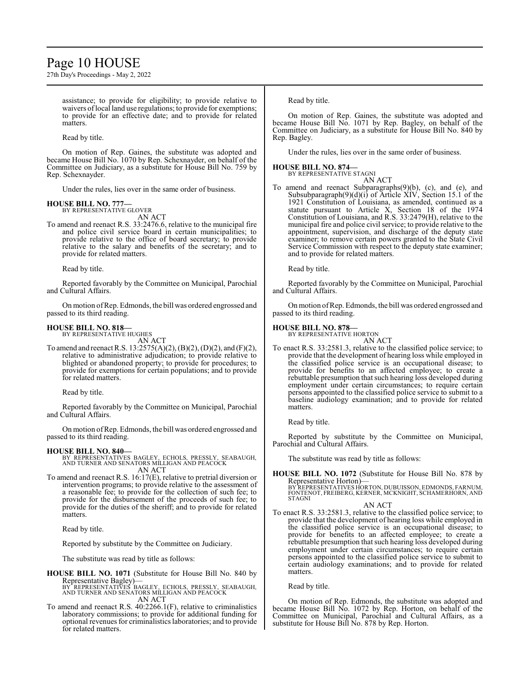# Page 10 HOUSE

27th Day's Proceedings - May 2, 2022

assistance; to provide for eligibility; to provide relative to waivers of local land use regulations; to provide for exemptions; to provide for an effective date; and to provide for related matters.

Read by title.

On motion of Rep. Gaines, the substitute was adopted and became House Bill No. 1070 by Rep. Schexnayder, on behalf of the Committee on Judiciary, as a substitute for House Bill No. 759 by Rep. Schexnayder.

Under the rules, lies over in the same order of business.

#### **HOUSE BILL NO. 777—** BY REPRESENTATIVE GLOVER

AN ACT

To amend and reenact R.S. 33:2476.6, relative to the municipal fire and police civil service board in certain municipalities; to provide relative to the office of board secretary; to provide relative to the salary and benefits of the secretary; and to provide for related matters.

Read by title.

Reported favorably by the Committee on Municipal, Parochial and Cultural Affairs.

On motion ofRep. Edmonds, the bill was ordered engrossed and passed to its third reading.

#### **HOUSE BILL NO. 818—**

BY REPRESENTATIVE HUGHES AN ACT

To amend and reenact R.S. 13:2575(A)(2), (B)(2), (D)(2), and (F)(2), relative to administrative adjudication; to provide relative to blighted or abandoned property; to provide for procedures; to provide for exemptions for certain populations; and to provide for related matters.

Read by title.

Reported favorably by the Committee on Municipal, Parochial and Cultural Affairs.

On motion ofRep. Edmonds, the bill was ordered engrossed and passed to its third reading.

- **HOUSE BILL NO. 840—** BY REPRESENTATIVES BAGLEY, ECHOLS, PRESSLY, SEABAUGH, AND TURNER AND SENATORS MILLIGAN AND PEACOCK AN ACT
- To amend and reenact R.S. 16:17(E), relative to pretrial diversion or intervention programs; to provide relative to the assessment of a reasonable fee; to provide for the collection of such fee; to provide for the disbursement of the proceeds of such fee; to provide for the duties of the sheriff; and to provide for related matters.

Read by title.

Reported by substitute by the Committee on Judiciary.

The substitute was read by title as follows:

- **HOUSE BILL NO. 1071** (Substitute for House Bill No. 840 by Representative Bagley)— BY REPRESENTATIVES BAGLEY, ECHOLS, PRESSLY, SEABAUGH, AND TURNER AND SENATORS MILLIGAN AND PEACOCK
- AN ACT To amend and reenact R.S. 40:2266.1(F), relative to criminalistics laboratory commissions; to provide for additional funding for optional revenues for criminalistics laboratories; and to provide for related matters.

Read by title.

On motion of Rep. Gaines, the substitute was adopted and became House Bill No. 1071 by Rep. Bagley, on behalf of the Committee on Judiciary, as a substitute for House Bill No. 840 by Rep. Bagley.

Under the rules, lies over in the same order of business.

#### **HOUSE BILL NO. 874—** BY REPRESENTATIVE STAGNI

AN ACT

To amend and reenact Subparagraphs(9)(b), (c), and (e), and Subsubparagraph(9)(d)(i) of Article XIV, Section 15.1 of the 1921 Constitution of Louisiana, as amended, continued as a statute pursuant to Article X, Section 18 of the 1974 Constitution of Louisiana, and R.S. 33:2479(H), relative to the municipal fire and police civil service; to provide relative to the appointment, supervision, and discharge of the deputy state examiner; to remove certain powers granted to the State Civil Service Commission with respect to the deputy state examiner; and to provide for related matters.

Read by title.

Reported favorably by the Committee on Municipal, Parochial and Cultural Affairs.

Onmotion ofRep. Edmonds, the bill was ordered engrossed and passed to its third reading.

#### **HOUSE BILL NO. 878—**

BY REPRESENTATIVE HORTON AN ACT

To enact R.S. 33:2581.3, relative to the classified police service; to provide that the development of hearing loss while employed in the classified police service is an occupational disease; to provide for benefits to an affected employee; to create a rebuttable presumption that such hearing loss developed during employment under certain circumstances; to require certain persons appointed to the classified police service to submit to a baseline audiology examination; and to provide for related matters.

Read by title.

Reported by substitute by the Committee on Municipal, Parochial and Cultural Affairs.

The substitute was read by title as follows:

**HOUSE BILL NO. 1072** (Substitute for House Bill No. 878 by Representative Horton)— BY REPRESENTATIVES HORTON, DUBUISSON, EDMONDS, FARNUM, FONTENOT, FREIBERG, KERNER, MCKNIGHT, SCHAMERHORN, AND **STAGNI** 

#### AN ACT

To enact R.S. 33:2581.3, relative to the classified police service; to provide that the development of hearing loss while employed in the classified police service is an occupational disease; to provide for benefits to an affected employee; to create a rebuttable presumption that such hearing loss developed during employment under certain circumstances; to require certain persons appointed to the classified police service to submit to certain audiology examinations; and to provide for related matters.

Read by title.

On motion of Rep. Edmonds, the substitute was adopted and became House Bill No. 1072 by Rep. Horton, on behalf of the Committee on Municipal, Parochial and Cultural Affairs, as a substitute for House Bill No. 878 by Rep. Horton.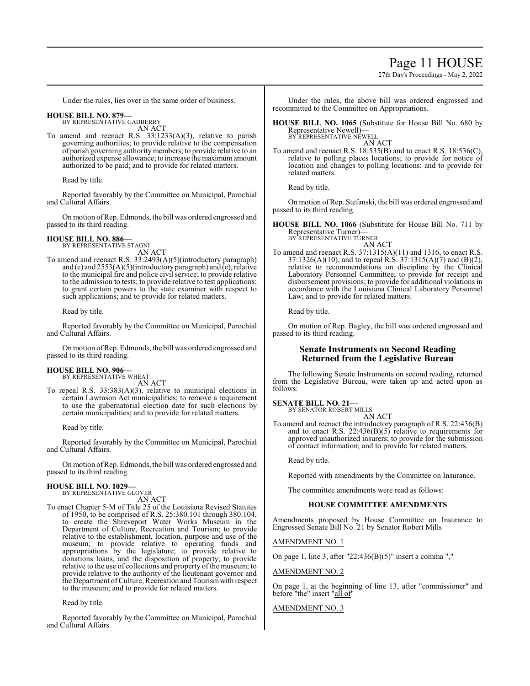# Page 11 HOUSE

27th Day's Proceedings - May 2, 2022

Under the rules, lies over in the same order of business.

#### **HOUSE BILL NO. 879—** BY REPRESENTATIVE GADBERRY

AN ACT

To amend and reenact R.S. 33:1233(A)(3), relative to parish governing authorities; to provide relative to the compensation of parish governing authority members; to provide relative to an authorized expense allowance; to increase the maximumamount authorized to be paid; and to provide for related matters.

Read by title.

Reported favorably by the Committee on Municipal, Parochial and Cultural Affairs.

On motion ofRep. Edmonds, the bill was ordered engrossed and passed to its third reading.

#### **HOUSE BILL NO. 886—** BY REPRESENTATIVE STAGNI

AN ACT

To amend and reenact R.S. 33:2493(A)(5)(introductory paragraph) and (e) and 2553(A)(5)(introductory paragraph) and (e), relative to the municipal fire and police civil service; to provide relative to the admission to tests; to provide relative to test applications; to grant certain powers to the state examiner with respect to such applications; and to provide for related matters.

Read by title.

Reported favorably by the Committee on Municipal, Parochial and Cultural Affairs.

On motion ofRep. Edmonds, the bill was ordered engrossed and passed to its third reading.

#### **HOUSE BILL NO. 906—** BY REPRESENTATIVE WHEAT

AN ACT

To repeal R.S. 33:383(A)(3), relative to municipal elections in certain Lawrason Act municipalities; to remove a requirement to use the gubernatorial election date for such elections by certain municipalities; and to provide for related matters.

Read by title.

Reported favorably by the Committee on Municipal, Parochial and Cultural Affairs.

On motion ofRep. Edmonds, the bill was ordered engrossed and passed to its third reading.

#### **HOUSE BILL NO. 1029—** BY REPRESENTATIVE GLOVER

AN ACT

To enact Chapter 5-M of Title 25 of the Louisiana Revised Statutes of 1950, to be comprised of R.S. 25:380.101 through 380.104, to create the Shreveport Water Works Museum in the Department of Culture, Recreation and Tourism; to provide relative to the establishment, location, purpose and use of the museum; to provide relative to operating funds and appropriations by the legislature; to provide relative to donations loans, and the disposition of property; to provide relative to the use of collections and property of the museum; to provide relative to the authority of the lieutenant governor and the Department ofCulture, Recreation and Tourismwith respect to the museum; and to provide for related matters.

Read by title.

Reported favorably by the Committee on Municipal, Parochial and Cultural Affairs.

Under the rules, the above bill was ordered engrossed and recommitted to the Committee on Appropriations.

**HOUSE BILL NO. 1065** (Substitute for House Bill No. 680 by Representative Newell)— BY REPRESENTATIVE NEWELL

AN ACT

To amend and reenact R.S. 18:535(B) and to enact R.S. 18:536(C), relative to polling places locations; to provide for notice of location and changes to polling locations; and to provide for related matters.

Read by title.

On motion ofRep. Stefanski, the bill was ordered engrossed and passed to its third reading.

**HOUSE BILL NO. 1066** (Substitute for House Bill No. 711 by Representative Turner)— BY REPRESENTATIVE TURNER

AN ACT

To amend and reenact R.S. 37:1315(A)(11) and 1316, to enact R.S. 37:1326(A)(10), and to repeal R.S. 37:1315(A)(7) and (B)(2), relative to recommendations on discipline by the Clinical Laboratory Personnel Committee; to provide for receipt and disbursement provisions; to provide for additional violations in accordance with the Louisiana Clinical Laboratory Personnel Law; and to provide for related matters.

Read by title.

On motion of Rep. Bagley, the bill was ordered engrossed and passed to its third reading.

# **Senate Instruments on Second Reading Returned from the Legislative Bureau**

The following Senate Instruments on second reading, returned from the Legislative Bureau, were taken up and acted upon as follows:

**SENATE BILL NO. 21—**

BY SENATOR ROBERT MILLS AN ACT

To amend and reenact the introductory paragraph of R.S. 22:436(B) and to enact R.S.  $22:436(B)(5)$  relative to requirements for approved unauthorized insurers; to provide for the submission of contact information; and to provide for related matters.

Read by title.

Reported with amendments by the Committee on Insurance.

The committee amendments were read as follows:

# **HOUSE COMMITTEE AMENDMENTS**

Amendments proposed by House Committee on Insurance to Engrossed Senate Bill No. 21 by Senator Robert Mills

AMENDMENT NO. 1

On page 1, line 3, after "22:436(B)(5)" insert a comma ","

# AMENDMENT NO. 2

On page 1, at the beginning of line 13, after "commissioner" and before "the" insert "all of"

# AMENDMENT NO. 3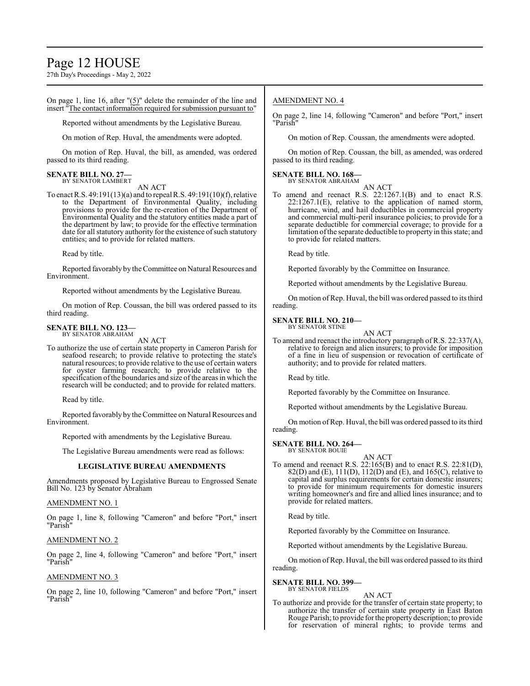# Page 12 HOUSE

27th Day's Proceedings - May 2, 2022

On page 1, line 16, after "(5)" delete the remainder of the line and insert "The contact information required for submission pursuant to"

Reported without amendments by the Legislative Bureau.

On motion of Rep. Huval, the amendments were adopted.

On motion of Rep. Huval, the bill, as amended, was ordered passed to its third reading.

# **SENATE BILL NO. 27—** BY SENATOR LAMBERT

AN ACT

To enact R.S. 49:191(13)(a) and to repeal R.S. 49:191(10)(f), relative to the Department of Environmental Quality, including provisions to provide for the re-creation of the Department of Environmental Quality and the statutory entities made a part of the department by law; to provide for the effective termination date for all statutory authority for the existence of such statutory entities; and to provide for related matters.

Read by title.

Reported favorably by theCommittee on Natural Resources and Environment.

Reported without amendments by the Legislative Bureau.

On motion of Rep. Coussan, the bill was ordered passed to its third reading.

#### **SENATE BILL NO. 123—** BY SENATOR ABRAHAM

AN ACT

To authorize the use of certain state property in Cameron Parish for seafood research; to provide relative to protecting the state's natural resources; to provide relative to the use of certain waters for oyster farming research; to provide relative to the specification ofthe boundaries and size ofthe areas in which the research will be conducted; and to provide for related matters.

Read by title.

Reported favorably by the Committee on Natural Resources and Environment.

Reported with amendments by the Legislative Bureau.

The Legislative Bureau amendments were read as follows:

#### **LEGISLATIVE BUREAU AMENDMENTS**

Amendments proposed by Legislative Bureau to Engrossed Senate Bill No. 123 by Senator Abraham

### AMENDMENT NO. 1

On page 1, line 8, following "Cameron" and before "Port," insert "Parish"

# AMENDMENT NO. 2

On page 2, line 4, following "Cameron" and before "Port," insert "Parish"

# AMENDMENT NO. 3

On page 2, line 10, following "Cameron" and before "Port," insert "Parish"

# AMENDMENT NO. 4

On page 2, line 14, following "Cameron" and before "Port," insert "Parish"

On motion of Rep. Coussan, the amendments were adopted.

On motion of Rep. Coussan, the bill, as amended, was ordered passed to its third reading.

# **SENATE BILL NO. 168—**

BY SENATOR ABRAHAM

AN ACT To amend and reenact R.S. 22:1267.1(B) and to enact R.S. 22:1267.1(E), relative to the application of named storm, hurricane, wind, and hail deductibles in commercial property and commercial multi-peril insurance policies; to provide for a separate deductible for commercial coverage; to provide for a limitation of the separate deductible to property in this state; and to provide for related matters.

Read by title.

Reported favorably by the Committee on Insurance.

Reported without amendments by the Legislative Bureau.

On motion of Rep. Huval, the bill was ordered passed to its third reading.

#### **SENATE BILL NO. 210—** BY SENATOR STINE

AN ACT

To amend and reenact the introductory paragraph of R.S. 22:337(A), relative to foreign and alien insurers; to provide for imposition of a fine in lieu of suspension or revocation of certificate of authority; and to provide for related matters.

Read by title.

Reported favorably by the Committee on Insurance.

Reported without amendments by the Legislative Bureau.

On motion ofRep. Huval, the bill was ordered passed to its third reading.

**SENATE BILL NO. 264—** BY SENATOR BOUIE

AN ACT

To amend and reenact R.S. 22:165(B) and to enact R.S. 22:81(D), 82(D) and (E), 111(D), 112(D) and (E), and 165(C), relative to capital and surplus requirements for certain domestic insurers; to provide for minimum requirements for domestic insurers writing homeowner's and fire and allied lines insurance; and to provide for related matters.

Read by title.

Reported favorably by the Committee on Insurance.

Reported without amendments by the Legislative Bureau.

On motion ofRep. Huval, the bill was ordered passed to its third reading.

# **SENATE BILL NO. 399—**

BY SENATOR FIELDS AN ACT

To authorize and provide for the transfer of certain state property; to authorize the transfer of certain state property in East Baton Rouge Parish; to provide for the propertydescription; to provide for reservation of mineral rights; to provide terms and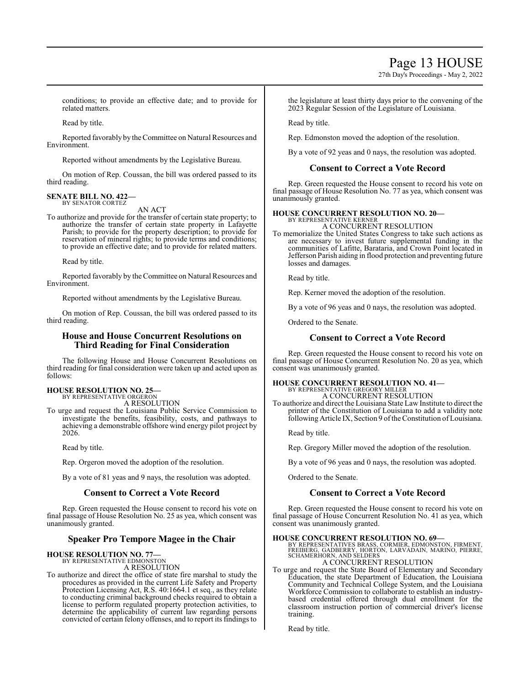27th Day's Proceedings - May 2, 2022

conditions; to provide an effective date; and to provide for related matters.

Read by title.

Reported favorably by the Committee on Natural Resources and Environment.

Reported without amendments by the Legislative Bureau.

On motion of Rep. Coussan, the bill was ordered passed to its third reading.

#### **SENATE BILL NO. 422—** BY SENATOR CORTEZ

AN ACT

To authorize and provide for the transfer of certain state property; to authorize the transfer of certain state property in Lafayette Parish; to provide for the property description; to provide for reservation of mineral rights; to provide terms and conditions; to provide an effective date; and to provide for related matters.

Read by title.

Reported favorably by the Committee on Natural Resources and Environment.

Reported without amendments by the Legislative Bureau.

On motion of Rep. Coussan, the bill was ordered passed to its third reading.

# **House and House Concurrent Resolutions on Third Reading for Final Consideration**

The following House and House Concurrent Resolutions on third reading for final consideration were taken up and acted upon as follows:

# **HOUSE RESOLUTION NO. 25—**

BY REPRESENTATIVE ORGERON A RESOLUTION

To urge and request the Louisiana Public Service Commission to investigate the benefits, feasibility, costs, and pathways to achieving a demonstrable offshore wind energy pilot project by 2026.

Read by title.

Rep. Orgeron moved the adoption of the resolution.

By a vote of 81 yeas and 9 nays, the resolution was adopted.

# **Consent to Correct a Vote Record**

Rep. Green requested the House consent to record his vote on final passage of House Resolution No. 25 as yea, which consent was unanimously granted.

# **Speaker Pro Tempore Magee in the Chair**

# **HOUSE RESOLUTION NO. 77—** BY REPRESENTATIVE EDMONSTON

A RESOLUTION

To authorize and direct the office of state fire marshal to study the procedures as provided in the current Life Safety and Property Protection Licensing Act, R.S. 40:1664.1 et seq., as they relate to conducting criminal background checks required to obtain a license to perform regulated property protection activities, to determine the applicability of current law regarding persons convicted of certain felony offenses, and to report its findings to the legislature at least thirty days prior to the convening of the 2023 Regular Session of the Legislature of Louisiana.

Read by title.

Rep. Edmonston moved the adoption of the resolution.

By a vote of 92 yeas and 0 nays, the resolution was adopted.

# **Consent to Correct a Vote Record**

Rep. Green requested the House consent to record his vote on final passage of House Resolution No. 77 as yea, which consent was unanimously granted.

#### **HOUSE CONCURRENT RESOLUTION NO. 20—** BY REPRESENTATIVE KERNER

A CONCURRENT RESOLUTION

To memorialize the United States Congress to take such actions as are necessary to invest future supplemental funding in the communities of Lafitte, Barataria, and Crown Point located in Jefferson Parish aiding in flood protection and preventing future losses and damages.

Read by title.

Rep. Kerner moved the adoption of the resolution.

By a vote of 96 yeas and 0 nays, the resolution was adopted.

Ordered to the Senate.

# **Consent to Correct a Vote Record**

Rep. Green requested the House consent to record his vote on final passage of House Concurrent Resolution No. 20 as yea, which consent was unanimously granted.

# **HOUSE CONCURRENT RESOLUTION NO. 41—** BY REPRESENTATIVE GREGORY MILLER A CONCURRENT RESOLUTION

To authorize and direct the Louisiana State Law Institute to direct the printer of the Constitution of Louisiana to add a validity note following Article IX, Section 9 of the Constitution of Louisiana.

Read by title.

Rep. Gregory Miller moved the adoption of the resolution.

By a vote of 96 yeas and 0 nays, the resolution was adopted.

Ordered to the Senate.

# **Consent to Correct a Vote Record**

Rep. Green requested the House consent to record his vote on final passage of House Concurrent Resolution No. 41 as yea, which consent was unanimously granted.

**HOUSE CONCURRENT RESOLUTION NO. 69—**<br>
BY REPRESENTATIVES BRASS, CORMIER, EDMONSTON, FIRMENT,<br>
FREIBERG, GADBERRY, HORTON, LARVADAIN, MARINO, PIERRE,<br>
SCHAMERHORN, AND SELDERS

# A CONCURRENT RESOLUTION

To urge and request the State Board of Elementary and Secondary Education, the state Department of Education, the Louisiana Community and Technical College System, and the Louisiana Workforce Commission to collaborate to establish an industrybased credential offered through dual enrollment for the classroom instruction portion of commercial driver's license training.

Read by title.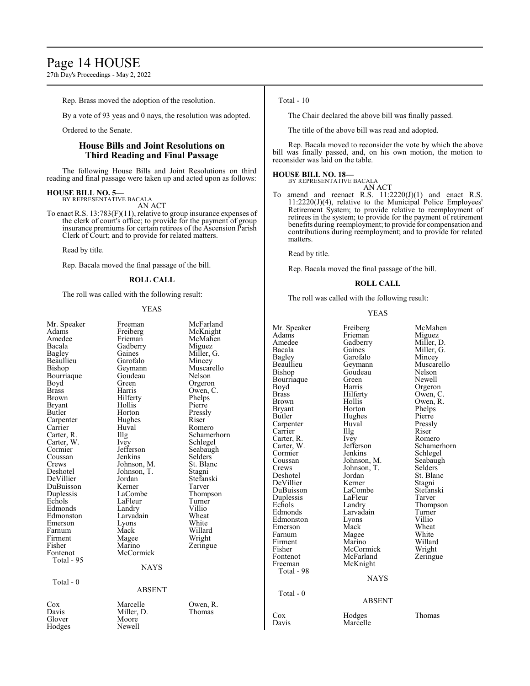# Page 14 HOUSE

27th Day's Proceedings - May 2, 2022

Rep. Brass moved the adoption of the resolution.

By a vote of 93 yeas and 0 nays, the resolution was adopted.

Ordered to the Senate.

# **House Bills and Joint Resolutions on Third Reading and Final Passage**

The following House Bills and Joint Resolutions on third reading and final passage were taken up and acted upon as follows:

# **HOUSE BILL NO. 5—** BY REPRESENTATIVE BACALA

AN ACT

To enact R.S. 13:783(F)(11), relative to group insurance expenses of the clerk of court's office; to provide for the payment of group insurance premiums for certain retirees of the Ascension Parish Clerk of Court; and to provide for related matters.

Read by title.

Rep. Bacala moved the final passage of the bill.

### **ROLL CALL**

The roll was called with the following result:

#### YEAS

| Mr. Speaker<br>Adams<br>Amedee<br>Bacala<br>Bagley<br>Beaullieu<br>Bishop<br>Bourriaque<br>Boyd<br><b>Brass</b><br>Brown<br>Bryant<br>Butler<br>Carpenter<br>Carrier<br>Carter, R.<br>Carter, W.<br>Cormier<br>Coussan<br>Crews<br>Deshotel<br>DeVillier<br>DuBuisson<br>Duplessis<br>Echols<br>Edmonds<br>Edmonston<br>Emerson<br>Farnum<br>Firment<br>Fisher<br>Fontenot<br>Total - 95<br>Total - $0$ | Freeman<br>Freiberg<br>Frieman<br>Gadberry<br>Gaines<br>Garofalo<br>Geymann<br>Goudeau<br>Green<br>Harris<br>Hilferty<br>Hollis<br>Horton<br>Hughes<br>Huval<br>Illg<br>Ivey<br>Jefferson<br>Jenkins<br>Johnson, M.<br>Johnson, T.<br>Jordan<br>Kerner<br>LaCombe<br>LaFleur<br>Landry<br>Larvadain<br>Lyons<br>Mack<br>Magee<br>Marino<br>McCormick<br>NAYS<br><b>ABSENT</b> | McFarland<br>McKnight<br>McMahen<br>Miguez<br>Miller, G.<br>Mincey<br>Muscarello<br>Nelson<br>Orgeron<br>Owen, C.<br>Phelps<br>Pierre<br>Pressly<br>Riser<br>Romero<br>Schamerhorn<br>Schlegel<br>Seabaugh<br>Selders<br>St. Blanc<br>Stagni<br>Stefanski<br>Tarver<br>Thompson<br>Turner<br>Villio<br>Wheat<br>White<br>Willard<br>Wright<br>Zeringue | Mr. Speaker<br>Adams<br>Amedee<br>Bacala<br>Bagley<br>Beaullieu<br>Bishop<br>Bourriaque<br>Boyd<br><b>Brass</b><br>Brown<br><b>Bryant</b><br>Butler<br>Carpenter<br>Carrier<br>Carter, R.<br>Carter, W.<br>Cormier<br>Coussan<br>Crews<br>Deshotel<br>DeVillier<br>DuBuisson<br>Duplessis<br>Echols<br>Edmonds<br>Edmonston<br>Emerson<br>Farnum<br>Firment<br>Fisher<br>Fontenot<br>Freeman<br>Total - 98<br>Total $-0$ |
|---------------------------------------------------------------------------------------------------------------------------------------------------------------------------------------------------------------------------------------------------------------------------------------------------------------------------------------------------------------------------------------------------------|-------------------------------------------------------------------------------------------------------------------------------------------------------------------------------------------------------------------------------------------------------------------------------------------------------------------------------------------------------------------------------|--------------------------------------------------------------------------------------------------------------------------------------------------------------------------------------------------------------------------------------------------------------------------------------------------------------------------------------------------------|--------------------------------------------------------------------------------------------------------------------------------------------------------------------------------------------------------------------------------------------------------------------------------------------------------------------------------------------------------------------------------------------------------------------------|
| Cox<br>Davis<br>Glover<br>Hodges                                                                                                                                                                                                                                                                                                                                                                        | Marcelle<br>Miller, D.<br>Moore<br>Newell                                                                                                                                                                                                                                                                                                                                     | Owen, R.<br>Thomas                                                                                                                                                                                                                                                                                                                                     | $\cos$<br>Davis                                                                                                                                                                                                                                                                                                                                                                                                          |

### Total - 10

The Chair declared the above bill was finally passed.

The title of the above bill was read and adopted.

Rep. Bacala moved to reconsider the vote by which the above bill was finally passed, and, on his own motion, the motion to reconsider was laid on the table.

# **HOUSE BILL NO. 18—** BY REPRESENTATIVE BACALA

AN ACT To amend and reenact R.S.  $11:2220(J)(1)$  and enact R.S. 11:2220(J)(4), relative to the Municipal Police Employees' Retirement System; to provide relative to reemployment of retirees in the system; to provide for the payment of retirement benefits during reemployment; to provide for compensation and contributions during reemployment; and to provide for related matters.

Read by title.

Rep. Bacala moved the final passage of the bill.

#### **ROLL CALL**

The roll was called with the following result:

#### YEAS

| Mr. Speaker<br>Adams<br>Amedee<br>Bacala<br><b>Bagley</b><br>Beaullieu<br>Bishop<br>Bourriaque<br>Boyd<br><b>Brass</b><br><b>Brown</b><br>Bryant<br>Butler<br>Carpenter<br>Carrier<br>Carter, R.<br>Carter, W.<br>Cormier<br>Coussan<br>Crews<br>Deshotel<br>DeVillier<br>DuBuisson<br>Duplessis<br>Echols<br>Edmonds<br>Edmonston<br>Emerson<br>Farnum<br>Firment<br>Fisher | Freiberg<br>Frieman<br>Gadberry<br>Gaines<br>Garofalo<br>Geymann<br>Goudeau<br>Green<br>Harris<br>Hilferty<br>Hollis<br>Horton<br>Hughes<br>Huval<br>Illg<br>Ivey<br>Jefferson<br>Jenkins<br>Johnson, M.<br>Johnson, T.<br>Jordan<br>Kerner<br>LaCombe<br>LaFleur<br>Landry<br>Larvadain<br>Lyons<br>Mack<br>Magee<br>Marino<br>McCormick | McMahen<br>Miguez<br>Miller, D.<br>Miller, G.<br>Mincey<br>Muscarello<br>Nelson<br>Newell<br>Orgeron<br>Owen, C.<br>Owen, R.<br>Phelps<br>Pierre<br>Pressly<br>Riser<br>Romero<br>Schamerhorn<br>Schlegel<br>Seabaugh<br>Selders<br>St. Blanc<br>Stagni<br>Stefanski<br>Tarver<br>Thompson<br>Turner<br>Villio<br>Wheat<br>White<br>Willard<br>Wright |
|------------------------------------------------------------------------------------------------------------------------------------------------------------------------------------------------------------------------------------------------------------------------------------------------------------------------------------------------------------------------------|-------------------------------------------------------------------------------------------------------------------------------------------------------------------------------------------------------------------------------------------------------------------------------------------------------------------------------------------|-------------------------------------------------------------------------------------------------------------------------------------------------------------------------------------------------------------------------------------------------------------------------------------------------------------------------------------------------------|
|                                                                                                                                                                                                                                                                                                                                                                              |                                                                                                                                                                                                                                                                                                                                           |                                                                                                                                                                                                                                                                                                                                                       |
|                                                                                                                                                                                                                                                                                                                                                                              |                                                                                                                                                                                                                                                                                                                                           |                                                                                                                                                                                                                                                                                                                                                       |
|                                                                                                                                                                                                                                                                                                                                                                              |                                                                                                                                                                                                                                                                                                                                           |                                                                                                                                                                                                                                                                                                                                                       |
|                                                                                                                                                                                                                                                                                                                                                                              |                                                                                                                                                                                                                                                                                                                                           |                                                                                                                                                                                                                                                                                                                                                       |
|                                                                                                                                                                                                                                                                                                                                                                              |                                                                                                                                                                                                                                                                                                                                           |                                                                                                                                                                                                                                                                                                                                                       |
|                                                                                                                                                                                                                                                                                                                                                                              |                                                                                                                                                                                                                                                                                                                                           |                                                                                                                                                                                                                                                                                                                                                       |
| Fontenot                                                                                                                                                                                                                                                                                                                                                                     | McFarland                                                                                                                                                                                                                                                                                                                                 | Zeringue                                                                                                                                                                                                                                                                                                                                              |
| Freeman                                                                                                                                                                                                                                                                                                                                                                      | McKnight                                                                                                                                                                                                                                                                                                                                  |                                                                                                                                                                                                                                                                                                                                                       |
| Total - 98                                                                                                                                                                                                                                                                                                                                                                   |                                                                                                                                                                                                                                                                                                                                           |                                                                                                                                                                                                                                                                                                                                                       |
|                                                                                                                                                                                                                                                                                                                                                                              | <b>NAYS</b>                                                                                                                                                                                                                                                                                                                               |                                                                                                                                                                                                                                                                                                                                                       |
| Total - $0$                                                                                                                                                                                                                                                                                                                                                                  | <b>ABSENT</b>                                                                                                                                                                                                                                                                                                                             |                                                                                                                                                                                                                                                                                                                                                       |
| Cox<br>Davis                                                                                                                                                                                                                                                                                                                                                                 | Hodges<br>Marcelle                                                                                                                                                                                                                                                                                                                        | Thomas                                                                                                                                                                                                                                                                                                                                                |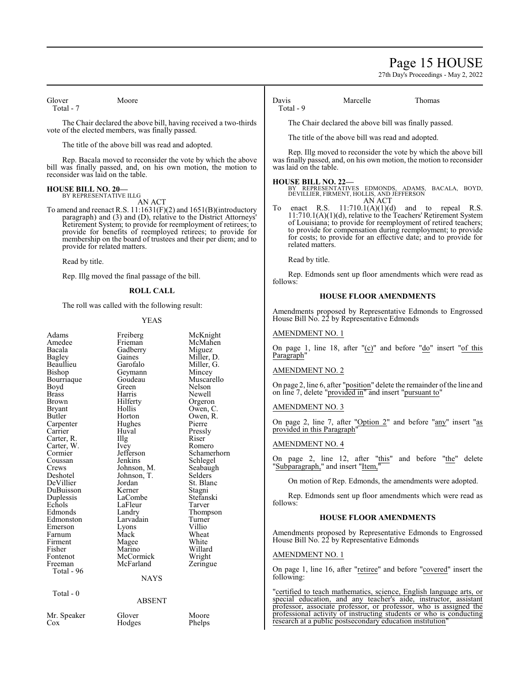# Page 15 HOUSE

27th Day's Proceedings - May 2, 2022

Glover Moore Total - 7

The Chair declared the above bill, having received a two-thirds vote of the elected members, was finally passed.

The title of the above bill was read and adopted.

Rep. Bacala moved to reconsider the vote by which the above bill was finally passed, and, on his own motion, the motion to reconsider was laid on the table.

#### **HOUSE BILL NO. 20—** BY REPRESENTATIVE ILLG

AN ACT

To amend and reenact R.S. 11:1631(F)(2) and 1651(B)(introductory paragraph) and (3) and (D), relative to the District Attorneys' Retirement System; to provide for reemployment of retirees; to provide for benefits of reemployed retirees; to provide for membership on the board of trustees and their per diem; and to provide for related matters.

Read by title.

Rep. Illg moved the final passage of the bill.

# **ROLL CALL**

The roll was called with the following result:

#### YEAS

| Adams      |                     |                     |
|------------|---------------------|---------------------|
| Amedee     | Freiberg<br>Frieman | McKnight<br>McMahen |
| Bacala     |                     |                     |
|            | Gadberry            | Miguez              |
| Bagley     | Gaines              | Miller, D.          |
| Beaullieu  | Garofalo            | Miller, G.          |
| Bishop     | Geymann             | Mincey              |
| Bourriaque | Goudeau             | Muscarello          |
| Boyd       | Green               | Nelson              |
| Brass      | Harris              | Newell              |
| Brown      | Hilferty            | Orgeron             |
| Bryant     | Hollis              | Owen, C.            |
| Butler     | Horton              | Owen, R.            |
| Carpenter  | Hughes              | Pierre              |
| Carrier    | Huval               | Pressly             |
| Carter, R. | Illg                | Riser               |
| Carter, W. | <i>lvey</i>         | Romero              |
| Cormier    | Jefferson           | Schamerhorn         |
| Coussan    | Jenkins             | Schlegel            |
| Crews      | Johnson, M.         | Seabaugh            |
| Deshotel   | Johnson, T.         | Selders             |
| DeVillier  | Jordan              | St. Blanc           |
| DuBuisson  | Kerner              | Stagni              |
| Duplessis  | LaCombe             | Stefanski           |
| Echols     | LaFleur             | Tarver              |
| Edmonds    | Landry              | Thompson            |
| Edmonston  | Larvadain           | Turner              |
| Emerson    | Lyons               | Villio              |
| Farnum     | Mack                | Wheat               |
| Firment    | Magee               | White               |
| Fisher     | Marino              | Willard             |
| Fontenot   | McCormick           | Wright              |
| Freeman    | McFarland           | Zeringue            |
| Total - 96 |                     |                     |
|            | <b>NAYS</b>         |                     |
| Total - 0  |                     |                     |
|            | ABSENT              |                     |
|            |                     |                     |

Hodges

Mr. Speaker Glover Moore<br>Cox Hodges Phelps

Davis Marcelle Thomas Total - 9

The Chair declared the above bill was finally passed.

The title of the above bill was read and adopted.

Rep. Illg moved to reconsider the vote by which the above bill was finally passed, and, on his own motion, the motion to reconsider was laid on the table.

**HOUSE BILL NO. 22—** BY REPRESENTATIVES EDMONDS, ADAMS, BACALA, BOYD, DEVILLIER, FIRMENT, HOLLIS, AND JEFFERSON

 $AN ACT$ <br>11:710.1(A)(1)(d) enact R.S.  $11:710.1(A)(1)(d)$  and to repeal R.S. 11:710.1(A)(1)(d), relative to the Teachers' Retirement System of Louisiana; to provide for reemployment of retired teachers; to provide for compensation during reemployment; to provide for costs; to provide for an effective date; and to provide for related matters.

Read by title.

Rep. Edmonds sent up floor amendments which were read as follows:

#### **HOUSE FLOOR AMENDMENTS**

Amendments proposed by Representative Edmonds to Engrossed House Bill No. 22 by Representative Edmonds

### AMENDMENT NO. 1

On page 1, line 18, after "(c)" and before "do" insert "of this Paragraph"

### AMENDMENT NO. 2

On page 2, line 6, after "position" delete the remainder of the line and on line 7, delete "provided in" and insert "pursuant to"

#### AMENDMENT NO. 3

On page 2, line 7, after "Option 2" and before "any" insert "as provided in this Paragraph"

#### AMENDMENT NO. 4

On page 2, line 12, after "this" and before "the" delete 'Subparagraph," and insert "Item,"

On motion of Rep. Edmonds, the amendments were adopted.

Rep. Edmonds sent up floor amendments which were read as follows:

#### **HOUSE FLOOR AMENDMENTS**

Amendments proposed by Representative Edmonds to Engrossed House Bill No. 22 by Representative Edmonds

#### AMENDMENT NO. 1

On page 1, line 16, after "retiree" and before "covered" insert the following:

"certified to teach mathematics, science, English language arts, or special education, and any teacher's aide, instructor, assistant professor, associate professor, or professor, who is assigned the professional activity of instructing students or who is conducting research at a public postsecondary education institution"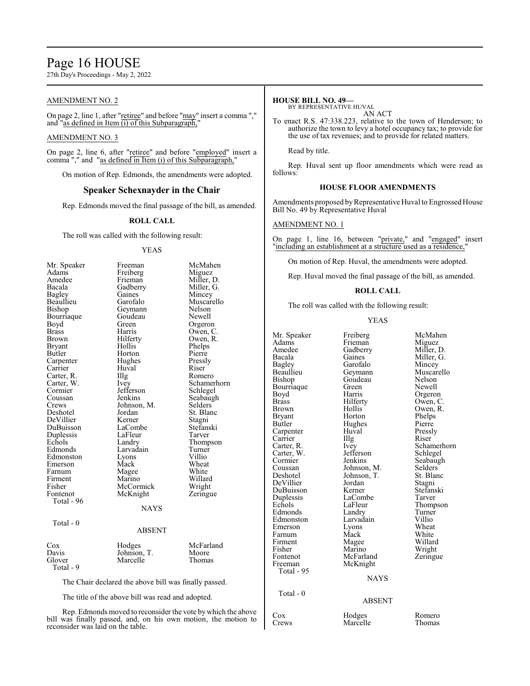# Page 16 HOUSE

27th Day's Proceedings - May 2, 2022

# AMENDMENT NO. 2

On page 2, line 1, after "retiree" and before "may" insert a comma "," and "as defined in Item (i) of this Subparagraph,"

### AMENDMENT NO. 3

On page 2, line 6, after "retiree" and before "employed" insert a comma "," and "as defined in Item (i) of this Subparagraph,"

On motion of Rep. Edmonds, the amendments were adopted.

# **Speaker Schexnayder in the Chair**

Rep. Edmonds moved the final passage of the bill, as amended.

#### **ROLL CALL**

The roll was called with the following result:

#### YEAS

| Mr. Speaker   | Freeman       | McMahen     |
|---------------|---------------|-------------|
| Adams         | Freiberg      | Miguez      |
| Amedee        | Frieman       | Miller, D.  |
| Bacala        | Gadberry      | Miller, G.  |
| Bagley        | Gaines        | Mincey      |
| Beaullieu     | Garofalo      | Muscarello  |
| Bishop        | Geymann       | Nelson      |
| Bourriaque    | Goudeau       | Newell      |
| Boyd          | Green         | Orgeron     |
| <b>Brass</b>  | Harris        | Owen, C.    |
| Brown         | Hilferty      | Owen, R.    |
| <b>Bryant</b> | Hollis        | Phelps      |
| Butler        | Horton        | Pierre      |
| Carpenter     | Hughes        | Pressly     |
| Carrier       | Huval         | Riser       |
| Carter, R.    | Illg          | Romero      |
| Carter, W.    | <i>lvey</i>   | Schamerhorn |
| Cormier       | Jefferson     | Schlegel    |
| Coussan       | Jenkins       | Seabaugh    |
| Crews         | Johnson, M.   | Selders     |
| Deshotel      | Jordan        | St. Blanc   |
| DeVillier     | Kerner        | Stagni      |
| DuBuisson     | LaCombe       | Stefanski   |
| Duplessis     | LaFleur       | Tarver      |
| Echols        | Landry        | Thompson    |
| Edmonds       | Larvadain     | Turner      |
| Edmonston     | Lyons         | Villio      |
| Emerson       | Mack          | Wheat       |
| Farnum        | Magee         | White       |
| Firment       | Marino        | Willard     |
| Fisher        | McCormick     | Wright      |
| Fontenot      | McKnight      | Zeringue    |
| Total - 96    |               |             |
|               | <b>NAYS</b>   |             |
| Total - 0     |               |             |
|               | <b>ABSENT</b> |             |
| $\cos$        | Hodges        | McFarland   |
| Davis         | Johnson, T.   | Moore       |
| Glover        | Marcelle      | Thomas      |
| Total - 9     |               |             |
|               |               |             |
|               |               |             |

The Chair declared the above bill was finally passed.

The title of the above bill was read and adopted.

Rep. Edmonds moved to reconsider the vote by which the above bill was finally passed, and, on his own motion, the motion to reconsider was laid on the table.

### **HOUSE BILL NO. 49—**

BY REPRESENTATIVE HUVAL AN ACT

To enact R.S. 47:338.223, relative to the town of Henderson; to authorize the town to levy a hotel occupancy tax; to provide for the use of tax revenues; and to provide for related matters.

Read by title.

Rep. Huval sent up floor amendments which were read as follows:

# **HOUSE FLOOR AMENDMENTS**

Amendments proposed by Representative Huval to Engrossed House Bill No. 49 by Representative Huval

### AMENDMENT NO. 1

On page 1, line 16, between "private," and "engaged" insert "including an establishment at a structure used as a residence,"

On motion of Rep. Huval, the amendments were adopted.

Rep. Huval moved the final passage of the bill, as amended.

# **ROLL CALL**

The roll was called with the following result:

#### YEAS

| Mr. Speaker<br>Adams<br>Amedee<br>Bacala<br><b>Bagley</b><br>Beaullieu<br>Bishop<br>Bourriaque<br>Boyd<br><b>Brass</b><br><b>Brown</b><br>Bryant<br>Butler<br>Carpenter<br>Carrier<br>Carter, R.<br>Carter, W.<br>Cormier<br>Coussan<br>Deshotel<br>DeVillier<br>DuBuisson<br>Duplessis<br>Echols<br>Edmonds<br>Edmonston<br>Emerson<br>Farnum<br>Firment<br>Fisher<br>Fontenot<br>Freeman<br>Total - 95 | Freiberg<br>Frieman<br>Gadberry<br>Gaines<br>Garofalo<br>Geymann<br>Goudeau<br>Green<br>Harris<br>Hilferty<br>Hollis<br>Horton<br>Hughes<br>Huval<br>Illg<br>Ivey<br>Jefferson<br>Jenkins<br>Johnson, M.<br>Johnson, T.<br>Jordan<br>Kerner<br>LaCombe<br>LaFleur<br>Landry<br>Larvadain<br>Lyons<br>Mack<br>Magee<br>Marino<br>McFarland<br>McKnight<br><b>NAYS</b> | McMahen<br>Miguez<br>Miller, D.<br>Miller, G.<br>Mincey<br>Muscarello<br>Nelson<br>Newell<br>Orgeron<br>Owen, C.<br>Owen, R.<br>Phelps<br>Pierre<br>Pressly<br>Riser<br>Schamerhorn<br>Schlegel<br>Seabaugh<br>Selders<br>St. Blanc<br>Stagni<br>Stefanski<br>Tarver<br>Thompson<br>Turner<br>Villio<br>Wheat<br>White<br>Willard<br>Wright<br>Zeringue |
|----------------------------------------------------------------------------------------------------------------------------------------------------------------------------------------------------------------------------------------------------------------------------------------------------------------------------------------------------------------------------------------------------------|----------------------------------------------------------------------------------------------------------------------------------------------------------------------------------------------------------------------------------------------------------------------------------------------------------------------------------------------------------------------|---------------------------------------------------------------------------------------------------------------------------------------------------------------------------------------------------------------------------------------------------------------------------------------------------------------------------------------------------------|
|                                                                                                                                                                                                                                                                                                                                                                                                          |                                                                                                                                                                                                                                                                                                                                                                      |                                                                                                                                                                                                                                                                                                                                                         |
|                                                                                                                                                                                                                                                                                                                                                                                                          |                                                                                                                                                                                                                                                                                                                                                                      |                                                                                                                                                                                                                                                                                                                                                         |
| Total - 0                                                                                                                                                                                                                                                                                                                                                                                                | <b>ABSENT</b>                                                                                                                                                                                                                                                                                                                                                        |                                                                                                                                                                                                                                                                                                                                                         |
| Cox<br>Crews                                                                                                                                                                                                                                                                                                                                                                                             | Hodges<br>Marcelle                                                                                                                                                                                                                                                                                                                                                   | Romero<br>Thomas                                                                                                                                                                                                                                                                                                                                        |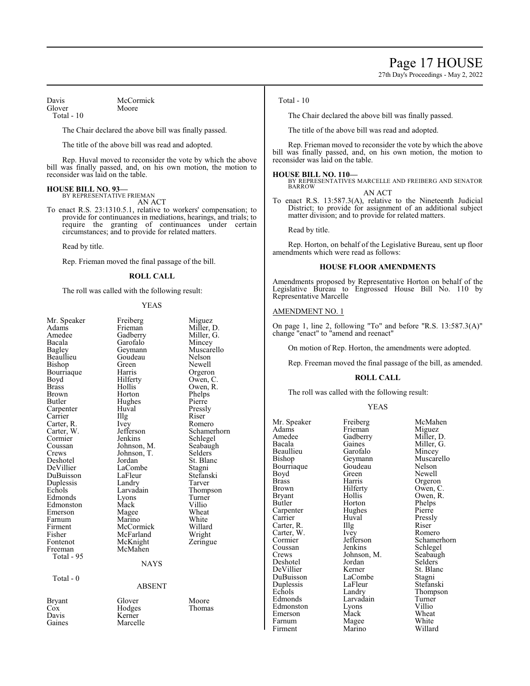Page 17 HOUSE

27th Day's Proceedings - May 2, 2022

Davis McCormick<br>Glover Moore Glover

Total - 10

The Chair declared the above bill was finally passed.

The title of the above bill was read and adopted.

Rep. Huval moved to reconsider the vote by which the above bill was finally passed, and, on his own motion, the motion to reconsider was laid on the table.

#### **HOUSE BILL NO. 93—**

BY REPRESENTATIVE FRIEMAN

AN ACT

To enact R.S. 23:1310.5.1, relative to workers' compensation; to provide for continuances in mediations, hearings, and trials; to require the granting of continuances under certain circumstances; and to provide for related matters.

Read by title.

Rep. Frieman moved the final passage of the bill.

#### **ROLL CALL**

The roll was called with the following result:

#### YEAS

| Mr. Speaker   | Freiberg      | Miguez              |
|---------------|---------------|---------------------|
| Adams         | Frieman       | Miller, D.          |
| Amedee        | Gadberry      | Miller, G.          |
| Bacala        | Garofalo      | Mincey              |
| Bagley        | Geymann       | Muscarello          |
| Beaullieu     | Goudeau       | Nelson              |
| Bishop        | Green         | Newell              |
| Bourriaque    | Harris        | Orgeron             |
| Boyd          | Hilferty      | Owen, C.            |
| <b>Brass</b>  | Hollis        | Owen, R.            |
| Brown         | Horton        | Phelps              |
| Butler        | Hughes        | Pierre              |
| Carpenter     | Huval         | Pressly             |
| Carrier       | Illg          | Riser               |
| Carter, R.    | <i>lvey</i>   | Romero              |
| Carter, W.    | Jefferson     | Schamerhorn         |
| Cormier       | Jenkins       | Schlegel            |
| Coussan       | Johnson, M.   | Seabaugh            |
| Crews         | Johnson, T.   | Selders             |
| Deshotel      | Jordan        | St. Blanc           |
| DeVillier     | LaCombe       |                     |
| DuBuisson     | LaFleur       | Stagni<br>Stefanski |
|               |               |                     |
| Duplessis     | Landry        | Tarver              |
| Echols        | Larvadain     | Thompson            |
| Edmonds       | Lyons         | Turner              |
| Edmonston     | Mack          | Villio              |
| Emerson       | Magee         | Wheat               |
| Farnum        | Marino        | White               |
| Firment       | McCormick     | Willard             |
| Fisher        | McFarland     | Wright              |
| Fontenot      | McKnight      | Zeringue            |
| Freeman       | McMahen       |                     |
| Total - 95    |               |                     |
|               | <b>NAYS</b>   |                     |
|               |               |                     |
| Total - 0     |               |                     |
|               | <b>ABSENT</b> |                     |
| <b>Bryant</b> | Glover        | Moore               |
| Cox           | Hodges        | Thomas              |
| Davis         | Kerner        |                     |
| Gaines        | Marcelle      |                     |

#### Total - 10

The Chair declared the above bill was finally passed.

The title of the above bill was read and adopted.

Rep. Frieman moved to reconsider the vote by which the above bill was finally passed, and, on his own motion, the motion to reconsider was laid on the table.

**HOUSE BILL NO. 110—** BY REPRESENTATIVES MARCELLE AND FREIBERG AND SENATOR BARROW AN ACT

To enact R.S. 13:587.3(A), relative to the Nineteenth Judicial District; to provide for assignment of an additional subject matter division; and to provide for related matters.

Read by title.

Rep. Horton, on behalf of the Legislative Bureau, sent up floor amendments which were read as follows:

#### **HOUSE FLOOR AMENDMENTS**

Amendments proposed by Representative Horton on behalf of the Legislative Bureau to Engrossed House Bill No. 110 by Representative Marcelle

#### AMENDMENT NO. 1

On page 1, line 2, following "To" and before "R.S. 13:587.3(A)" change "enact" to "amend and reenact"

On motion of Rep. Horton, the amendments were adopted.

Rep. Freeman moved the final passage of the bill, as amended.

#### **ROLL CALL**

The roll was called with the following result:

#### YEAS

Mr. Speaker Freiberg McMahen<br>Adams Frieman Miguez Adams Frieman<br>Amedee Gadberry Amedee Gadberry Miller, D.<br>Bacala Gaines Miller, G. Bacala Gaines Miller, G.<br>Beaullieu Garofalo Mincey Beaullieu Garofalo Mincey<br>Bishop Geymann Muscar Bourriaque Goude<br>Bovd Green Boyd Green Newell<br>Brass Harris Orgerol Brass Harris Orgeron<br>Brown Hilferty Owen, C Brown Hilferty Owen, C. Bryant Hollis Owen, R.<br>Butler Horton Phelps Carpenter Hughe<br>Carrier Huval Carter, R. Illg Riser<br>Carter, W. Ivey Romero Carter, W. Ivey<br>Cormier Jefferson Cormier Jefferson Schamerhorn<br>
Coussan Jenkins Schlegel Coussan Jenkins Schlegel<br>Crews Johnson, M. Seabaugh Deshotel Jordan Selders<br>
DeVillier Kerner St. Blanc DeVillier<br>DuBuisson Duplessis LaFleu<br>Echols Landry Echols Landry Thompson<br>
Edmonds Larvadain Turner Edmonston Lyons Villio<br>
Emerson Mack Wheat Emerson Mack Wheat<br>
Farnum Magee White Firment

Geymann Muscarello<br>Goudeau Nelson Horton Phelps<br>Hughes Pierre Huval Pressly<br>
Illg Riser Johnson, M. Seabaught<br>
Selders LaCombe Stagni<br>LaFleur Stefanski Larvadain Turner<br>Lyons Villio Magee White<br>Marino Willard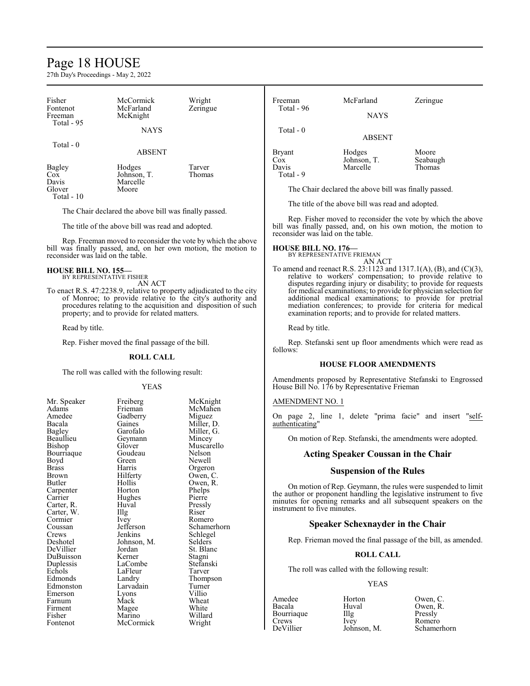# Page 18 HOUSE

27th Day's Proceedings - May 2, 2022

Firment Magee White Fisher Marino Willard Fontenot McCormick Wright

| Fisher<br>Fontenot<br>Freeman                                                                                                                                                                                                                                    | McCormick<br>McFarland<br>McKnight                    | Wright<br>Zeringue                                             | Freeman<br>Total - 96                                                                                                                                                                                                                                                                                                      | McFarland<br><b>NAYS</b>                                   | Zeringue                                                                                                                       |  |
|------------------------------------------------------------------------------------------------------------------------------------------------------------------------------------------------------------------------------------------------------------------|-------------------------------------------------------|----------------------------------------------------------------|----------------------------------------------------------------------------------------------------------------------------------------------------------------------------------------------------------------------------------------------------------------------------------------------------------------------------|------------------------------------------------------------|--------------------------------------------------------------------------------------------------------------------------------|--|
| Total - 95                                                                                                                                                                                                                                                       | <b>NAYS</b>                                           |                                                                | Total - 0                                                                                                                                                                                                                                                                                                                  | <b>ABSENT</b>                                              |                                                                                                                                |  |
| Total - 0                                                                                                                                                                                                                                                        |                                                       |                                                                |                                                                                                                                                                                                                                                                                                                            |                                                            |                                                                                                                                |  |
|                                                                                                                                                                                                                                                                  | <b>ABSENT</b>                                         |                                                                | <b>Bryant</b>                                                                                                                                                                                                                                                                                                              | Hodges                                                     | Moore                                                                                                                          |  |
| <b>Bagley</b>                                                                                                                                                                                                                                                    | Hodges                                                | Tarver                                                         | $\cos$<br>Davis                                                                                                                                                                                                                                                                                                            | Johnson, T.<br>Marcelle                                    | Seabaugh<br>Thomas                                                                                                             |  |
| Cox                                                                                                                                                                                                                                                              | Johnson, T.                                           | Thomas                                                         | Total - 9                                                                                                                                                                                                                                                                                                                  |                                                            |                                                                                                                                |  |
| Davis                                                                                                                                                                                                                                                            | Marcelle                                              |                                                                |                                                                                                                                                                                                                                                                                                                            |                                                            |                                                                                                                                |  |
| Glover<br>Total - 10                                                                                                                                                                                                                                             | Moore                                                 |                                                                |                                                                                                                                                                                                                                                                                                                            | The Chair declared the above bill was finally passed.      |                                                                                                                                |  |
|                                                                                                                                                                                                                                                                  | The Chair declared the above bill was finally passed. |                                                                |                                                                                                                                                                                                                                                                                                                            | The title of the above bill was read and adopted.          |                                                                                                                                |  |
|                                                                                                                                                                                                                                                                  | The title of the above bill was read and adopted.     |                                                                |                                                                                                                                                                                                                                                                                                                            |                                                            | Rep. Fisher moved to reconsider the vote by which the above<br>bill was finally passed, and, on his own motion, the motion to  |  |
|                                                                                                                                                                                                                                                                  |                                                       | Rep. Freeman moved to reconsider the vote by which the above   | reconsider was laid on the table.                                                                                                                                                                                                                                                                                          |                                                            |                                                                                                                                |  |
| reconsider was laid on the table.                                                                                                                                                                                                                                |                                                       | bill was finally passed, and, on her own motion, the motion to | <b>HOUSE BILL NO. 176-</b>                                                                                                                                                                                                                                                                                                 | BY REPRESENTATIVE FRIEMAN<br>AN ACT                        |                                                                                                                                |  |
| <b>HOUSE BILL NO. 155-</b>                                                                                                                                                                                                                                       | BY REPRESENTATIVE FISHER                              |                                                                |                                                                                                                                                                                                                                                                                                                            |                                                            | To amend and reenact R.S. 23:1123 and 1317.1(A), (B), and (C)(3),<br>relative to workers' compensation; to provide relative to |  |
| AN ACT<br>To enact R.S. 47:2238.9, relative to property adjudicated to the city<br>of Monroe; to provide relative to the city's authority and<br>procedures relating to the acquisition and disposition of such<br>property; and to provide for related matters. |                                                       |                                                                | disputes regarding injury or disability; to provide for requests<br>for medical examinations; to provide for physician selection for<br>additional medical examinations; to provide for pretrial<br>mediation conferences; to provide for criteria for medical<br>examination reports; and to provide for related matters. |                                                            |                                                                                                                                |  |
| Read by title.                                                                                                                                                                                                                                                   |                                                       |                                                                | Read by title.                                                                                                                                                                                                                                                                                                             |                                                            |                                                                                                                                |  |
|                                                                                                                                                                                                                                                                  | Rep. Fisher moved the final passage of the bill.      |                                                                | follows:                                                                                                                                                                                                                                                                                                                   | Rep. Stefanski sent up floor amendments which were read as |                                                                                                                                |  |
|                                                                                                                                                                                                                                                                  | <b>ROLL CALL</b>                                      |                                                                |                                                                                                                                                                                                                                                                                                                            |                                                            |                                                                                                                                |  |
|                                                                                                                                                                                                                                                                  | The roll was called with the following result:        |                                                                |                                                                                                                                                                                                                                                                                                                            | <b>HOUSE FLOOR AMENDMENTS</b>                              |                                                                                                                                |  |
|                                                                                                                                                                                                                                                                  | <b>YEAS</b>                                           |                                                                |                                                                                                                                                                                                                                                                                                                            | House Bill No. 176 by Representative Frieman               | Amendments proposed by Representative Stefanski to Engrossed                                                                   |  |
| Mr. Speaker                                                                                                                                                                                                                                                      | Freiberg                                              | McKnight                                                       | AMENDMENT NO. 1                                                                                                                                                                                                                                                                                                            |                                                            |                                                                                                                                |  |
| Adams<br>Amedee<br>Bacala                                                                                                                                                                                                                                        | Frieman<br>Gadberry<br>Gaines                         | McMahen<br>Miguez<br>Miller, D.                                | authenticating"                                                                                                                                                                                                                                                                                                            |                                                            | On page 2, line 1, delete "prima facie" and insert "self-                                                                      |  |
| Bagley<br>Beaullieu                                                                                                                                                                                                                                              | Garofalo<br>Geymann                                   | Miller, G.<br>Mincey                                           |                                                                                                                                                                                                                                                                                                                            |                                                            | On motion of Rep. Stefanski, the amendments were adopted.                                                                      |  |
| Bishop<br>Bourriaque                                                                                                                                                                                                                                             | Glover<br>Goudeau                                     | Muscarello<br>Nelson                                           |                                                                                                                                                                                                                                                                                                                            | <b>Acting Speaker Coussan in the Chair</b>                 |                                                                                                                                |  |
| Boyd                                                                                                                                                                                                                                                             | Green                                                 | Newell                                                         |                                                                                                                                                                                                                                                                                                                            |                                                            |                                                                                                                                |  |
| <b>Brass</b><br>Brown                                                                                                                                                                                                                                            | Harris<br>Hilferty                                    | Orgeron<br>Owen, C.                                            |                                                                                                                                                                                                                                                                                                                            | <b>Suspension of the Rules</b>                             |                                                                                                                                |  |
| Butler                                                                                                                                                                                                                                                           | Hollis                                                | Owen, R.                                                       |                                                                                                                                                                                                                                                                                                                            |                                                            | On motion of Rep. Geymann, the rules were suspended to limit                                                                   |  |
| Carpenter                                                                                                                                                                                                                                                        | Horton                                                | Phelps                                                         |                                                                                                                                                                                                                                                                                                                            |                                                            | the author or proponent handling the legislative instrument to five                                                            |  |
| Carrier<br>Carter, R.                                                                                                                                                                                                                                            | Hughes<br>Huval                                       | Pierre<br>Pressly                                              |                                                                                                                                                                                                                                                                                                                            |                                                            | minutes for opening remarks and all subsequent speakers on the                                                                 |  |
| Carter, W.                                                                                                                                                                                                                                                       | Illg                                                  | Riser                                                          | instrument to five minutes.                                                                                                                                                                                                                                                                                                |                                                            |                                                                                                                                |  |
| Cormier                                                                                                                                                                                                                                                          | Ivey                                                  | Romero                                                         |                                                                                                                                                                                                                                                                                                                            | <b>Speaker Schexnayder in the Chair</b>                    |                                                                                                                                |  |
| Coussan<br>Crews                                                                                                                                                                                                                                                 | Jefferson<br>Jenkins                                  | Schamerhorn                                                    |                                                                                                                                                                                                                                                                                                                            |                                                            |                                                                                                                                |  |
| Deshotel                                                                                                                                                                                                                                                         | Johnson, M.                                           | Schlegel<br>Selders                                            |                                                                                                                                                                                                                                                                                                                            |                                                            | Rep. Frieman moved the final passage of the bill, as amended.                                                                  |  |
| DeVillier                                                                                                                                                                                                                                                        | Jordan                                                | St. Blanc                                                      |                                                                                                                                                                                                                                                                                                                            |                                                            |                                                                                                                                |  |
| DuBuisson<br>Duplessis                                                                                                                                                                                                                                           | Kerner<br>LaCombe                                     | Stagni<br>Stefanski                                            |                                                                                                                                                                                                                                                                                                                            | <b>ROLL CALL</b>                                           |                                                                                                                                |  |
| Echols                                                                                                                                                                                                                                                           | LaFleur                                               | Tarver                                                         |                                                                                                                                                                                                                                                                                                                            | The roll was called with the following result:             |                                                                                                                                |  |
| Edmonds                                                                                                                                                                                                                                                          | Landry                                                | Thompson                                                       |                                                                                                                                                                                                                                                                                                                            |                                                            |                                                                                                                                |  |
| Edmonston                                                                                                                                                                                                                                                        | Larvadain                                             | Turner                                                         |                                                                                                                                                                                                                                                                                                                            | <b>YEAS</b>                                                |                                                                                                                                |  |
| Emerson<br>Farnum                                                                                                                                                                                                                                                | Lyons<br>Mack                                         | Villio<br>Wheat                                                | Amedee                                                                                                                                                                                                                                                                                                                     | Horton                                                     | Owen, C.                                                                                                                       |  |
| Firment                                                                                                                                                                                                                                                          | Magee                                                 | White                                                          | Bacala                                                                                                                                                                                                                                                                                                                     | Huval                                                      | Owen, R.                                                                                                                       |  |

# YEAS

| Amedee     | Horton      | Owen, C. |  |
|------------|-------------|----------|--|
| Bacala     | Huval       | Owen, R. |  |
| Bourriaque | Illg        | Pressly  |  |
| Crews      | <b>Ivev</b> | Romero   |  |
| DeVillier  | Johnson, M. | Schamerh |  |

Amedee Horton Owen, C. DeVillier Johnson, M. Schamerhorn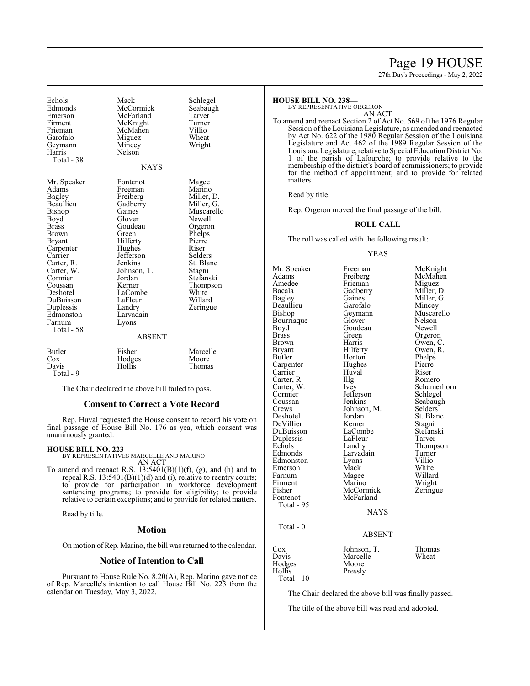# Page 19 HOUSE

27th Day's Proceedings - May 2, 2022

| Echols<br>Edmonds<br>Emerson<br>Firment<br>Frieman<br>Garofalo<br>Geymann<br>Harris<br>Total - 38                                                                                                                                              | Mack<br>McCormick<br>McFarland<br>McKnight<br>McMahen<br>Miguez<br>Mincey<br>Nelson<br><b>NAYS</b>                                                                                                                                          | Schlegel<br>Seabaugh<br>Tarver<br>Turner<br>Villio<br>Wheat<br>Wright                                                                                                                                  |
|------------------------------------------------------------------------------------------------------------------------------------------------------------------------------------------------------------------------------------------------|---------------------------------------------------------------------------------------------------------------------------------------------------------------------------------------------------------------------------------------------|--------------------------------------------------------------------------------------------------------------------------------------------------------------------------------------------------------|
| Mr. Speaker<br>Adams<br>Bagley<br>Beaullieu<br>Bishop<br>Boyd<br>Brass<br>Brown<br>Bryant<br>Carpenter<br>Carrier<br>Carter, R.<br>Carter, W.<br>Cormier<br>Coussan<br>Deshotel<br>DuBuisson<br>Duplessis<br>Edmonston<br>Farnum<br>Total - 58 | Fontenot<br>Freeman<br>Freiberg<br>Gadberry<br>Gaines<br>Glover<br>Goudeau<br>Green<br>Hilferty<br>Hughes<br>Jefferson<br>Jenkins<br>Johnson, T.<br>Jordan<br>Kerner<br>LaCombe<br>LaFleur<br>Landry<br>Larvadain<br>Lyons<br><b>ABSENT</b> | Magee<br>Marino<br>Miller, D.<br>Miller, G.<br>Muscarello<br>Newell<br>Orgeron<br>Phelps<br>Pierre<br>Riser<br>Selders<br>St. Blanc<br>Stagni<br>Stefanski<br>Thompson<br>White<br>Willard<br>Zeringue |
| <b>Butler</b><br>Cox<br>Davis<br>Total - 9                                                                                                                                                                                                     | Fisher<br>Hodges<br>Hollis                                                                                                                                                                                                                  | Marcelle<br>Moore<br>Thomas                                                                                                                                                                            |

The Chair declared the above bill failed to pass.

### **Consent to Correct a Vote Record**

Rep. Huval requested the House consent to record his vote on final passage of House Bill No. 176 as yea, which consent was unanimously granted.

#### **HOUSE BILL NO. 223—**

BY REPRESENTATIVES MARCELLE AND MARINO AN ACT

To amend and reenact R.S.  $13:5401(B)(1)(f)$ , (g), and (h) and to repeal R.S. 13:5401(B)(1)(d) and (i), relative to reentry courts; to provide for participation in workforce development sentencing programs; to provide for eligibility; to provide relative to certain exceptions; and to provide for related matters.

Read by title.

#### **Motion**

On motion of Rep. Marino, the bill was returned to the calendar.

# **Notice of Intention to Call**

Pursuant to House Rule No. 8.20(A), Rep. Marino gave notice of Rep. Marcelle's intention to call House Bill No. 223 from the calendar on Tuesday, May 3, 2022.

#### **HOUSE BILL NO. 238—**

BY REPRESENTATIVE ORGERON

AN ACT

To amend and reenact Section 2 of Act No. 569 of the 1976 Regular Session of the Louisiana Legislature, as amended and reenacted by Act No. 622 of the 1980 Regular Session of the Louisiana Legislature and Act 462 of the 1989 Regular Session of the Louisiana Legislature, relative to Special Education District No. 1 of the parish of Lafourche; to provide relative to the membership of the district's board of commissioners; to provide for the method of appointment; and to provide for related matters.

Read by title.

Rep. Orgeron moved the final passage of the bill.

### **ROLL CALL**

The roll was called with the following result:

#### YEAS

Mr. Speaker Freeman McKnight<br>
Adams Freiberg McMahen Adams Freiberg McMahen<br>Amedee Frieman Miguez Amedee Frieman Miguez<br>Bacala Gadberry Miller, D. Bacala Gadberry<br>Bagley Gaines Gaines Miller, G.<br>Garofalo Mincey Beaullieu Garofalo<br>Bishop Geymann Geymann Muscarello<br>Glover Nelson Bourriaque Glover Nelson<br>Boyd Goudeau Newell Boyd Goudeau<br>Brass Green Brass Green Orgeron<br>Brown Harris Owen, C Brown Harris Owen, C.<br>Bryant Hilferty Owen, R. Bryant Hilferty Owen, R. Butler Horton Phelps Horton Phelps<br>Hughes Pierre Carpenter Hughes Pierre<br>Carrier Huval Riser Carrier Huval Riser<br>
Carter, R. Illg Romero<br>
Carter, W. Ivey Schamer Carter, R.<br>Carter, W. Carter, W. Ivey Schamerhorn<br>
Cormier Jefferson Schlegel Cormier Jefferson Schlegel<br>Coussan Jenkins Seabaugl Coussan Jenkins Seabaugh<br>Crews Johnson, M. Selders Crews Johnson, M.<br>Deshotel Jordan Jordan St. Blanc<br>Kerner Stagni DeVillier Kerner Stagni<br>
DuBuisson LaCombe Stefanski DuBuisson LaCombe Stefans<br>
Duplessis LaFleur Tarver Duplessis LaFleur<br>Echols Landry Echols Landry Thompson<br>Edmonds Larvadain Turner Larvadain Turner<br>Lyons Villio Edmonston Lyons Villio<br>Emerson Mack White Emerson Mack White<br>
Farnum Magee Willard Farnum Magee Willard<br>Firment Marino Wright Firment Marino Wright<br>
Fisher McCormick Zeringue Fisher McCormick<br>Fontenot McFarland McFarland Total - 95 **NAYS**  Total - 0 ABSENT Cox Johnson, T. Thomas Marcelle<br>Moore Hodges<br>Hollis

Total - 10

The Chair declared the above bill was finally passed.

The title of the above bill was read and adopted.

Pressly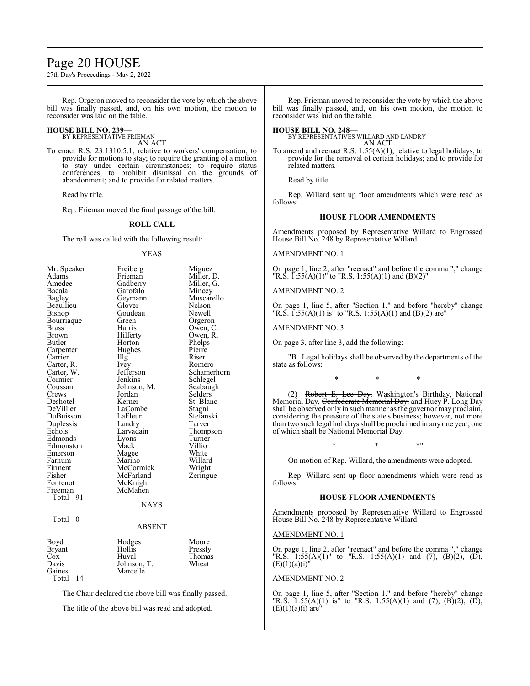# Page 20 HOUSE

27th Day's Proceedings - May 2, 2022

Rep. Orgeron moved to reconsider the vote by which the above bill was finally passed, and, on his own motion, the motion to reconsider was laid on the table.

### **HOUSE BILL NO. 239—**

BY REPRESENTATIVE FRIEMAN AN ACT

To enact R.S. 23:1310.5.1, relative to workers' compensation; to provide for motions to stay; to require the granting of a motion to stay under certain circumstances; to require status conferences; to prohibit dismissal on the grounds of abandonment; and to provide for related matters.

Read by title.

Rep. Frieman moved the final passage of the bill.

# **ROLL CALL**

The roll was called with the following result:

#### YEAS

| Mr. Speaker       | Freiberg    | Miguez      |
|-------------------|-------------|-------------|
| Adams             | Frieman     | Miller, D.  |
| Amedee            | Gadberry    | Miller, G.  |
| Bacala            | Garofalo    | Mincey      |
| Bagley            | Geymann     | Muscarello  |
| Beaullieu         | Glover      | Nelson      |
| Bishop            | Goudeau     | Newell      |
| Bourriaque        | Green       | Orgeron     |
| <b>Brass</b>      | Harris      | Owen, C.    |
| Brown             | Hilferty    | Owen, R.    |
| Butler            | Horton      | Phelps      |
| Carpenter         | Hughes      | Pierre      |
| Carrier           | Illg        | Riser       |
| Carter, R.        | <i>lvey</i> | Romero      |
| Carter, W.        | Jefferson   | Schamerhorn |
| Cormier           | Jenkins     | Schlegel    |
| Coussan           | Johnson, M. | Seabaugh    |
| Crews             | Jordan      | Selders     |
| Deshotel          | Kerner      | St. Blanc   |
| DeVillier         | LaCombe     | Stagni      |
| DuBuisson         | LaFleur     | Stefanski   |
| Duplessis         | Landry      | Tarver      |
| Echols            | Larvadain   | Thompson    |
| Edmonds           | Lyons       | Turner      |
| Edmonston         | Mack        | Villio      |
| Emerson           | Magee       | White       |
| Farnum            | Marino      | Willard     |
| Firment           | McCormick   | Wright      |
| Fisher            | McFarland   | Zeringue    |
| Fontenot          | McKnight    |             |
| Freeman           | McMahen     |             |
| Total - 91        |             |             |
|                   | <b>NAYS</b> |             |
|                   |             |             |
| Total - 0         |             |             |
|                   | ABSENT      |             |
| Boyd              | Hodges      | Moore       |
| Bryant            | Hollis      | Pressly     |
| Cox               | Huval       | Thomas      |
| Davis             | Johnson, T. | Wheat       |
| Gaines            | Marcelle    |             |
| <b>Total - 14</b> |             |             |
|                   |             |             |

The Chair declared the above bill was finally passed.

The title of the above bill was read and adopted.

Rep. Frieman moved to reconsider the vote by which the above bill was finally passed, and, on his own motion, the motion to reconsider was laid on the table.

#### **HOUSE BILL NO. 248—**

BY REPRESENTATIVES WILLARD AND LANDRY AN ACT

To amend and reenact R.S. 1:55(A)(1), relative to legal holidays; to provide for the removal of certain holidays; and to provide for related matters.

Read by title.

Rep. Willard sent up floor amendments which were read as follows:

#### **HOUSE FLOOR AMENDMENTS**

Amendments proposed by Representative Willard to Engrossed House Bill No. 248 by Representative Willard

### AMENDMENT NO. 1

On page 1, line 2, after "reenact" and before the comma "," change "R.S.  $\overline{1:}55(A)(1)$ " to "R.S. 1:55(A)(1) and (B)(2)"

#### AMENDMENT NO. 2

On page 1, line 5, after "Section 1." and before "hereby" change "R.S.  $\overline{1:55(A)(1)}$  is" to "R.S. 1:55(A)(1) and (B)(2) are"

### AMENDMENT NO. 3

On page 3, after line 3, add the following:

"B. Legal holidays shall be observed by the departments of the state as follows:

\* \* \*

(2) Robert E. Lee Day, Washington's Birthday, National Memorial Day, <del>Confederate Memorial Day,</del> and Huey P. Long Day shall be observed only in such manner as the governor may proclaim, considering the pressure of the state's business; however, not more than two such legal holidays shall be proclaimed in any one year, one of which shall be National Memorial Day.

\* \* \*"

On motion of Rep. Willard, the amendments were adopted.

Rep. Willard sent up floor amendments which were read as follows:

#### **HOUSE FLOOR AMENDMENTS**

Amendments proposed by Representative Willard to Engrossed House Bill No. 248 by Representative Willard

### AMENDMENT NO. 1

On page 1, line 2, after "reenact" and before the comma "," change "R.S.  $1:55(A)(1)$ " to "R.S. 1:55(A)(1) and (7), (B)(2), (D), (E)(1)(a)(i)"

#### AMENDMENT NO. 2

On page 1, line 5, after "Section 1." and before "hereby" change "R.S.  $1:55(A)(1)$  is" to "R.S.  $1:55(A)(1)$  and  $(7)$ ,  $(B)(2)$ ,  $(D)$ ,  $(E)(1)(a)(i)$  are"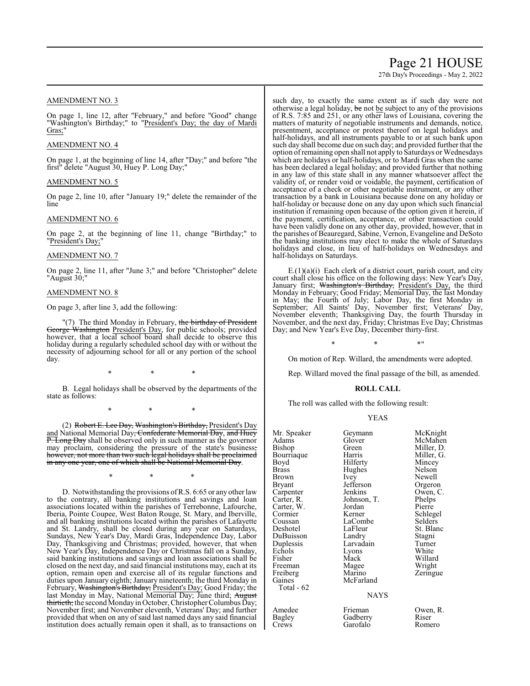# Page 21 HOUSE

27th Day's Proceedings - May 2, 2022

### AMENDMENT NO. 3

On page 1, line 12, after "February," and before "Good" change "Washington's Birthday;" to "President's Day; the day of Mardi Gras:

### AMENDMENT NO. 4

On page 1, at the beginning of line 14, after "Day;" and before "the first" delete "August 30, Huey P. Long Day;"

#### AMENDMENT NO. 5

On page 2, line 10, after "January 19;" delete the remainder of the line

### AMENDMENT NO. 6

On page 2, at the beginning of line 11, change "Birthday;" to "President's Day;"

### AMENDMENT NO. 7

On page 2, line 11, after "June 3;" and before "Christopher" delete "August 30;"

### AMENDMENT NO. 8

On page 3, after line 3, add the following:

"(7) The third Monday in February, the birthday of President George Washington President's Day, for public schools; provided however, that a local school board shall decide to observe this holiday during a regularly scheduled school day with or without the necessity of adjourning school for all or any portion of the school day.

\* \* \*

B. Legal holidays shall be observed by the departments of the state as follows:

\* \* \*

(2) Robert E. Lee Day, Washington's Birthday, President's Day and National Memorial Day<del>, Confederate Memorial Day, and Huey</del> **P. Long Day** shall be observed only in such manner as the governor may proclaim, considering the pressure of the state's business; however, not more than two such legal holidays shall be proclaimed in any one year, one of which shall be National Memorial Day.

\* \* \*

D. Notwithstanding the provisions ofR.S. 6:65 or any other law to the contrary, all banking institutions and savings and loan associations located within the parishes of Terrebonne, Lafourche, Iberia, Pointe Coupee, West Baton Rouge, St. Mary, and Iberville, and all banking institutions located within the parishes of Lafayette and St. Landry, shall be closed during any year on Saturdays, Sundays, New Year's Day, Mardi Gras, Independence Day, Labor Day, Thanksgiving and Christmas; provided, however, that when New Year's Day, Independence Day or Christmas fall on a Sunday, said banking institutions and savings and loan associations shall be closed on the next day, and said financial institutions may, each at its option, remain open and exercise all of its regular functions and duties upon January eighth; January nineteenth; the third Monday in February, Washington's Birthday; President's Day; Good Friday; the last Monday in May, National Memorial Day; June third; August thirtieth; the second Mondayin October, Christopher Columbus Day; November first; and November eleventh, Veterans' Day; and further provided that when on any of said last named days any said financial institution does actually remain open it shall, as to transactions on such day, to exactly the same extent as if such day were not otherwise a legal holiday, be not be subject to any of the provisions of R.S. 7:85 and 251, or any other laws of Louisiana, covering the matters of maturity of negotiable instruments and demands, notice, presentment, acceptance or protest thereof on legal holidays and half-holidays, and all instruments payable to or at such bank upon such day shall become due on such day; and provided further that the option ofremaining open shall not apply to Saturdays or Wednesdays which are holidays or half-holidays, or to Mardi Gras when the same has been declared a legal holiday; and provided further that nothing in any law of this state shall in any manner whatsoever affect the validity of, or render void or voidable, the payment, certification of acceptance of a check or other negotiable instrument, or any other transaction by a bank in Louisiana because done on any holiday or half-holiday or because done on any day upon which such financial institution if remaining open because of the option given it herein, if the payment, certification, acceptance, or other transaction could have been validly done on any other day, provided, however, that in the parishes of Beauregard, Sabine, Vernon, Evangeline and DeSoto the banking institutions may elect to make the whole of Saturdays holidays and close, in lieu of half-holidays on Wednesdays and half-holidays on Saturdays.

E.(1)(a)(i) Each clerk of a district court, parish court, and city court shall close his office on the following days: New Year's Day, January first; Washington's Birthday, President's Day, the third Monday in February; Good Friday; Memorial Day, the last Monday in May; the Fourth of July; Labor Day, the first Monday in September; All Saints' Day, November first; Veterans' Day, November eleventh; Thanksgiving Day, the fourth Thursday in November, and the next day, Friday; Christmas Eve Day; Christmas Day; and New Year's Eve Day, December thirty-first.

 $*$  \*  $*$  \*

On motion of Rep. Willard, the amendments were adopted.

Rep. Willard moved the final passage of the bill, as amended.

#### **ROLL CALL**

The roll was called with the following result:

|  | ٠ |
|--|---|
|  |   |

| Mr. Speaker                                                                                                                 | Geymann                                                                                                      | McKnight                                                                                       |
|-----------------------------------------------------------------------------------------------------------------------------|--------------------------------------------------------------------------------------------------------------|------------------------------------------------------------------------------------------------|
| Adams                                                                                                                       | Glover                                                                                                       | McMahen                                                                                        |
| Bishop                                                                                                                      | Green                                                                                                        | Miller, D.                                                                                     |
| Bourriaque                                                                                                                  | Harris                                                                                                       | Miller, G.                                                                                     |
| Boyd                                                                                                                        | Hilferty                                                                                                     | Mincey                                                                                         |
| Brass                                                                                                                       | Hughes                                                                                                       | Nelson                                                                                         |
| Brown                                                                                                                       | Ivey                                                                                                         | Newell                                                                                         |
| Bryant                                                                                                                      | Jefferson                                                                                                    | Orgeron                                                                                        |
| Carpenter                                                                                                                   | Jenkins                                                                                                      | Owen, C.                                                                                       |
| Carter, R.                                                                                                                  | Johnson, T.                                                                                                  | Phelps                                                                                         |
| Carter, W.                                                                                                                  | Jordan                                                                                                       | Pierre                                                                                         |
| Cormier<br>Coussan<br>Deshotel<br>DuBuisson<br>Duplessis<br>Echols<br>Fisher<br>Freeman<br>Freiberg<br>Gaines<br>Total - 62 | Kerner<br>LaCombe<br>LaFleur<br>Landry<br>Larvadain<br>Lyons<br>Mack<br>Magee<br>Marino<br>McFarland<br>NAYS | Schlegel<br>Selders<br>St. Blanc<br>Stagni<br>Turner<br>White<br>Willard<br>Wright<br>Zeringue |
| Amedee                                                                                                                      | Frieman                                                                                                      | Owen, R.                                                                                       |
| Bagley                                                                                                                      | Gadberry                                                                                                     | Riser                                                                                          |
| Crews                                                                                                                       | Garofalo                                                                                                     | Romero                                                                                         |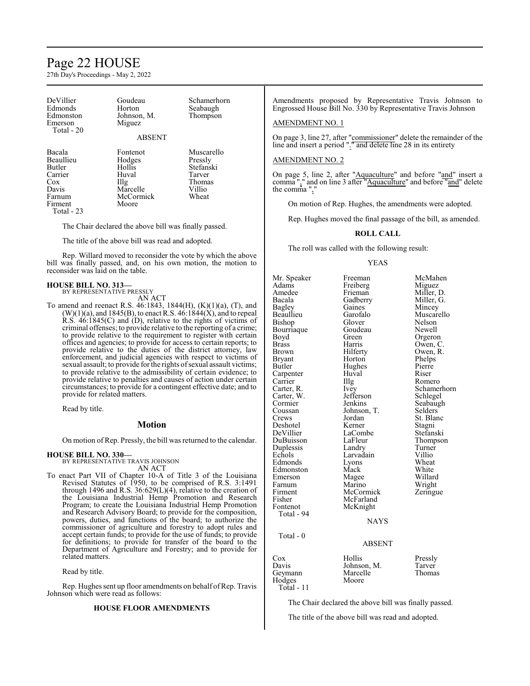# Page 22 HOUSE

27th Day's Proceedings - May 2, 2022

DeVillier Goudeau Schamerhorn Edmonds Horton Seabaugh<br>Edmonston Johnson, M. Thompson Edmonston Johnson, M.<br>Emerson Miguez Total - 20

Miguez

Beaullieu Hodges<br>Butler Hollis Carrier Huval Tarver Cox Illg Thomas<br>Davis Marcelle Villio Davis Marcelle Villio<br>
Farnum McCormick Wheat Firment Total - 23

ABSENT Bacala Fontenot Muscarello

Butler Hollis Stefanski

The Chair declared the above bill was finally passed.

The title of the above bill was read and adopted.

McCormick<br>Moore

Rep. Willard moved to reconsider the vote by which the above bill was finally passed, and, on his own motion, the motion to reconsider was laid on the table.

#### **HOUSE BILL NO. 313—** BY REPRESENTATIVE PRESSLY

AN ACT

To amend and reenact R.S. 46:1843, 1844(H), (K)(1)(a), (T), and  $(W)(1)(a)$ , and 1845(B), to enact R.S.  $4\delta$ :1844(X), and to repeal R.S. 46:1845(C) and (D), relative to the rights of victims of criminal offenses; to provide relative to the reporting of a crime; to provide relative to the requirement to register with certain offices and agencies; to provide for access to certain reports; to provide relative to the duties of the district attorney, law enforcement, and judicial agencies with respect to victims of sexual assault; to provide for the rights of sexual assault victims; to provide relative to the admissibility of certain evidence; to provide relative to penalties and causes of action under certain circumstances; to provide for a contingent effective date; and to provide for related matters.

Read by title.

# **Motion**

On motion of Rep. Pressly, the bill was returned to the calendar.

#### **HOUSE BILL NO. 330—**

BY REPRESENTATIVE TRAVIS JOHNSON AN ACT

To enact Part VII of Chapter 10-A of Title 3 of the Louisiana Revised Statutes of 1950, to be comprised of R.S. 3:1491 through 1496 and R.S. 36:629(L)(4), relative to the creation of the Louisiana Industrial Hemp Promotion and Research Program; to create the Louisiana Industrial Hemp Promotion and Research Advisory Board; to provide for the composition, powers, duties, and functions of the board; to authorize the commissioner of agriculture and forestry to adopt rules and accept certain funds; to provide for the use of funds; to provide for definitions; to provide for transfer of the board to the Department of Agriculture and Forestry; and to provide for related matters.

Read by title.

Rep. Hughes sent up floor amendments on behalf of Rep. Travis Johnson which were read as follows:

#### **HOUSE FLOOR AMENDMENTS**

Amendments proposed by Representative Travis Johnson to Engrossed House Bill No. 330 by Representative Travis Johnson

# AMENDMENT NO. 1

On page 3, line 27, after "commissioner" delete the remainder of the line and insert a period "." and delete line 28 in its entirety

### AMENDMENT NO. 2

On page 5, line 2, after "Aquaculture" and before "and" insert a comma "," and on line 3 after "Aquaculture" and before "and" delete the comma ",'

On motion of Rep. Hughes, the amendments were adopted.

Rep. Hughes moved the final passage of the bill, as amended.

#### **ROLL CALL**

The roll was called with the following result:

#### YEAS

Mr. Speaker Freeman McMahen<br>Adams Freiberg Miguez Adams Freiberg<br>Amedee Frieman Amedee Frieman Miller, D.<br>Bacala Gadberry Miller, G. Bagley Gaines<br>Beaullieu Garofalo Beaullieu Garofalo Muscarello<br>Bishop Glover Nelson Bourriaque Goude<br>Boyd Green Boyd Green Orgeron Brass Harris Owen, C. Brown Hilferty Owen, R.<br>Bryant Horton Phelps Bryant Horton Phelps<br>Butler Hughes Pierre Hughes Carpenter Huval Riser<br>Carrier Hugh Rome Carrier IIIg Romero<br>Carter, R. Ivey Schame Carter, W. Jefferson<br>Cormier Jenkins Cormier Jenkins Seabaugh<br>Coussan Johnson, T. Selders Coussan Johnson, T.<br>Crews Jordan Deshotel Kerner<br>DeVillier LaCombe DuBuisson LaFleur Thomp<br>
Duplessis Landry Turner Duplessis Landry Turner<br>
Echols Larvadain Villio Edmonds Lyons Wheat<br>Edmonston Mack White Edmonston Mack<br>Emerson Magee Farnum Marino Wright<br>
Firment McCormick Zeringue Firment McCormick<br>Fisher McFarland Fisher McFarland<br>Fontenot McKnight McKnight Total - 94

Gadberry Miller,<br>Gaines Mincev Glover Nelson<br>Goudeau Newell Ivey Schamerhorn<br>Jefferson Schlegel Jordan St. Blanc<br>Kerner Stagni LaCombe Stefanski<br>LaFleur Thompson Larvadain Villio<br>Lyons Wheat Magee Willard<br>
Marino Wright

# NAYS

# Total - 0

# ABSENT

| Cox          | Hollis      | Pressly |
|--------------|-------------|---------|
| Davis        | Johnson, M. | Tarver  |
| Geymann      | Marcelle    | Thomas  |
| Hodges       | Moore       |         |
| $Toial - 11$ |             |         |

The Chair declared the above bill was finally passed.

The title of the above bill was read and adopted.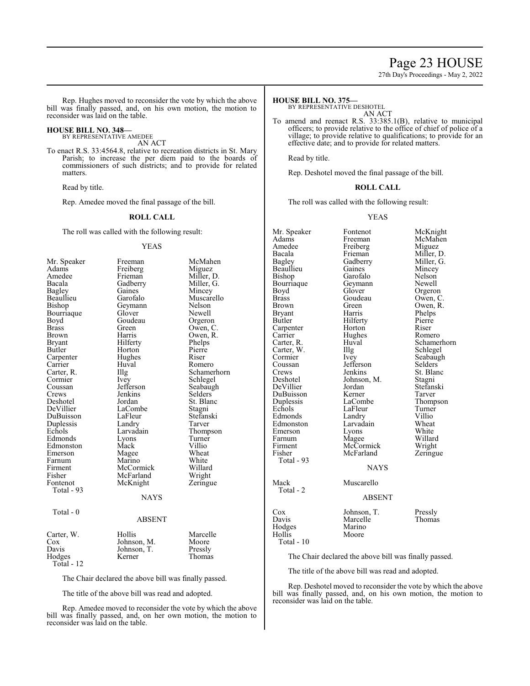# Page 23 HOUSE

27th Day's Proceedings - May 2, 2022

Rep. Hughes moved to reconsider the vote by which the above bill was finally passed, and, on his own motion, the motion to reconsider was laid on the table.

### **HOUSE BILL NO. 348—**

BY REPRESENTATIVE AMEDEE AN ACT

To enact R.S. 33:4564.8, relative to recreation districts in St. Mary Parish; to increase the per diem paid to the boards of commissioners of such districts; and to provide for related matters.

Read by title.

Rep. Amedee moved the final passage of the bill.

#### **ROLL CALL**

The roll was called with the following result:

#### YEAS

| Mr. Speaker | Freeman       | McMahen     |
|-------------|---------------|-------------|
| Adams       | Freiberg      | Miguez      |
| Amedee      | Frieman       | Miller, D.  |
| Bacala      | Gadberry      | Miller, G.  |
| Bagley      | Gaines        | Mincey      |
| Beaullieu   | Garofalo      | Muscarello  |
| Bishop      | Geymann       | Nelson      |
| Bourriaque  | Glover        | Newell      |
| Boyd        | Goudeau       | Orgeron     |
| Brass       | Green         | Owen, C.    |
| Brown       | Harris        | Owen, R.    |
| Bryant      | Hilferty      | Phelps      |
| Butler      | Horton        | Pierre      |
| Carpenter   | Hughes        | Riser       |
| Carrier     | Huval         | Romero      |
| Carter, R.  | Illg          | Schamerhorn |
| Cormier     | Ivey          | Schlegel    |
| Coussan     | Jefferson     | Seabaugh    |
| Crews       | Jenkins       | Selders     |
| Deshotel    | Jordan        | St. Blanc   |
| DeVillier   | LaCombe       | Stagni      |
| DuBuisson   | LaFleur       | Stefanski   |
| Duplessis   | Landry        | Tarver      |
| Echols      | Larvadain     | Thompson    |
| Edmonds     | Lyons         | Turner      |
| Edmonston   | Mack          | Villio      |
| Emerson     | Magee         | Wheat       |
| Farnum      | Marino        | White       |
| Firment     | McCormick     | Willard     |
| Fisher      | McFarland     | Wright      |
| Fontenot    | McKnight      | Zeringue    |
| Total - 93  |               |             |
|             | <b>NAYS</b>   |             |
| Total - 0   |               |             |
|             | <b>ABSENT</b> |             |
| Carter, W.  | Hollis        | Marcelle    |
| $\cos$      | Johnson, M.   | Moore       |
| Davis       | Johnson, T.   | Pressly     |
| Hodges      | Kerner        | Thomas      |
| Total - 12  |               |             |

The Chair declared the above bill was finally passed.

The title of the above bill was read and adopted.

Rep. Amedee moved to reconsider the vote by which the above bill was finally passed, and, on her own motion, the motion to reconsider was laid on the table.

#### **HOUSE BILL NO. 375—**

BY REPRESENTATIVE DESHOTEL

AN ACT

To amend and reenact R.S. 33:385.1(B), relative to municipal officers; to provide relative to the office of chief of police of a village; to provide relative to qualifications; to provide for an effective date; and to provide for related matters.

Read by title.

Rep. Deshotel moved the final passage of the bill.

#### **ROLL CALL**

The roll was called with the following result:

#### YEAS

Mr. Speaker Fontenot McKnight<br>Adams Freeman McMahen Adams Freeman McMahen<br>Amedee Freiberg Miguez Amedee Freiberg<br>Bacala Frieman Bacala Frieman Miller, D.<br>Bagley Gadberry Miller, G. Beaullieu Gaines Mincey<br>Bishop Garofalo Nelson Bourriaque Geyman<br>Boyd Glover Boyd Glover Orgeron<br>Brass Goudeau Owen, C Brass Goudeau<br>Brown Green Bryant Harris Phelps<br>Butler Hilferty Pierre Carpenter Horton<br>Carrier Hughes Carrier Hughes Romero<br>Carter, R. Huval Schamer Carter, W.<br>Cormier Cormier Ivey Seabaugh<br>
Coussan Iefferson Selders Coussan Jefferson<br>Crews Jenkins Crews Jenkins St. Blanc<br>
Deshotel Johnson, M. Stagni DeVillier Jordan Stefans<br>DuBuisson Kerner Tarver DuBuisson Kerner<br>Duplessis LaCombe Duplessis LaCombe Thompson<br>
Echols LaFleur Turner Edmonds Landry Villio<br>Edmonston Larvadain Wheat Edmonston Larvadain Wheat<br>
Emerson Lyons White Emerson Lyons<br>Farnum Magee Farnum Magee Willard<br>Firment McCormick Wright Firment McCormick Wright<br>
Fisher McFarland Zeringue McFarland Total - 93 Mack Muscarello Total - 2 Cox Johnson, T. Pressly<br>Davis Marcelle Thomas Hodges<br>Hollis

Gadberry Miller, 0<br>Gaines Mincey Garofalo Nelson<br>Geymann Newell Green Owen, R.<br>Harris Phelps Hilferty<br>
Horton Riser Huval Schamerhorn<br>
Illg Schlegel Johnson, M. Stagni<br>Jordan Stefanski LaFleur Turner<br>
Landrv Villio

#### NAYS

# ABSENT

Moore

Marcelle Thomas<br>Marino

Total - 10

The Chair declared the above bill was finally passed.

The title of the above bill was read and adopted.

Rep. Deshotel moved to reconsider the vote by which the above bill was finally passed, and, on his own motion, the motion to reconsider was laid on the table.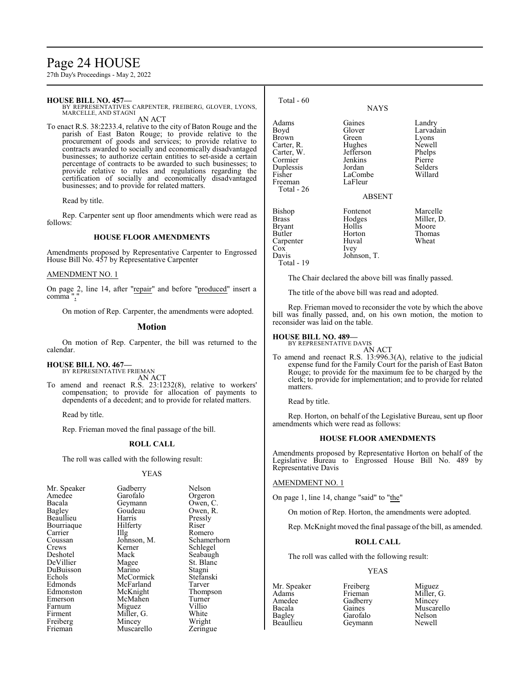# Page 24 HOUSE

27th Day's Proceedings - May 2, 2022

### **HOUSE BILL NO. 457—**

BY REPRESENTATIVES CARPENTER, FREIBERG, GLOVER, LYONS, MARCELLE, AND STAGNI AN ACT

To enact R.S. 38:2233.4, relative to the city of Baton Rouge and the parish of East Baton Rouge; to provide relative to the procurement of goods and services; to provide relative to contracts awarded to socially and economically disadvantaged businesses; to authorize certain entities to set-aside a certain percentage of contracts to be awarded to such businesses; to provide relative to rules and regulations regarding the certification of socially and economically disadvantaged businesses; and to provide for related matters.

Read by title.

Rep. Carpenter sent up floor amendments which were read as follows:

#### **HOUSE FLOOR AMENDMENTS**

Amendments proposed by Representative Carpenter to Engrossed House Bill No. 457 by Representative Carpenter

#### AMENDMENT NO. 1

On page 2, line 14, after " $repair$ " and before " $produced$ " insert a</u></u> comma",

On motion of Rep. Carpenter, the amendments were adopted.

#### **Motion**

On motion of Rep. Carpenter, the bill was returned to the calendar.

#### **HOUSE BILL NO. 467—**

BY REPRESENTATIVE FRIEMAN AN ACT

To amend and reenact R.S. 23:1232(8), relative to workers' compensation; to provide for allocation of payments to dependents of a decedent; and to provide for related matters.

Read by title.

Rep. Frieman moved the final passage of the bill.

#### **ROLL CALL**

The roll was called with the following result:

#### YEAS

| Gadberry   |
|------------|
| Garofalo   |
| Geymann    |
| Goudeau    |
| Harris     |
| Hilferty   |
| Illg       |
| Johnson, M |
| Kerner     |
| Mack       |
| Magee      |
| Marino     |
| McCormicl  |
| McFarland  |
| McKnight   |
| McMahen    |
| Miguez     |
| Miller, G. |
| Mincey     |
| Muscarello |
|            |

Gadberry Nelson<br>Garofalo Orgero Garofalo Orgeron<br>Geymann Owen, C Geymann Owen, C.<br>Goudeau Owen, R. Goudeau Owen, R.<br>Harris Pressly Pressly<br>Riser Illg Romero<br>Johnson, M. Schamer Johnson, M. Schamerhorn<br>Kerner Schlegel Kerner Schlegel<br>Mack Seabaugh Mack Seabaugh<br>
Magee St. Blanc Magee St. Blanc<br>
Marino Stagni Stagni<br>Stefanski McCormick Stefans<br>McFarland Tarver McFarland Tarver<br>
McKnight Thompson McKnight Thomp<br>
McMahen Turner McMahen Turner<br>
Miguez Villio Miguez Villio<br>
Miller. G. White Miller, G. White<br>Mincey Wright Mincey Wright<br>
Muscarello Zeringue

| Total - 60                                                                                                           | <b>NAYS</b>                                                                                    |                                                                                  |
|----------------------------------------------------------------------------------------------------------------------|------------------------------------------------------------------------------------------------|----------------------------------------------------------------------------------|
| Adams<br>Boyd<br><b>Brown</b><br>Carter, R.<br>Carter, W.<br>Cormier<br>Duplessis<br>Fisher<br>Freeman<br>Total - 26 | Gaines<br>Glover<br>Green<br>Hughes<br>Jefferson<br>Jenkins<br>Jordan<br>LaCombe<br>LaFleur    | Landry<br>Larvadain<br>Lyons<br>Newell<br>Phelps<br>Pierre<br>Selders<br>Willard |
| Bishop<br><b>Brass</b><br><b>Bryant</b><br><b>Butler</b><br>Carpenter<br>Cox<br>Davis<br>Total - 19                  | <b>ABSENT</b><br>Fontenot<br>Hodges<br>Hollis<br>Horton<br>Huval<br><i>lvey</i><br>Johnson, T. | Marcelle<br>Miller, D.<br>Moore<br>Thomas<br>Wheat                               |

The Chair declared the above bill was finally passed.

The title of the above bill was read and adopted.

Rep. Frieman moved to reconsider the vote by which the above bill was finally passed, and, on his own motion, the motion to reconsider was laid on the table.

#### **HOUSE BILL NO. 489—** BY REPRESENTATIVE DAVIS

AN ACT To amend and reenact R.S. 13:996.3(A), relative to the judicial expense fund for the Family Court for the parish of East Baton Rouge; to provide for the maximum fee to be charged by the clerk; to provide for implementation; and to provide for related matters.

Read by title.

Rep. Horton, on behalf of the Legislative Bureau, sent up floor amendments which were read as follows:

### **HOUSE FLOOR AMENDMENTS**

Amendments proposed by Representative Horton on behalf of the Legislative Bureau to Engrossed House Bill No. 489 by Representative Davis

#### AMENDMENT NO. 1

On page 1, line 14, change "said" to "the"

On motion of Rep. Horton, the amendments were adopted.

Rep. McKnight moved the final passage of the bill, as amended.

# **ROLL CALL**

The roll was called with the following result:

Geymann

# YEAS

Amedee Gadberry<br>Bacala Gaines Bagley Garofalo Nelson

Mr. Speaker Freiberg Miguez<br>Adams Frieman Miller. Adams Frieman Miller, G.<br>Amedee Gadberry Mincey Bacala Gaines Muscarello<br>
Bagley Garofalo Nelson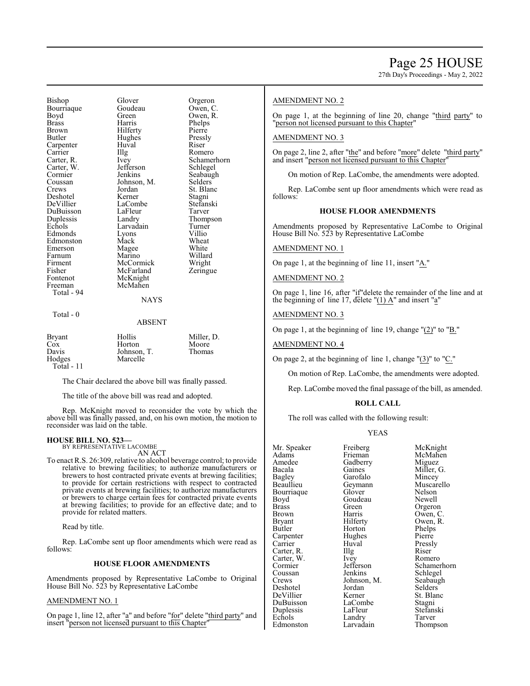Bishop Glover Greenon<br>Bourriaque Goudeau Owen C Bourriaque Goude<br>Boyd Green Boyd Green Owen, R.<br>Brass Harris Phelps Brass Harris Phelps Brown Hilferty Pierre<br>Butler Hughes Pressly Carpenter Huval Riser<br>Carrier Huyal Rome Carrier Illg Romero<br>Carter, R. Ivey Schame Carter, W. Jefferson Cormier Jenkins Seabaugh<br>Coussan Johnson, M. Selders Coussan Johnson, M.<br>Crews Jordan Deshotel Kerner Stagni<br>DeVillier LaCombe Stefanski DeVillier DuBuisson LaFleur Tarver<br>
Duplessis Landry Thomp Duplessis Landry Thompson<br>
Echols Larvadain Turner Echols Larvadain Turne<br>Edmonds Lyons Villio Edmonston Mack Wheat<br>
Emerson Magee White Emerson Magee White<br>
Farnum Marino Willard Farnum Marino Willard Firment McCormick<br>
Fisher McFarland Fisher McFarland Zeringue<br>Fontenot McKnight Fontenot McKnight<br>Freeman McMahen Total - 94

Hughes Jordan St. Blanc<br>Kerner Stagni Lyons Villio<br>
Mack Wheat McMahen

Ivey Schamerhorn<br>Jefferson Schlegel

# **NAYS**

#### Total - 0

#### ABSENT

| <b>Bryant</b> | Hollis      | Miller, D. |
|---------------|-------------|------------|
| Cox           | Horton      | Moore      |
| Davis         | Johnson, T. | Thomas     |
| Hodges        | Marcelle    |            |
| Total - 11    |             |            |

The Chair declared the above bill was finally passed.

The title of the above bill was read and adopted.

Rep. McKnight moved to reconsider the vote by which the above bill was finally passed, and, on his own motion, the motion to reconsider was laid on the table.

#### **HOUSE BILL NO. 523—**

BY REPRESENTATIVE LACOMBE AN ACT

To enact R.S. 26:309, relative to alcohol beverage control; to provide relative to brewing facilities; to authorize manufacturers or brewers to host contracted private events at brewing facilities; to provide for certain restrictions with respect to contracted private events at brewing facilities; to authorize manufacturers or brewers to charge certain fees for contracted private events at brewing facilities; to provide for an effective date; and to provide for related matters.

Read by title.

Rep. LaCombe sent up floor amendments which were read as follows:

#### **HOUSE FLOOR AMENDMENTS**

Amendments proposed by Representative LaCombe to Original House Bill No. 523 by Representative LaCombe

# AMENDMENT NO. 1

On page 1, line 12, after "a" and before "for" delete "third party" and insert "person not licensed pursuant to this Chapter"

### AMENDMENT NO. 2

On page 1, at the beginning of line 20, change "third party" to "person not licensed pursuant to this Chapter"

#### AMENDMENT NO. 3

On page 2, line 2, after "the" and before "more" delete "third party" and insert "person not licensed pursuant to this Chapter"

On motion of Rep. LaCombe, the amendments were adopted.

Rep. LaCombe sent up floor amendments which were read as follows:

#### **HOUSE FLOOR AMENDMENTS**

Amendments proposed by Representative LaCombe to Original House Bill No. 523 by Representative LaCombe

# AMENDMENT NO. 1

On page 1, at the beginning of line 11, insert "A."

#### AMENDMENT NO. 2

On page 1, line 16, after "if"delete the remainder of the line and at the beginning of line 17, delete  $(1)$  A" and insert "a"

# AMENDMENT NO. 3

On page 1, at the beginning of line 19, change "(2)" to "B."

AMENDMENT NO. 4

On page 2, at the beginning of line 1, change "(3)" to "C."

On motion of Rep. LaCombe, the amendments were adopted.

Rep. LaCombe moved the final passage of the bill, as amended.

# **ROLL CALL**

The roll was called with the following result:

#### YEAS

| Mr. Speaker   | Freiberg    | McKnight   |
|---------------|-------------|------------|
| Adams         | Frieman     | McMahen    |
| Amedee        | Gadberry    | Miguez     |
| Bacala        | Gaines      | Miller, G. |
| <b>Bagley</b> | Garofalo    | Mincey     |
| Beaullieu     | Geymann     | Muscarello |
| Bourriaque    | Glover      | Nelson     |
| Boyd          | Goudeau     | Newell     |
| <b>Brass</b>  | Green       | Orgeron    |
| Brown         | Harris      | Owen, C.   |
| Bryant        | Hilferty    | Owen, R.   |
| Butler        | Horton      | Phelps     |
| Carpenter     | Hughes      | Pierre     |
| Carrier       | Huval       | Pressly    |
| Carter, R.    | Illg        | Riser      |
| Carter, W.    | Ivey        | Romero     |
| Cormier       | Jefferson   | Schamerho  |
| Coussan       | Jenkins     | Schlegel   |
| Crews         | Johnson, M. | Seabaugh   |
| Deshotel      | Jordan      | Selders    |
| DeVillier     | Kerner      | St. Blanc  |
| DuBuisson     | LaCombe     | Stagni     |
| Duplessis     | LaFleur     | Stefanski  |
| Echols        | Landry      | Tarver     |
|               |             |            |

Phelps<br>Pierre Huval Pressly<br>
Illg Riser Jefferson Schamerhorn<br>Jenkins Schlegel Schlegel<br>Seabaugh Stefanski<br>Tarver Edmonston Larvadain Thompson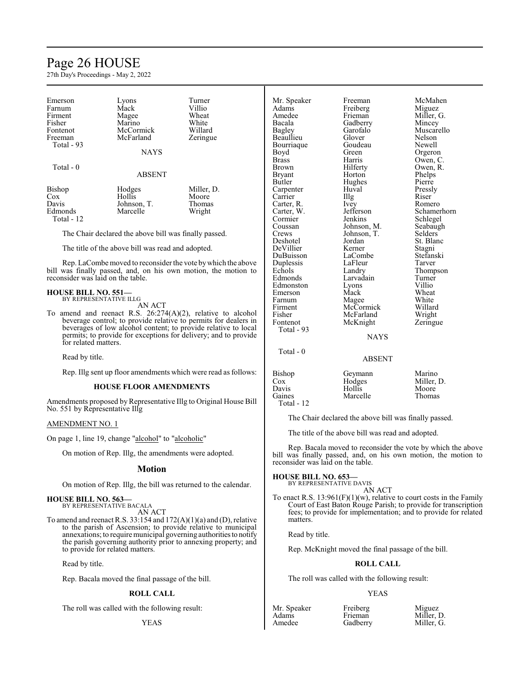# Page 26 HOUSE

27th Day's Proceedings - May 2, 2022

| Emerson               | Lyons                   | Turner     |
|-----------------------|-------------------------|------------|
| Farnum                | Mack                    | Villio     |
| Firment               | Magee                   | Wheat      |
| Fisher                | Marino                  | White      |
| Fontenot              | McCormick               | Willard    |
| Freeman<br>Total - 93 | McFarland               | Zeringue   |
|                       | <b>NAYS</b>             |            |
| Total - 0             | <b>ABSENT</b>           |            |
| Bishop                | Hodges                  | Miller, D. |
| $\cos$<br>Davis       | Hollis                  | Moore      |
|                       | Johnson, T.<br>Marcelle | Thomas     |
| Edmonds<br>Total - 12 |                         | Wright     |

The Chair declared the above bill was finally passed.

The title of the above bill was read and adopted.

Rep. LaCombe moved to reconsider the vote by which the above bill was finally passed, and, on his own motion, the motion to reconsider was laid on the table.

#### **HOUSE BILL NO. 551—**

BY REPRESENTATIVE ILLG AN ACT

To amend and reenact R.S. 26:274(A)(2), relative to alcohol beverage control; to provide relative to permits for dealers in beverages of low alcohol content; to provide relative to local permits; to provide for exceptions for delivery; and to provide for related matters.

Read by title.

Rep. Illg sent up floor amendments which were read as follows:

# **HOUSE FLOOR AMENDMENTS**

Amendments proposed by Representative Illg to Original House Bill No. 551 by Representative Illg

### AMENDMENT NO. 1

On page 1, line 19, change "alcohol" to "alcoholic"

On motion of Rep. Illg, the amendments were adopted.

#### **Motion**

On motion of Rep. Illg, the bill was returned to the calendar.

**HOUSE BILL NO. 563—** BY REPRESENTATIVE BACALA

AN ACT

To amend and reenact R.S. 33:154 and 172(A)(1)(a) and (D), relative to the parish of Ascension; to provide relative to municipal annexations; to require municipal governing authoritiesto notify the parish governing authority prior to annexing property; and to provide for related matters.

Read by title.

Rep. Bacala moved the final passage of the bill.

# **ROLL CALL**

The roll was called with the following result:

YEAS

| Mr. Speaker  | Freeman     | McMal   |
|--------------|-------------|---------|
| Adams        | Freiberg    | Miguez  |
| Amedee       | Frieman     | Miller, |
| Bacala       | Gadberry    | Mincey  |
| Bagley       | Garofalo    | Muscar  |
| Beaullieu    | Glover      | Nelson  |
| Bourriaque   | Goudeau     | Newell  |
| Boyd         | Green       | Orgero  |
| <b>Brass</b> | Harris      | Owen,   |
| Brown        | Hilferty    | Owen,   |
| Bryant       | Horton      | Phelps  |
| Butler       | Hughes      | Pierre  |
| Carpenter    | Huval       | Pressly |
| Carrier      | Illg        | Riser   |
| Carter, R.   | Ivey        | Romer   |
| Carter, W.   | Jefferson   | Scham   |
| Cormier      | Jenkins     | Schleg  |
| Coussan      | Johnson, M. | Seabau  |
| Crews        | Johnson, T. | Selders |
| Deshotel     | Jordan      | St. Bla |
| DeVillier    | Kerner      | Stagni  |
| DuBuisson    | LaCombe     | Stefans |
| Duplessis    | LaFleur     | Tarver  |
| Echols       | Landry      | Thomp   |
| Edmonds      | Larvadain   | Turner  |
| Edmonston    | Lyons       | Villio  |
| Emerson      | Mack        | Wheat   |
| Farnum       | Magee       | White   |
| Firment      | McCormick   | Willard |
| Fisher       | McFarland   | Wright  |
| Fontenot     | McKnight    | Zering  |
| Total - 93   |             |         |
|              | <b>NAYS</b> |         |

Total - 0

Freeman McMahen<br>Freiberg Miguez Freiberg<br>Frieman Gadberry<br>Garofalo Garofalo Muscarello<br>Glover Nelson Goudeau Newell<br>Green Orgero Green Orgeron<br>Harris Owen, C Harris Owen, C.<br>Hilferty Owen, R. Horton Phelps<br>Hughes Pierre Hughes<br>Huval Huval Pressly<br>Illg Riser Ivey Romero<br>Jefferson Schame: Johnson, M. Seabaughter Seabaughter Seabaughter Seabaughter Seabaughter Seabaughter Seabaughter Seabaughter Seabaughter Seabaughter Seabaughter Seabaughter Seabaughter Seabaughter Seabaughter Seabaughter Seabaughter Seabau Johnson, T.<br>Jordan Kerner Stagni<br>LaCombe Stefanski LaCombe Stefans<br>LaFleur Tarver LaFleur<br>Landry Larvadain Turner<br>Lyons Villio Lyons<br>Mack Magee White<br>
McCormick Willard McCormick Willard<br>
McFarland Wright McFarland Wright<br>
McKnight Zeringue McKnight

Miller, G.<br>Mincey Owen, R.<br>Phelps Jefferson Schamerhorn<br>Jenkins Schlegel Schlegel<br>Seabaugh St. Blanc<br>Stagni Thompson<br>Turner Wheat<br>White

ABSENT

| Bishop     | Geymann  | Marino     |
|------------|----------|------------|
| Cox        | Hodges   | Miller, D. |
| Davis      | Hollis   | Moore      |
| Gaines     | Marcelle | Thomas     |
| Total - 12 |          |            |

The Chair declared the above bill was finally passed.

The title of the above bill was read and adopted.

Rep. Bacala moved to reconsider the vote by which the above bill was finally passed, and, on his own motion, the motion to reconsider was laid on the table.

**HOUSE BILL NO. 653—**

BY REPRESENTATIVE DAVIS AN ACT

To enact R.S.  $13:961(F)(1)(w)$ , relative to court costs in the Family Court of East Baton Rouge Parish; to provide for transcription fees; to provide for implementation; and to provide for related matters.

Read by title.

Rep. McKnight moved the final passage of the bill.

#### **ROLL CALL**

The roll was called with the following result:

#### YEAS

| Mr. Speaker | Freiberg | Miguez     |
|-------------|----------|------------|
| Adams       | Frieman  | Miller, D. |
| Amedee      | Gadberry | Miller, G. |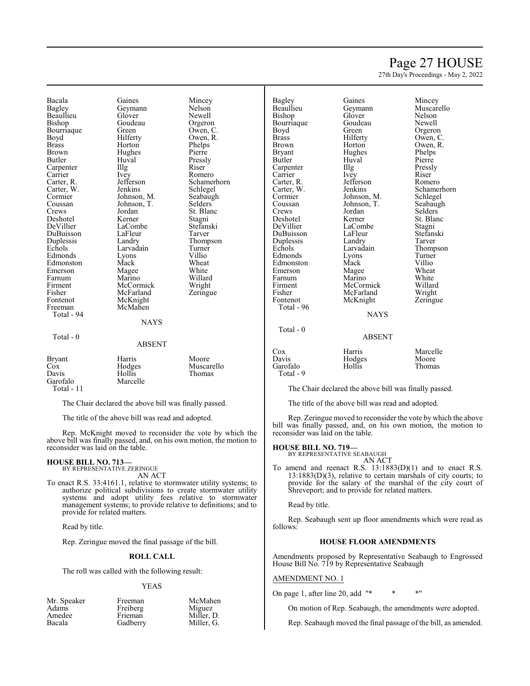# Page 27 HOUSE

27th Day's Proceedings - May 2, 2022

Bacala Gaines Mincey<br>Bagley Geymann Nelson Beaullieu Glover Newell Bourriaque Green<br>Boyd Hilferty Brass Horton Phelps<br>Brown Hughes Pierre Brown Hughes<br>Butler Huval Carpenter Illg<br>Carrier Ivey Carrier Ivey Romero<br>Carter, R. Jefferson Schame Carter, W. Jenkins Schlegel<br>Cormier Johnson, M. Seabaugh Cormier Johnson, M. Seabaughten<br>Coussan Johnson, T. Selders Crews Jordan St. Blanc<br>Deshotel Kerner Stagni Deshotel Kerner Stagni<br>
DeVillier LaCombe Stefanski DuBuisson LaFleur<br>
Duplessis Landry Duplessis Landry Thompson<br>
Echols Larvadain Turner Edmonds Lyons Villio<br>Edmonston Mack Wheat Edmonston Mack Wheat<br>Emerson Magee White Emerson Magee White<br>
Farnum Marino Willard Farnum Marino Willard Firment McCormick Wright<br>
Fisher McFarland Zeringue Fisher McFarland<br>Fontenot McKnight Fontenot McKnight<br>Freeman McMahen Total - 94 Total - 0

Total - 11

Geymann Nelson<br>Glover Newell Goudeau Orgeron<br>Green Owen, C. Huval Pressly<br>Illg Riser Johnson, T.<br>Jordan LaCombe Stefans<br>LaFleur Tarver Larvadain Turner<br>Lyons Villio McMahen **NAYS** ABSENT

Owen, R. Jefferson Schamerhorn<br>Jenkins Schlegel Bagley Gaines Mincey<br>Beaullieu Geymann Muscar Bourriaque Goude<br>Boyd Green Boyd Green Orgeron<br>Brass Hilferty Owen, C Brown Horton Owen, R.<br>Bryant Hughes Phelps Bryant Hughes Phelps<br>Butler Huval Pierre Carpenter IIIg Pressl<br>Carrier Ivey Riser Carrier Ivey Riser Carter, R. Jefferson Romero<br>Carter, W. Jenkins Schame Cormier Johnson, M. Schlegel<br>Coussan Johnson, T. Seabaugh Crews Jordan Selders<br>
Deshotel Kerner St. Blan DeVillier LaCombe Stagni<br>
DuBuisson LaFleur Stefanski DuBuisson LaFleur Stefans<br>Duplessis Landry Tarver Duplessis Landry<br>Echols Larvadain Edmonds Lyons Turner<br>Edmonston Mack Villio Edmonston Mack Villio<br>Emerson Magee Wheat Emerson Magee Wheat<br>
Farnum Marino White Farnum Marino White<br>Firment McCormick Willard Firment McCormick Willard<br>Fisher McFarland Wright Fisher McFarland Wright<br>
Fontenot McKnight Zeringue Total - 96

Total - 0

Glover Nelson<br>Goudeau Newell Johnson, T.<br>Jordan McKnight

Beaullieu Geymann Muscarello Owen, C. Huval Pierre<br>Illg Pressly Carter, W. Jenkins Schamerhorn<br>Cormier Johnson, M. Schlegel Kerner St. Blanc<br>LaCombe Stagni Larvadain Thompson<br>Lyons Turner

#### ABSENT

**NAYS** 

| Cox       | Harris | Marcelle      |
|-----------|--------|---------------|
| Davis     | Hodges | Moore         |
| Garofalo  | Hollis | <b>Thomas</b> |
| Total - 9 |        |               |

The Chair declared the above bill was finally passed.

The title of the above bill was read and adopted.

Rep. Zeringue moved to reconsider the vote by which the above bill was finally passed, and, on his own motion, the motion to reconsider was laid on the table.

#### **HOUSE BILL NO. 719—**

BY REPRESENTATIVE SEABAUGH

AN ACT To amend and reenact R.S. 13:1883(D)(1) and to enact R.S. 13:1883(D)(3), relative to certain marshals of city courts; to provide for the salary of the marshal of the city court of Shreveport; and to provide for related matters.

Read by title.

Rep. Seabaugh sent up floor amendments which were read as follows:

# **HOUSE FLOOR AMENDMENTS**

Amendments proposed by Representative Seabaugh to Engrossed House Bill No. 719 by Representative Seabaugh

### AMENDMENT NO. 1

On page 1, after line 20, add  $"$  \* \* \*"

On motion of Rep. Seabaugh, the amendments were adopted.

Rep. Seabaugh moved the final passage of the bill, as amended.

reconsider was laid on the table.

Bryant Harris Moore<br>
Cox Hodges Musca Cox Hodges Muscarello Davis Hollis Thomas<br>
Garofalo Marcelle Thomas Marcelle

# **HOUSE BILL NO. 713—** BY REPRESENTATIVE ZERINGUE

AN ACT To enact R.S. 33:4161.1, relative to stormwater utility systems; to authorize political subdivisions to create stormwater utility systems and adopt utility fees relative to stormwater management systems; to provide relative to definitions; and to provide for related matters.

The Chair declared the above bill was finally passed. The title of the above bill was read and adopted.

Rep. McKnight moved to reconsider the vote by which the above bill was finally passed, and, on his own motion, the motion to

Read by title.

Rep. Zeringue moved the final passage of the bill.

### **ROLL CALL**

The roll was called with the following result:

#### YEAS

| Mr. Speaker | Freeman  | McMahen    |
|-------------|----------|------------|
| Adams       | Freiberg | Miguez     |
| Amedee      | Frieman  | Miller, D. |
| Bacala      | Gadberry | Miller, G. |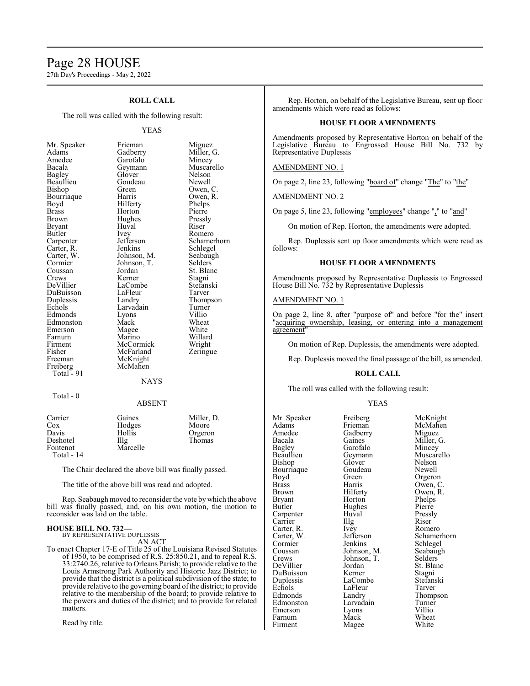# Page 28 HOUSE

27th Day's Proceedings - May 2, 2022

# **ROLL CALL**

The roll was called with the following result:

#### YEAS

| Mr. Speaker             |
|-------------------------|
| Adams                   |
| Amedee                  |
| Bacala                  |
| <b>Bagley</b>           |
| Beaullieu               |
| Bishop                  |
| Bourriaque              |
| Boyd                    |
| <b>Brass</b>            |
| Brown                   |
| Bryant                  |
| Butler                  |
| Carpenter<br>Carter, R. |
|                         |
| Carter, W.              |
| Cormier                 |
| Coussan                 |
| Crews                   |
| DeVillier               |
| DuBuisson               |
| Duplessis               |
| Echols                  |
| Edmonds                 |
| Edmonston               |
| Emerson                 |
| Farnum                  |
| Firment                 |
| Fisher                  |
| Freeman                 |
| Freiberg                |
| Total -<br>91           |

Frieman Miguez<br>Gadberry Miller, Miller, G.<br>Mincey Garofalo<br>Geymann Muscarello<br>Nelson Glover Nelson<br>Goudeau Newell Goudeau<br>Green Green Owen, C.<br>Harris Owen, R. Owen, R.<br>Phelps Hilferty Horton Pierre<br>Hughes Pressly Hughes Pressl<br>Huval Riser Huval Ivey Romero<br>Jefferson Schame Jefferson Schamerhorn<br>Jenkins Schlegel Schlegel<br>Seabaugh Johnson, M. Seabaug<br>Johnson, T. Selders Johnson, T.<br>Jordan St. Blanc<br>Stagni Kerner Stagni<br>LaCombe Stefanski LaCombe<br>LaFleur Tarver LaFleur<br>Landry Thompson<br>Turner Larvadain Turner<br>Lyons Villio Lyons<br>Mack Wheat<br>White Magee<br>Marino Willard<br>Wright McCormick Wright<br>
McFarland Zeringue **McFarland** McKnight McMahen

#### NAYS

Total - 0

#### ABSENT

| Carrier    | Gaines   | Miller, D. |
|------------|----------|------------|
| Cox        | Hodges   | Moore      |
| Davis      | Hollis   | Orgeron    |
| Deshotel   | Illg     | Thomas     |
| Fontenot   | Marcelle |            |
| Total - 14 |          |            |

The Chair declared the above bill was finally passed.

The title of the above bill was read and adopted.

Rep. Seabaugh moved to reconsider the vote bywhich the above bill was finally passed, and, on his own motion, the motion to reconsider was laid on the table.

#### **HOUSE BILL NO. 732—**

BY REPRESENTATIVE DUPLESSIS AN ACT

To enact Chapter 17-E of Title 25 of the Louisiana Revised Statutes of 1950, to be comprised of R.S. 25:850.21, and to repeal R.S. 33:2740.26, relative to Orleans Parish; to provide relative to the Louis Armstrong Park Authority and Historic Jazz District; to provide that the district is a political subdivision of the state; to provide relative to the governing board ofthe district; to provide relative to the membership of the board; to provide relative to the powers and duties of the district; and to provide for related matters.

Read by title.

Rep. Horton, on behalf of the Legislative Bureau, sent up floor amendments which were read as follows:

#### **HOUSE FLOOR AMENDMENTS**

Amendments proposed by Representative Horton on behalf of the Legislative Bureau to Engrossed House Bill No. 732 by Representative Duplessis

### AMENDMENT NO. 1

On page 2, line 23, following "board of" change "The" to "the"

AMENDMENT NO. 2

On page 5, line 23, following "employees" change "," to "and"

On motion of Rep. Horton, the amendments were adopted.

Rep. Duplessis sent up floor amendments which were read as follows:

#### **HOUSE FLOOR AMENDMENTS**

Amendments proposed by Representative Duplessis to Engrossed House Bill No. 732 by Representative Duplessis

### AMENDMENT NO. 1

On page 2, line 8, after "purpose of" and before "for the" insert "acquiring ownership, leasing, or entering into a management agreement"

On motion of Rep. Duplessis, the amendments were adopted.

Rep. Duplessis moved the final passage of the bill, as amended.

#### **ROLL CALL**

The roll was called with the following result:

#### YEAS

Mr. Speaker Freiberg McKnight<br>
Adams Frieman McMahen Adams Frieman McMahen<br>Amedee Gadberry Miguez Amedee Gadberry<br>Bacala Gaines Bacala Gaines Miller, G. Bagley Garofalo<br>Beaullieu Geymann Bishop Glover Nelson<br>Bourriaque Goudeau Newell Bourriaque Goude<br>Boyd Green Boyd Green Orgeron<br>Brass Harris Owen, C Brass Harris Owen, C. Brown Hilferty Owen, R.<br>Bryant Horton Phelps Bryant Horton Phelps<br>Butler Hughes Pierre Carpenter Huval Pressl<br>Carrier Hugh Riser Carrier Illg Riser Carter, R. Ivey Romero<br>Carter, W. Jefferson Schamer Carter, W. Jefferson Schamerhorn<br>Cormier Jenkins Schlegel Cormier Jenkins Schlegel<br>Coussan Johnson, M. Seabaugh Coussan Johnson, M. Seabaugh<br>Crews Johnson, T. Selders Crews Johnson, T.<br>DeVillier Jordan DuBuisson Kerner Stagni<br>Duplessis LaCombe Stefanski Duplessis LaCombe Stefans<br>Echols LaFleur Tarver Echols LaFleur<br>Edmonds Landry Edmonston Larvadain Turner<br>
Emerson Lyons Villio Emerson Lyons Villio

Hughes Pierre<br>Huval Pressly Jordan St. Blanc<br>Kerner Stagni Landry Thompson<br>Larvadain Turner Farnum Mack Wheat<br>
Firment Mage White Firment Magee

Geymann Muscarello<br>Glover Nelson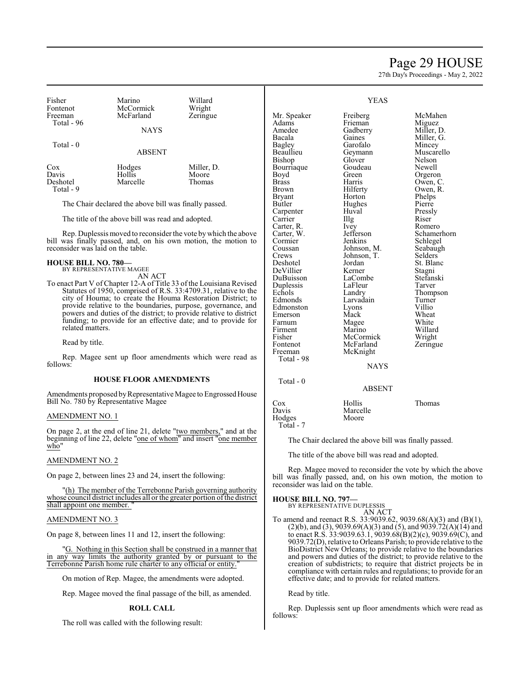# Page 29 HOUSE

27th Day's Proceedings - May 2, 2022

| Fisher<br>Fontenot                                    | Marino<br>McCormick                               | Willard<br>Wright |               | <b>YEAS</b>       |            |
|-------------------------------------------------------|---------------------------------------------------|-------------------|---------------|-------------------|------------|
| Freeman                                               | McFarland                                         | Zeringue          | Mr. Speaker   | Freiberg          | McMahen    |
| Total - 96                                            |                                                   |                   | Adams         | Frieman           | Miguez     |
|                                                       | <b>NAYS</b>                                       |                   | Amedee        | Gadberry          | Miller, D. |
|                                                       |                                                   |                   | Bacala        | Gaines            | Miller, G. |
| Total $-0$                                            |                                                   |                   | Bagley        | Garofalo          | Mincey     |
| <b>ABSENT</b>                                         |                                                   | Beaullieu         | Geymann       | Muscarello        |            |
|                                                       |                                                   |                   | Bishop        | Glover            | Nelson     |
| Cox                                                   | Hodges                                            | Miller, D.        | Bourriaque    | Goudeau           | Newell     |
| Davis                                                 | Hollis                                            | Moore             | Boyd          | Green             | Orgeron    |
| Deshotel                                              | Marcelle                                          | Thomas            | <b>Brass</b>  | Harris            | Owen, C.   |
| Total - 9                                             |                                                   |                   | Brown         | Hilferty          | Owen, R.   |
|                                                       |                                                   |                   | <b>Bryant</b> | Horton            | Phelps     |
| The Chair declared the above bill was finally passed. |                                                   | <b>Butler</b>     | Hughes        | Pierre            |            |
|                                                       |                                                   |                   | Carpenter     | Huval             | Pressly    |
|                                                       | The title of the above bill was read and adopted. |                   | Carrier       | $\prod_{i=1}^{n}$ | Riser      |

Rep. Duplessis moved to reconsider the vote bywhich the above bill was finally passed, and, on his own motion, the motion to reconsider was laid on the table.

#### **HOUSE BILL NO. 780—** BY REPRESENTATIVE MAGEE

AN ACT

To enact Part V of Chapter 12-A of Title 33 of the Louisiana Revised Statutes of 1950, comprised of R.S. 33:4709.31, relative to the city of Houma; to create the Houma Restoration District; to provide relative to the boundaries, purpose, governance, and powers and duties of the district; to provide relative to district funding; to provide for an effective date; and to provide for related matters.

Read by title.

Rep. Magee sent up floor amendments which were read as follows:

#### **HOUSE FLOOR AMENDMENTS**

Amendments proposed by Representative Magee to Engrossed House Bill No. 780 by Representative Magee

#### AMENDMENT NO. 1

On page 2, at the end of line 21, delete "two members," and at the beginning of line 22, delete "one of whom" and insert "one member who"

### AMENDMENT NO. 2

On page 2, between lines 23 and 24, insert the following:

"(h) The member of the Terrebonne Parish governing authority whose council district includes all or the greater portion ofthe district shall appoint one member.

### AMENDMENT NO. 3

On page 8, between lines 11 and 12, insert the following:

"G. Nothing in this Section shall be construed in a manner that in any way limits the authority granted by or pursuant to the Terrebonne Parish home rule charter to any official or entity."

On motion of Rep. Magee, the amendments were adopted.

Rep. Magee moved the final passage of the bill, as amended.

### **ROLL CALL**

The roll was called with the following result:

| Firment    | Marino         | Willard  |
|------------|----------------|----------|
| Fisher     | McCormick      | Wright   |
| Fontenot   | McFarland      | Zeringue |
| Freeman    | McKnight       |          |
| Total - 98 |                |          |
|            | <b>NTA STC</b> |          |

Jordan St. Blanc<br>Kerner Stagni

Larvadain Turne<br>Lyons Villio

Carter, R. Ivey Romero<br>Carter, W. Jefferson Schamer Carter, W. Jefferson Schamerhorn<br>
Cormier Jenkins Schlegel Cormier Jenkins Schlegel<br>Coussan Johnson, M. Seabaugh Coussan Johnson, M. Seabaugh<br>Crews Johnson, T. Selders

DeVillier Kerner Stagni<br>DuBuisson LaCombe Stefanski DuBuisson LaCombe Stefans<br>
Duplessis LaFleur Tarver

Echols Landry Thompson<br>Edmonds Larvadain Turner

Edmonston Lyons Villio<br>Emerson Mack Wheat Emerson Mack Wheat<br>
Farnum Magee White Farnum Magee White<br>
Firment Marino Willard

Crews Johnson, T.<br>Deshotel Jordan

Duplessis LaFleu<br>
Echols Landry

Total - 0

Ho<br>T

# NAYS

#### ABSENT

| Cox       | Hollis   | Thomas |
|-----------|----------|--------|
| Davis     | Marcelle |        |
| Hodges    | Moore    |        |
| Total - 7 |          |        |

The Chair declared the above bill was finally passed.

The title of the above bill was read and adopted.

Rep. Magee moved to reconsider the vote by which the above bill was finally passed, and, on his own motion, the motion to reconsider was laid on the table.

#### **HOUSE BILL NO. 797—**

BY REPRESENTATIVE DUPLESSIS AN ACT

To amend and reenact R.S. 33:9039.62, 9039.68(A)(3) and (B)(1), (2)(b), and (3), 9039.69(A)(3) and (5), and 9039.72(A)(14) and to enact R.S. 33:9039.63.1, 9039.68(B)(2)(c), 9039.69(C), and 9039.72(D), relative to Orleans Parish; to provide relative to the BioDistrict New Orleans; to provide relative to the boundaries and powers and duties of the district; to provide relative to the creation of subdistricts; to require that district projects be in compliance with certain rules and regulations; to provide for an effective date; and to provide for related matters.

Read by title.

Rep. Duplessis sent up floor amendments which were read as follows: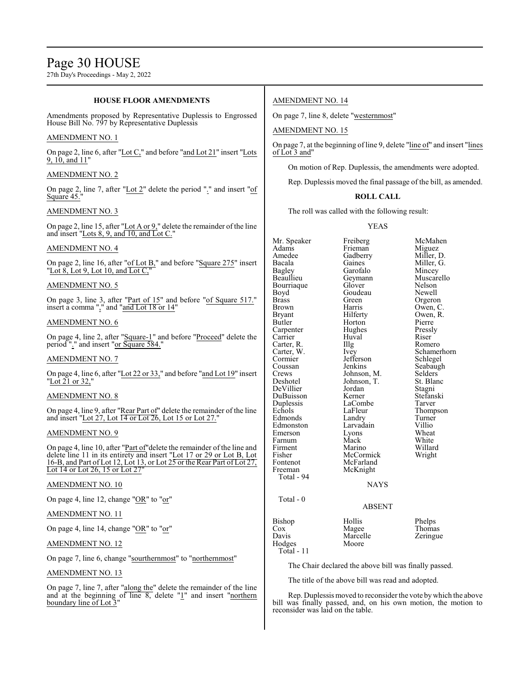27th Day's Proceedings - May 2, 2022

#### **HOUSE FLOOR AMENDMENTS** Amendments proposed by Representative Duplessis to Engrossed House Bill No. 797 by Representative Duplessis AMENDMENT NO. 1 On page 2, line 6, after "Lot C," and before "and Lot 21" insert "Lots 9, 10, and 11" AMENDMENT NO. 2 On page 2, line 7, after "Lot 2" delete the period "." and insert "of Square 45." AMENDMENT NO. 3 On page 2, line 15, after "Lot A or 9," delete the remainder of the line and insert "Lots 8, 9, and 10, and Lot C." AMENDMENT NO. 4 On page 2, line 16, after "of Lot B," and before "Square 275" insert "Lot 8, Lot 9, Lot 10, and Lot  $C$ ," AMENDMENT NO. 5 On page 3, line 3, after "Part of 15" and before "of Square 517." insert a comma "," and "and Lot 18 or 14" AMENDMENT NO. 6 On page 4, line 2, after "Square-1" and before "Proceed" delete the period "." and insert "or Square 584." AMENDMENT NO. 7 On page 4, line 6, after "Lot 22 or 33," and before "and Lot 19" insert "Lot 21 or 32," AMENDMENT NO. 8 On page 4, line 9, after "Rear Part of" delete the remainder of the line and insert "Lot 27, Lot 14 or Lot 26, Lot 15 or Lot 27." AMENDMENT NO. 9 On page 4, line 10, after "Part of"delete the remainder of the line and delete line 11 in its entirety and insert "Lot 17 or 29 or Lot B, Lot 16-B, and Part of Lot 12, Lot 13, or Lot 25 or the Rear Part of Lot 27, Lot 14 or Lot 26, 15 or Lot 27 AMENDMENT NO. 10 On page 4, line 12, change "OR" to "or" AMENDMENT NO. 11 On page 4, line 14, change "OR" to "or" AMENDMENT NO. 12 On page 7, line 6, change "sourthernmost" to "northernmost" AMENDMENT NO. 14 On page 7, line 8, delete "westernmost" AMENDMENT NO. 15 On page 7, at the beginning of line 9, delete "line of" and insert "lines of Lot 3 and" On motion of Rep. Duplessis, the amendments were adopted. Rep. Duplessis moved the final passage of the bill, as amended. **ROLL CALL** The roll was called with the following result: YEAS Mr. Speaker Freiberg McMahen<br>Adams Frieman Miguez Adams Frieman<br>Amedee Gadberry Amedee Gadberry Miller, D.<br>Bacala Gaines Miller, G. Bacala Gaines Miller, G.<br>Bagley Garofalo Mincey Bagley Garofalo<br>Beaullieu Geymann Geymann Muscarello<br>Glover Nelson Bourriaque Glover Nelson<br>Boyd Goudeau Newell Boyd Goudeau<br>Brass Green Brass Green Green Orgeron<br>Brown Harris Owen Brown Harris Owen, C.<br>Bryant Hilferty Owen, R. Bryant Hilferty Owen,<br>Butler Horton Pierre Horton Pierre<br>
Hughes Pressly Carpenter Hughes Pressl<br>Carrier Huval Riser Carrier Huval Riser<br>Carter, R. Illg Romero Carter, R. Illg<br>Carter, W. Ivey Carter, W. Ivey Schamerhorn Cormier Jefferson<br>Coussan Jenkins Seabaugh Crews Johnson, M. Selders<br>Deshotel Johnson, T. St. Blanc Johnson, T. St. Blanch<br>Jordan Stagni DeVillier Jordan Stagni<br>DuBuisson Kerner Stefanski DuBuisson Kerner Stefans<br>Duplessis LaCombe Tarver Duplessis LaCombe<br>Echols LaFleur LaFleur Thompson<br>Landry Turner Edmonds Landry Turner<br>Edmonston Larvadain Villio Larvadain Villio<br>Lyons Wheat Emerson Lyons Wheat<br>
Farnum Mack White Farnum Mack White<br>
Firment Marino Willard Firment Marino Willard<br>Fisher McCormick Wright Fisher McCormick<br>
Fontenot McFarland Fontenot McFarland<br>Freeman McKnight McKnight Total - 94 **NAYS**  Total - 0 ABSENT Bishop Hollis Phelps<br>Cox Magee Thomas Cox Magee Thomas<br>
Davis Marcelle Zeringue Marcelle<br>Moore Hodges Total - 11 The Chair declared the above bill was finally passed.

AMENDMENT NO. 13

On page 7, line 7, after "along the" delete the remainder of the line and at the beginning of line  $8$ , delete " $1$ " and insert "northern boundary line of Lot 3

The title of the above bill was read and adopted.

Rep. Duplessis moved to reconsider the vote bywhich the above bill was finally passed, and, on his own motion, the motion to reconsider was laid on the table.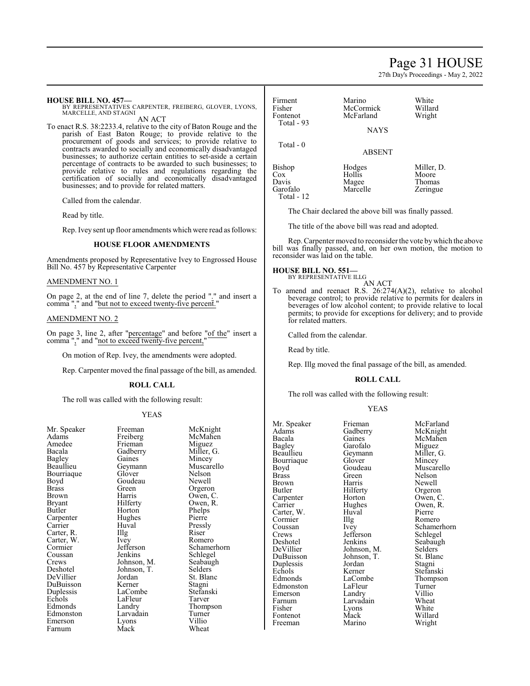# Page 31 HOUSE

27th Day's Proceedings - May 2, 2022

#### **HOUSE BILL NO. 457—**

BY REPRESENTATIVES CARPENTER, FREIBERG, GLOVER, LYONS, MARCELLE, AND STAGNI AN ACT

To enact R.S. 38:2233.4, relative to the city of Baton Rouge and the parish of East Baton Rouge; to provide relative to the procurement of goods and services; to provide relative to contracts awarded to socially and economically disadvantaged businesses; to authorize certain entities to set-aside a certain percentage of contracts to be awarded to such businesses; to provide relative to rules and regulations regarding the certification of socially and economically disadvantaged businesses; and to provide for related matters.

Called from the calendar.

Read by title.

Rep. Ivey sent up floor amendments which were read as follows:

#### **HOUSE FLOOR AMENDMENTS**

Amendments proposed by Representative Ivey to Engrossed House Bill No. 457 by Representative Carpenter

#### AMENDMENT NO. 1

On page 2, at the end of line 7, delete the period "." and insert a comma "," and "but not to exceed twenty-five percent."

# AMENDMENT NO. 2

On page 3, line 2, after "percentage" and before "of the" insert a comma "," and "not to exceed twenty-five percent,"

On motion of Rep. Ivey, the amendments were adopted.

Rep. Carpenter moved the final passage of the bill, as amended.

#### **ROLL CALL**

The roll was called with the following result:

#### YEAS

| Mr. Speaker   | Freeman     | MCKn    |
|---------------|-------------|---------|
| Adams         | Freiberg    | McMa    |
| Amedee        | Frieman     | Migue   |
| Bacala        | Gadberry    | Miller  |
| Bagley        | Gaines      | Mince   |
| Beaullieu     | Geymann     | Musca   |
| Bourriaque    | Glover      | Nelson  |
| Boyd          | Goudeau     | Newel   |
| <b>Brass</b>  | Green       | Orgero  |
| Brown         | Harris      | Owen.   |
| <b>Bryant</b> | Hilferty    | Owen,   |
| Butler        | Horton      | Phelps  |
| Carpenter     | Hughes      | Pierre  |
| Carrier       | Huval       | Pressl  |
| Carter, R.    | Illg        | Riser   |
| Carter, W.    | Ivey        | Romer   |
| Cormier       | Jefferson   | Schan   |
| Coussan       | Jenkins     | Schleg  |
| Crews         | Johnson, M. | Seabat  |
| Deshotel      | Johnson, T. | Selder  |
| DeVillier     | Jordan      | St. Bla |
| DuBuisson     | Kerner      | Stagni  |
| Duplessis     | LaCombe     | Stefan  |
| Echols        | LaFleur     | Tarver  |
| Edmonds       | Landry      | Thom    |
| Edmonston     | Larvadain   | Turne   |
| Emerson       | Lyons       | Villio  |
| Farnum        | Mack        | Wheat   |
|               |             |         |

Mr. Speaker Freeman McKnight<br>Adams Freiberg McMahen McMahen<br>Miguez Frieman Miguez<br>Gadberry Miller, G. Gadberry Miller, Gaines Miller, Communist Castle Muscarello<br>Nelson Glover Nelson<br>Goudeau Newell Green Orgeron<br>Harris Owen, C Harris Owen, C.<br>Hilferty Owen, R. Hilferty Owen, R.<br>Horton Phelps Phelps<br>Pierre Huval Pressly<br>Illg Riser Ivey Romero<br>Jefferson Schamer Jefferson Schamerhorn<br>Jenkins Schlegel Schlegel<br>Seabaugh Johnson, M.<br>Johnson, T.<br>Selders Jordan St. Blanc<br>Kerner Stagni LaCombe Stefanski<br>LaFleur Tarver Thompson<br>Turner Larvadain Turner<br>Lyons Villio Wheat

Firment Marino White<br>
Fisher McCormick Willard Fisher McCormick Willard Total - 93

Total - 0

McFarland

NAYS

#### ABSENT

| <b>Bishop</b> | Hodges   | Miller, D. |
|---------------|----------|------------|
| Cox           | Hollis   | Moore      |
| Davis         | Magee    | Thomas     |
| Garofalo      | Marcelle | Zeringue   |
| Total - $12$  |          |            |

The Chair declared the above bill was finally passed.

The title of the above bill was read and adopted.

Rep. Carpenter moved to reconsider the vote bywhich the above bill was finally passed, and, on her own motion, the motion to reconsider was laid on the table.

# **HOUSE BILL NO. 551—**

BY REPRESENTATIVE ILLG AN ACT

To amend and reenact R.S. 26:274(A)(2), relative to alcohol beverage control; to provide relative to permits for dealers in beverages of low alcohol content; to provide relative to local permits; to provide for exceptions for delivery; and to provide for related matters.

Called from the calendar.

Read by title.

Rep. Illg moved the final passage of the bill, as amended.

#### **ROLL CALL**

The roll was called with the following result:

### YEAS

| Mr. Speaker | Frieman     | McFa              |
|-------------|-------------|-------------------|
| Adams       | Gadberry    | McKr              |
| Bacala      | Gaines      | McMa              |
| Bagley      | Garofalo    | Migue             |
| Beaullieu   | Geymann     | Miller            |
| Bourriaque  | Glover      | Mince             |
| Boyd        | Goudeau     | Musca             |
| Brass       | Green       | Nelso             |
| Brown       | Harris      | Newe <sup>1</sup> |
| Butler      | Hilferty    | Orger             |
| Carpenter   | Horton      | Owen              |
| Carrier     | Hughes      | Owen              |
| Carter, W.  | Huval       | Pierre            |
| Cormier     | Illg        | Rome              |
| Coussan     | Ivey        | Schan             |
| Crews       | Jefferson   | Schleg            |
| Deshotel    | Jenkins     | Seaba             |
| DeVillier   | Johnson, M. | Selder            |
| DuBuisson   | Johnson, T. | St. Bla           |
| Duplessis   | Jordan      | Stagn:            |
| Echols      | Kerner      | Stefar            |
| Edmonds     | LaCombe     | Thom              |
| Edmonston   | LaFleur     | Turne             |
| Emerson     | Landry      | Villio            |
| Farnum      | Larvadain   | Whea              |
| Fisher      | Lyons       | White             |
| Fontenot    | Mack        | Willar            |
| Freeman     | Marino      | Wrigh             |

McFarland McKnight McMahen Miguez Miller, G. Mincey Muscarello Nelson Newell Orgeron Owen, C. Owen, R.<br>Pierre Romero Schamerhorn Schlegel Seabaugh Selders<sup>'</sup> St. Blanc Stagni Stefanski Thompson Turner<br>Villio Wheat White Willard Wright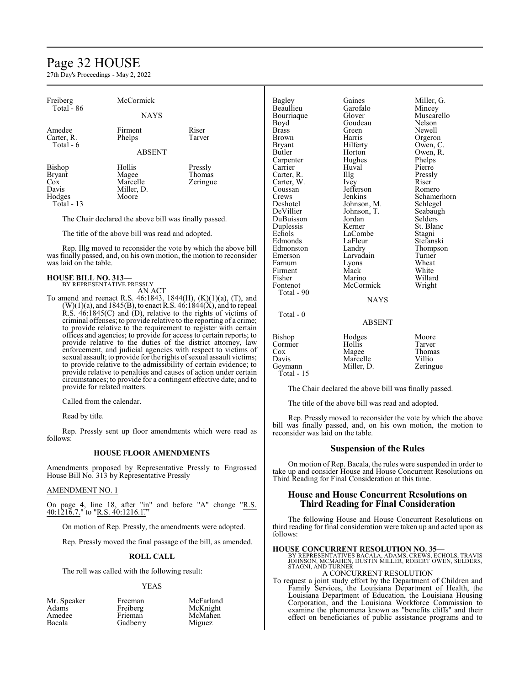# Page 32 HOUSE

27th Day's Proceedings - May 2, 2022

| Freiberg<br>Total - 86                                | <b>McCormick</b> |           |               | Gaines<br>Garofalo | Miller, G.<br>Mincey |
|-------------------------------------------------------|------------------|-----------|---------------|--------------------|----------------------|
|                                                       | <b>NAYS</b>      |           | Bourriague    | Glover             | Muscarello           |
|                                                       |                  |           | Boyd          | Goudeau            | Nelson               |
| Amedee                                                | Firment          | Riser     | <b>Brass</b>  | Green              | <b>Newell</b>        |
| Carter, R.                                            | Phelps           | Tarver    | <b>Brown</b>  | Harris             | Orgeron              |
| Total - 6                                             |                  |           | <b>Bryant</b> | Hilferty           | Owen, C.             |
|                                                       | <b>ABSENT</b>    |           | Butler        | Horton             | Owen, R.             |
|                                                       |                  |           | Carpenter     | Hughes             | Phelps               |
| Bishop                                                | Hollis           | Pressly   | Carrier       | Huval              | Pierre               |
| <b>Bryant</b>                                         | Magee            | Thomas    | Carter, R.    | $\prod_{i=1}^{n}$  | Pressly              |
| Cox                                                   | Marcelle         | Zeringue  | Carter, W.    | Ivey               | Riser                |
| Davis                                                 | Miller, D.       |           | Coussan       | Jefferson          | Romero               |
| Hodges                                                | Moore            |           | Crews         | Jenkins            | Schamerhorn          |
| Total - 13                                            |                  |           | Deshotel      | Johnson, M.        | Schlegel             |
|                                                       |                  |           | DeVillier     | Johnson, T.        | Seabaugh             |
| The Chair declared the above bill was finally passed. |                  | DuBuisson | Jordan        | <b>Selders</b>     |                      |
|                                                       |                  |           | Duplessis     | Kerner             | St. Blanc            |

The title of the above bill was read and adopted.

Rep. Illg moved to reconsider the vote by which the above bill was finally passed, and, on his own motion, the motion to reconsider was laid on the table.

#### **HOUSE BILL NO. 313—** BY REPRESENTATIVE PRESSLY

AN ACT

To amend and reenact R.S. 46:1843, 1844(H), (K)(1)(a), (T), and  $(W)(1)(a)$ , and 1845(B), to enact R.S. 46:1844(X), and to repeal  $R.S. 46:1845(C)$  and  $(D)$ , relative to the rights of victims of criminal offenses; to provide relative to the reporting of a crime; to provide relative to the requirement to register with certain offices and agencies; to provide for access to certain reports; to provide relative to the duties of the district attorney, law enforcement, and judicial agencies with respect to victims of sexual assault; to provide for the rights of sexual assault victims; to provide relative to the admissibility of certain evidence; to provide relative to penalties and causes of action under certain circumstances; to provide for a contingent effective date; and to provide for related matters.

Called from the calendar.

Read by title.

Rep. Pressly sent up floor amendments which were read as follows:

# **HOUSE FLOOR AMENDMENTS**

Amendments proposed by Representative Pressly to Engrossed House Bill No. 313 by Representative Pressly

#### AMENDMENT NO. 1

On page 4, line 18, after " $\text{in}$ " and before "A" change "R.S. 40:1216.7." to "R.S. 40:1216.1."

On motion of Rep. Pressly, the amendments were adopted.

Rep. Pressly moved the final passage of the bill, as amended.

#### **ROLL CALL**

The roll was called with the following result:

#### YEAS

McFarland McKnight McMahen Miguez

| Mr. Speaker | Freeman  |
|-------------|----------|
| Adams       | Freiberg |
| Amedee      | Frieman  |
| Bacala      | Gadberry |

Echols LaCombe Stagni<br>
Edmonds LaFleur Stefan: Edmonston Landry Thomp<br>
Emerson Larvadain Turner Farnum Lyons Wheat<br>Firment Mack White Firment Mack White<br>
Fisher Marino Willard<br>
Willard Fisher Marino Willard<br>Fontenot McCormick Wright McCormick Total - 90

Total - 0

LaFleur Stefanski<br>Landry Thompson Larvadain Turner<br>Lyons Wheat

# **NAYS**

### ABSENT

| Hodges     | Moore    |
|------------|----------|
| Hollis     | Tarver   |
| Magee      | Thomas   |
| Marcelle   | Villio   |
| Miller, D. | Zeringue |
|            |          |
|            |          |

The Chair declared the above bill was finally passed.

The title of the above bill was read and adopted.

Rep. Pressly moved to reconsider the vote by which the above bill was finally passed, and, on his own motion, the motion to reconsider was laid on the table.

#### **Suspension of the Rules**

On motion of Rep. Bacala, the rules were suspended in order to take up and consider House and House Concurrent Resolutions on Third Reading for Final Consideration at this time.

# **House and House Concurrent Resolutions on Third Reading for Final Consideration**

The following House and House Concurrent Resolutions on third reading for final consideration were taken up and acted upon as follows:

### **HOUSE CONCURRENT RESOLUTION NO. 35—**

BY REPRESENTATIVES BACALA, ADAMS, CREWS, ECHOLS, TRAVIS JOHNSON, MCMAHEN, DUSTIN MILLER, ROBERT OWEN, SELDERS, STAGNI, AND TURNER

# A CONCURRENT RESOLUTION

To request a joint study effort by the Department of Children and Family Services, the Louisiana Department of Health, the Louisiana Department of Education, the Louisiana Housing Corporation, and the Louisiana Workforce Commission to examine the phenomena known as "benefits cliffs" and their effect on beneficiaries of public assistance programs and to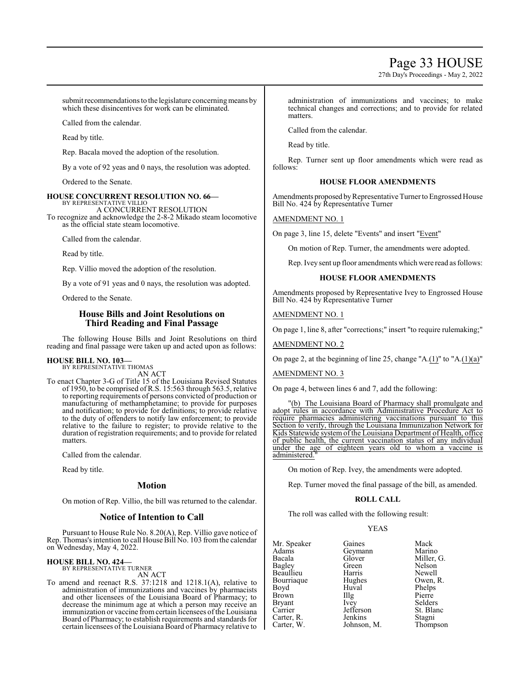# Page 33 HOUSE

27th Day's Proceedings - May 2, 2022

submit recommendations to the legislature concerning means by which these disincentives for work can be eliminated.

Called from the calendar.

Read by title.

Rep. Bacala moved the adoption of the resolution.

By a vote of 92 yeas and 0 nays, the resolution was adopted.

Ordered to the Senate.

#### **HOUSE CONCURRENT RESOLUTION NO. 66—** BY REPRESENTATIVE VILLIO

A CONCURRENT RESOLUTION To recognize and acknowledge the 2-8-2 Mikado steam locomotive as the official state steam locomotive.

Called from the calendar.

Read by title.

Rep. Villio moved the adoption of the resolution.

By a vote of 91 yeas and 0 nays, the resolution was adopted.

Ordered to the Senate.

# **House Bills and Joint Resolutions on Third Reading and Final Passage**

The following House Bills and Joint Resolutions on third reading and final passage were taken up and acted upon as follows:

#### **HOUSE BILL NO. 103—** BY REPRESENTATIVE THOMAS

AN ACT

To enact Chapter 3-G of Title 15 of the Louisiana Revised Statutes of 1950, to be comprised of R.S. 15:563 through 563.5, relative to reporting requirements of persons convicted of production or manufacturing of methamphetamine; to provide for purposes and notification; to provide for definitions; to provide relative to the duty of offenders to notify law enforcement; to provide relative to the failure to register; to provide relative to the duration of registration requirements; and to provide for related matters.

Called from the calendar.

Read by title.

# **Motion**

On motion of Rep. Villio, the bill was returned to the calendar.

# **Notice of Intention to Call**

Pursuant to House Rule No. 8.20(A), Rep. Villio gave notice of Rep. Thomas's intention to call House Bill No. 103 from the calendar on Wednesday, May 4, 2022.

#### **HOUSE BILL NO. 424—** BY REPRESENTATIVE TURNER

AN ACT

To amend and reenact R.S. 37:1218 and 1218.1(A), relative to administration of immunizations and vaccines by pharmacists and other licensees of the Louisiana Board of Pharmacy; to decrease the minimum age at which a person may receive an immunization or vaccine from certain licensees of the Louisiana Board of Pharmacy; to establish requirements and standards for certain licensees of the Louisiana Board of Pharmacy relative to administration of immunizations and vaccines; to make technical changes and corrections; and to provide for related matters.

Called from the calendar.

Read by title.

Rep. Turner sent up floor amendments which were read as follows:

# **HOUSE FLOOR AMENDMENTS**

Amendments proposed by Representative Turner to Engrossed House Bill No. 424 by Representative Turner

# AMENDMENT NO. 1

On page 3, line 15, delete "Events" and insert "Event"

On motion of Rep. Turner, the amendments were adopted.

Rep. Ivey sent up floor amendments which were read as follows:

# **HOUSE FLOOR AMENDMENTS**

Amendments proposed by Representative Ivey to Engrossed House Bill No. 424 by Representative Turner

AMENDMENT NO. 1

On page 1, line 8, after "corrections;" insert "to require rulemaking;"

AMENDMENT NO. 2

On page 2, at the beginning of line 25, change "A. $(1)$ " to "A. $(1)(a)$ "

AMENDMENT NO. 3

On page 4, between lines 6 and 7, add the following:

"(b) The Louisiana Board of Pharmacy shall promulgate and adopt rules in accordance with Administrative Procedure Act to require pharmacies administering vaccinations pursuant to this Section to verify, through the Louisiana Immunization Network for Kids Statewide system of the Louisiana Department of Health, office of public health, the current vaccination status of any individual<br>under the age of eighteen vears old to whom a vaccine is under the age of eighteen years old to administered.

On motion of Rep. Ivey, the amendments were adopted.

Rep. Turner moved the final passage of the bill, as amended.

### **ROLL CALL**

The roll was called with the following result:

# YEAS

| Mr. Speaker   | Gaines      | Mack       |
|---------------|-------------|------------|
| Adams         | Geymann     | Marino     |
| Bacala        | Glover      | Miller, G. |
| Bagley        | Green       | Nelson     |
| Beaullieu     | Harris      | Newell     |
| Bourriaque    | Hughes      | Owen, R.   |
| Boyd          | Huval       | Phelps     |
| Brown         | Illg        | Pierre     |
| <b>Bryant</b> | Ivey        | Selders    |
| Carrier       | Jefferson   | St. Blanc  |
| Carter, R.    | Jenkins     | Stagni     |
| Carter, W.    | Johnson, M. | Thompson   |
|               |             |            |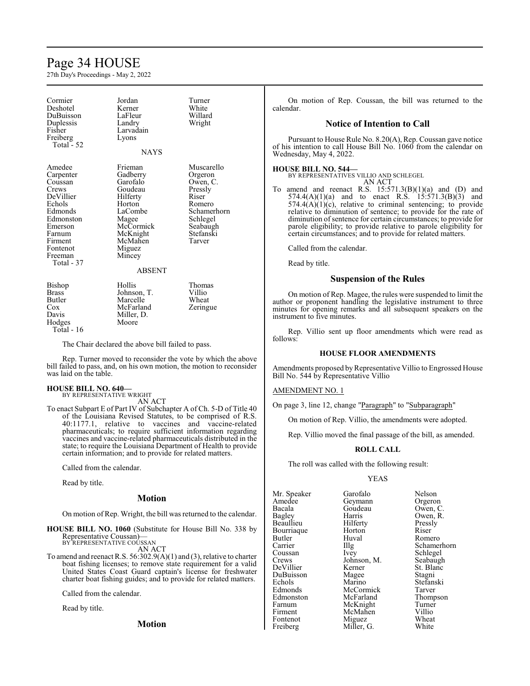# Page 34 HOUSE

27th Day's Proceedings - May 2, 2022

| Cormier<br>Deshotel<br>DuBuisson<br>Duplessis<br>Fisher<br>Freiberg<br>Total - 52                                                                           | Jordan<br>Kerner<br>LaFleur<br>Landry<br>Larvadain<br>Lyons                                                                                            | Turner<br>White<br>Willard<br>Wright                                                                                          |
|-------------------------------------------------------------------------------------------------------------------------------------------------------------|--------------------------------------------------------------------------------------------------------------------------------------------------------|-------------------------------------------------------------------------------------------------------------------------------|
|                                                                                                                                                             | <b>NAYS</b>                                                                                                                                            |                                                                                                                               |
| Amedee<br>Carpenter<br>Coussan<br>Crews<br>DeVillier<br>Echols<br>Edmonds<br>Edmonston<br>Emerson<br>Farnum<br>Firment<br>Fontenot<br>Freeman<br>Total - 37 | Frieman<br>Gadberry<br>Garofalo<br>Goudeau<br>Hilferty<br>Horton<br>LaCombe<br>Magee<br>McCormick<br>McKnight<br>McMahen<br>Miguez<br>Mincey<br>ABSENT | Muscarello<br>Orgeron<br>Owen, C.<br>Pressly<br>Riser<br>Romero<br>Schamerhorn<br>Schlegel<br>Seabaugh<br>Stefanski<br>Tarver |
| Bishop<br><b>Brass</b><br><b>Butler</b><br>$\cos$<br>Davis<br>Hodges<br>Total - 16                                                                          | Hollis<br>Johnson, T.<br>Marcelle<br>McFarland<br>Miller, D.<br>Moore                                                                                  | Thomas<br>Villio<br>Wheat<br>Zeringue                                                                                         |

The Chair declared the above bill failed to pass.

Rep. Turner moved to reconsider the vote by which the above bill failed to pass, and, on his own motion, the motion to reconsider was laid on the table.

#### **HOUSE BILL NO. 640—**

BY REPRESENTATIVE WRIGHT AN ACT

To enact Subpart E of Part IV of Subchapter A of Ch. 5-D of Title 40 of the Louisiana Revised Statutes, to be comprised of R.S. 40:1177.1, relative to vaccines and vaccine-related pharmaceuticals; to require sufficient information regarding vaccines and vaccine-related pharmaceuticals distributed in the state; to require the Louisiana Department of Health to provide certain information; and to provide for related matters.

Called from the calendar.

Read by title.

#### **Motion**

On motion of Rep. Wright, the bill was returned to the calendar.

**HOUSE BILL NO. 1060** (Substitute for House Bill No. 338 by Representative Coussan)— BY REPRESENTATIVE COUSSAN

AN ACT

To amend and reenact R.S. 56:302.9(A)(1) and (3), relative to charter boat fishing licenses; to remove state requirement for a valid United States Coast Guard captain's license for freshwater charter boat fishing guides; and to provide for related matters.

Called from the calendar.

Read by title.

**Motion**

On motion of Rep. Coussan, the bill was returned to the calendar.

### **Notice of Intention to Call**

Pursuant to House Rule No. 8.20(A), Rep. Coussan gave notice of his intention to call House Bill No. 1060 from the calendar on Wednesday, May 4, 2022.

#### **HOUSE BILL NO. 544—**

BY REPRESENTATIVES VILLIO AND SCHLEGEL AN ACT

To amend and reenact R.S.  $15:571.3(B)(1)(a)$  and  $(D)$  and  $574.4(A)(1)(a)$  and to enact R.S.  $15:571.3(B)(3)$  and  $574.4(A)(1)(c)$ , relative to criminal sentencing; to provide relative to diminution of sentence; to provide for the rate of diminution of sentence for certain circumstances; to provide for parole eligibility; to provide relative to parole eligibility for certain circumstances; and to provide for related matters.

Called from the calendar.

Read by title.

## **Suspension of the Rules**

On motion of Rep. Magee, the rules were suspended to limit the author or proponent handling the legislative instrument to three minutes for opening remarks and all subsequent speakers on the instrument to five minutes.

Rep. Villio sent up floor amendments which were read as follows:

#### **HOUSE FLOOR AMENDMENTS**

Amendments proposed by Representative Villio to Engrossed House Bill No. 544 by Representative Villio

### AMENDMENT NO. 1

On page 3, line 12, change "Paragraph" to "Subparagraph"

On motion of Rep. Villio, the amendments were adopted.

Rep. Villio moved the final passage of the bill, as amended.

#### **ROLL CALL**

The roll was called with the following result:

Miller, G.

#### YEAS

Mr. Speaker Garofalo Nelson<br>Amedee Geymann Orgeron Amedee Geymann<br>Bacala Goudeau Bacala Goudeau Owen, C. Beaullieu Hilferty Pressly Bourriaque Horton<br>Butler Huval Butler Huval Romero<br>Carrier Hlg Schamer Carrier Illg Schamerhorn Coussan Ivey Schlegel<br>Crews Johnson, M. Seabaugh Crews Johnson, M.<br>DeVillier Kerner DuBuisson Magee<br>Echols Marino Echols Marino Stefanski<br>Edmonds McCormick Tarver Edmonds McCormick Tarver<br>Edmonston McFarland Thompson Edmonston McFarland Thomp<br>Farnum McKnight Turner Farnum McKnight Turner<br>Firment McMahen Villio

Harris Owen, R.<br>Hilferty Pressly Kerner St. Blanc<br>Magee Stagni McMahen Villio<br>
Miguez Wheat Fontenot Miguez Wheat<br>
Freiberg Miller, G. White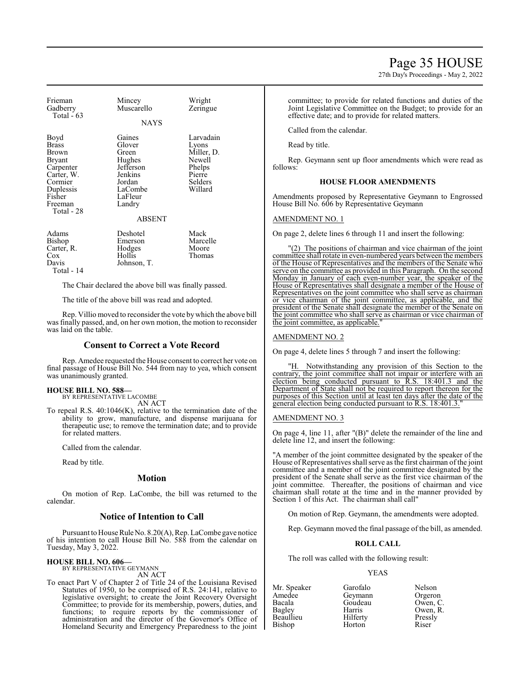27th Day's Proceedings - May 2, 2022

| Frieman<br>Gadberry<br>Total $-63$                                                                                                          | Mincey<br>Muscarello                                                                                  | Wright<br>Zeringue                                                                   |
|---------------------------------------------------------------------------------------------------------------------------------------------|-------------------------------------------------------------------------------------------------------|--------------------------------------------------------------------------------------|
|                                                                                                                                             | <b>NAYS</b>                                                                                           |                                                                                      |
| Boyd<br><b>Brass</b><br><b>Brown</b><br><b>Bryant</b><br>Carpenter<br>Carter, W.<br>Cormier<br>Duplessis<br>Fisher<br>Freeman<br>Total - 28 | Gaines<br>Glover<br>Green<br>Hughes<br>Jefferson<br>Jenkins<br>Jordan<br>LaCombe<br>LaFleur<br>Landry | Larvadain<br>Lyons<br>Miller, D.<br>Newell<br>Phelps<br>Pierre<br>Selders<br>Willard |
|                                                                                                                                             | <b>ABSENT</b>                                                                                         |                                                                                      |
| Adams<br>Bishop<br>Carter, R.<br>Cox<br>Davis<br>Total - 14                                                                                 | Deshotel<br>Emerson<br>Hodges<br>Hollis<br>Johnson, T.                                                | Mack<br>Marcelle<br>Moore<br>Thomas                                                  |

The Chair declared the above bill was finally passed.

The title of the above bill was read and adopted.

Rep. Villio moved to reconsider the vote by which the above bill was finally passed, and, on her own motion, the motion to reconsider was laid on the table.

### **Consent to Correct a Vote Record**

Rep. Amedee requested the House consent to correct her vote on final passage of House Bill No. 544 from nay to yea, which consent was unanimously granted.

#### **HOUSE BILL NO. 588—**

BY REPRESENTATIVE LACOMBE AN ACT

To repeal R.S. 40:1046(K), relative to the termination date of the ability to grow, manufacture, and dispense marijuana for therapeutic use; to remove the termination date; and to provide for related matters.

Called from the calendar.

Read by title.

#### **Motion**

On motion of Rep. LaCombe, the bill was returned to the calendar.

# **Notice of Intention to Call**

Pursuant to House Rule No. 8.20(A), Rep. LaCombe gave notice of his intention to call House Bill No. 588 from the calendar on Tuesday, May 3, 2022.

# **HOUSE BILL NO. 606—** BY REPRESENTATIVE GEYMANN

AN ACT

To enact Part V of Chapter 2 of Title 24 of the Louisiana Revised Statutes of 1950, to be comprised of R.S. 24:141, relative to legislative oversight; to create the Joint Recovery Oversight Committee; to provide for its membership, powers, duties, and functions; to require reports by the commissioner of administration and the director of the Governor's Office of Homeland Security and Emergency Preparedness to the joint committee; to provide for related functions and duties of the Joint Legislative Committee on the Budget; to provide for an effective date; and to provide for related matters.

Called from the calendar.

Read by title.

Rep. Geymann sent up floor amendments which were read as follows:

### **HOUSE FLOOR AMENDMENTS**

Amendments proposed by Representative Geymann to Engrossed House Bill No. 606 by Representative Geymann

### AMENDMENT NO. 1

On page 2, delete lines 6 through 11 and insert the following:

"(2) The positions of chairman and vice chairman of the joint committee shall rotate in even-numbered years between the members of the House of Representatives and the members of the Senate who serve on the committee as provided in this Paragraph. On the second Monday in January of each even-number year, the speaker of the House of Representatives shall designate a member of the House of Representatives on the joint committee who shall serve as chairman or vice chairman of the joint committee, as applicable, and the president of the Senate shall designate the member of the Senate on the joint committee who shall serve as chairman or vice chairman of the joint committee, as applicable."

#### AMENDMENT NO. 2

On page 4, delete lines 5 through 7 and insert the following:

"H. Notwithstanding any provision of this Section to the contrary, the joint committee shall not impair or interfere with an election being conducted pursuant to R.S. 18:401.3 and the Department of State shall not be required to report thereon for the purposes of this Section until at least ten days after the date of the general election being conducted pursuant to R.S. 18:401.3.

#### AMENDMENT NO. 3

On page 4, line 11, after "(B)" delete the remainder of the line and delete line 12, and insert the following:

"A member of the joint committee designated by the speaker of the House of Representatives shall serve as the first chairman of the joint committee and a member of the joint committee designated by the president of the Senate shall serve as the first vice chairman of the joint committee. Thereafter, the positions of chairman and vice chairman shall rotate at the time and in the manner provided by Section 1 of this Act. The chairman shall call"

On motion of Rep. Geymann, the amendments were adopted.

Rep. Geymann moved the final passage of the bill, as amended.

### **ROLL CALL**

The roll was called with the following result:

#### YEAS

Mr. Speaker Garofalo Nelson<br>Amedee Geymann Orgeron Amedee Geymann<br>Bacala Goudeau Bacala Goudeau Owen, C. Beaullieu Hilferty Pressly Bishop

Harris Owen, R.<br>Hilferty Pressly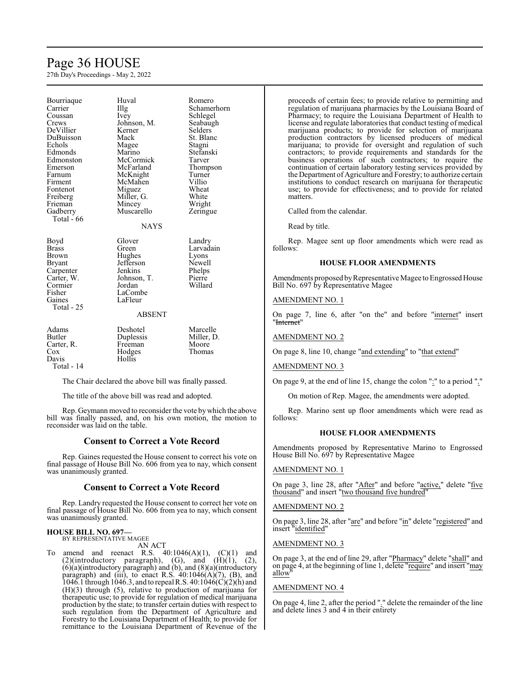# Page 36 HOUSE

27th Day's Proceedings - May 2, 2022

Bourriaque Huval Romero<br>Carrier Illg Schamer Carrier Illg Schamerhorn<br>
Coussan Ivey Schlegel Coussan Ivey Schlegel<br>Crews Johnson, M. Seabaugh DeVillier Kerner Selders<br>DuBuisson Mack St. Blanc DuBuisson Echols Magee Stagni Edmonds Marino Stefanski Edmonston McCormick<br>Emerson McFarland Emerson McFarland Thompson<br>Farnum McKnight Turner Farnum McKnight Turner<br>Firment McMahen Villio Fontenot Miguez Wheat<br>
Freiberg Miller, G. White Freiberg Miller, G.<br>Frieman Mincey Frieman Mincey Wright<br>Gadberry Muscarello Zeringu Total - 66

Johnson, M. Seabaughter Seabaughter Seabaughter Seabaughter Seabaughter Seabaughter Seabaughter Seabaughter Seabaughter Seabaughter Seabaughter Seabaughter Seabaughter Seabaughter Seabaughter Seabaughter Seabaughter Seabau McMahen Villio<br>
Miguez Wheat Muscarello Zeringue

#### **NAYS**

| Boyd<br><b>Brass</b><br><b>Brown</b><br><b>Bryant</b><br>Carpenter<br>Carter, W.<br>Cormier<br>Fisher<br>Gaines<br>Total - 25 | Glover<br>Green<br>Hughes<br>Jefferson<br>Jenkins<br>Johnson, T.<br>Jordan<br>LaCombe<br>LaFleur<br><b>ABSENT</b> | Landry<br>Larvadain<br>Lyons<br>Newell<br>Phelps<br>Pierre<br>Willard |  |
|-------------------------------------------------------------------------------------------------------------------------------|-------------------------------------------------------------------------------------------------------------------|-----------------------------------------------------------------------|--|
| Adams<br><b>Butler</b><br>Carter, R.<br>Cox<br>Davis                                                                          | Deshotel<br>Duplessis<br>Freeman<br>Hodges<br>Hollis                                                              | Marcelle<br>Miller, D.<br>Moore<br>Thomas                             |  |

Total - 14

The Chair declared the above bill was finally passed.

The title of the above bill was read and adopted.

Rep. Geymann moved to reconsider the vote bywhich the above bill was finally passed, and, on his own motion, the motion to reconsider was laid on the table.

# **Consent to Correct a Vote Record**

Rep. Gaines requested the House consent to correct his vote on final passage of House Bill No. 606 from yea to nay, which consent was unanimously granted.

### **Consent to Correct a Vote Record**

Rep. Landry requested the House consent to correct her vote on final passage of House Bill No. 606 from yea to nay, which consent was unanimously granted.

# **HOUSE BILL NO. 697—**

BY REPRESENTATIVE MAGEE

AN ACT To amend and reenact R.S.  $40:1046(A)(1)$ ,  $(C)(1)$  and  $(2)($ introductory paragraph),  $(G)$ , and  $(H)(1)$ ,  $(2)$ , (6)(a)(introductory paragraph) and (b), and (8)(a)(introductory paragraph) and (iii), to enact R.S.  $40:1046(A)(7)$ , (B), and 1046.1 through 1046.3, and to repeal R.S. 40:1046(C)(2)(h) and (H)(3) through (5), relative to production of marijuana for therapeutic use; to provide for regulation of medical marijuana production by the state; to transfer certain duties with respect to such regulation from the Department of Agriculture and Forestry to the Louisiana Department of Health; to provide for remittance to the Louisiana Department of Revenue of the proceeds of certain fees; to provide relative to permitting and regulation of marijuana pharmacies by the Louisiana Board of Pharmacy; to require the Louisiana Department of Health to license and regulate laboratories that conduct testing of medical marijuana products; to provide for selection of marijuana production contractors by licensed producers of medical marijuana; to provide for oversight and regulation of such contractors; to provide requirements and standards for the business operations of such contractors; to require the continuation of certain laboratory testing services provided by the Department of Agriculture and Forestry; to authorize certain institutions to conduct research on marijuana for therapeutic use; to provide for effectiveness; and to provide for related matters.

Called from the calendar.

Read by title.

Rep. Magee sent up floor amendments which were read as follows:

### **HOUSE FLOOR AMENDMENTS**

Amendments proposed by Representative Magee to Engrossed House Bill No. 697 by Representative Magee

# AMENDMENT NO. 1

On page 7, line 6, after "on the" and before "internet" insert "Internet"

### AMENDMENT NO. 2

On page 8, line 10, change "and extending" to "that extend"

### AMENDMENT NO. 3

On page 9, at the end of line 15, change the colon ":" to a period "."

On motion of Rep. Magee, the amendments were adopted.

Rep. Marino sent up floor amendments which were read as follows:

### **HOUSE FLOOR AMENDMENTS**

Amendments proposed by Representative Marino to Engrossed House Bill No. 697 by Representative Magee

# AMENDMENT NO. 1

On page 3, line 28, after "After" and before "active," delete "five thousand" and insert "two thousand five hundred"

#### AMENDMENT NO. 2

On page 3, line 28, after "are" and before "in" delete "registered" and insert "identified"

#### AMENDMENT NO. 3

On page 3, at the end of line 29, after "Pharmacy" delete "shall" and on page 4, at the beginning of line 1, delete "require" and insert "may allow"

#### AMENDMENT NO. 4

On page 4, line 2, after the period "." delete the remainder of the line and delete lines 3 and 4 in their entirety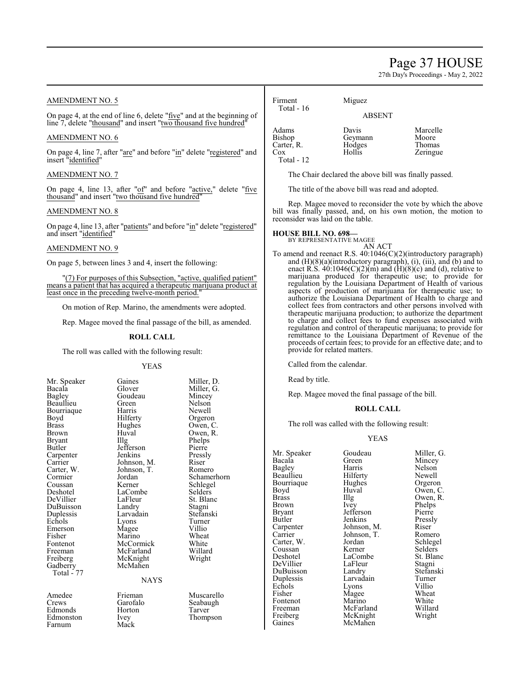# Page 37 HOUSE

27th Day's Proceedings - May 2, 2022

# AMENDMENT NO. 5

On page 4, at the end of line 6, delete "five" and at the beginning of line 7, delete "thousand" and insert "two thousand five hundred"

#### AMENDMENT NO. 6

On page 4, line 7, after "are" and before "in" delete "registered" and insert "identified"

### AMENDMENT NO. 7

On page 4, line 13, after "of" and before "active," delete "five thousand" and insert "two thousand five hundred"

#### AMENDMENT NO. 8

On page 4, line 13, after "patients" and before "in" delete "registered" and insert "identified"

# AMENDMENT NO. 9

On page 5, between lines 3 and 4, insert the following:

(7) For purposes of this Subsection, "active, qualified patient" means a patient that has acquired a therapeutic marijuana product at least once in the preceding twelve-month period."

On motion of Rep. Marino, the amendments were adopted.

Rep. Magee moved the final passage of the bill, as amended.

#### **ROLL CALL**

The roll was called with the following result:

Goudeau<br>Green

Johnson, T.<br>Jordan

LaCombe<br>LaFleur

McKnight McMahen

**NAYS** 

#### YEAS

| Mr. Speaker            |
|------------------------|
| Bacala                 |
| <b>Bagley</b>          |
| Beaullieu              |
| Bourriaque             |
| Boyd                   |
| <b>Brass</b>           |
| Brown                  |
| <b>Bryant</b>          |
| Butler                 |
| Carpenter              |
| Carrier                |
| Carter, W.             |
| Cormier                |
| Coussan                |
| Deshotel               |
| DeVillier              |
| DuBuisson              |
| Duplessis              |
| Echols                 |
|                        |
| Emerson<br>Fisher      |
| Fontenot               |
|                        |
| Freeman                |
| Freiberg               |
| Gadberry<br>Total - 77 |
|                        |
|                        |
| Amedee                 |
|                        |
| Crews<br>Edmonds       |

Edmonston Ivey<br>Farnum Mack

Farnum

Gaines Miller, D.<br>Glover Miller, G. Miller, G.<br>Mincey Green Nelson<br>Harris Newell Harris Newell<br>Hilferty Orgeror Hilferty Orgeron<br>Hughes Owen, C Hughes Owen, C.<br>Huyal Owen, R. Huval Owen, R.<br>Illg Phelps Phelps<br>Pierre Jefferson Pierre<br>
Jenkins Pressly Jenkins Pressl<br>Johnson, M. Riser Johnson, M. Riser<br>Johnson, T. Romero Jordan Schamerhorn<br>Kerner Schlegel Schlegel<br>Selders St. Blanc<br>Stagni Landry Stagni<br>Larvadain Stefanski Larvadain Stefans<br>Lyons Turner Lyons Turner<br>
Magee Villio Magee Villio<br>
Marino Wheat Marino Wheat<br>McCormick White McCormick White<br>
McFarland Willard McFarland Willard<br>
McKnight Wright Frieman Muscarello<br>Garofalo Seabaugh Garofalo Seabaugh<br>Horton Tarver Edmonds Horton Tarver

| Firment<br>Total - $16$                            | Miguez                               |                                         |
|----------------------------------------------------|--------------------------------------|-----------------------------------------|
|                                                    | <b>ABSENT</b>                        |                                         |
| Adams<br>Bishop<br>Carter, R.<br>Cox<br>Total - 12 | Davis<br>Geymann<br>Hodges<br>Hollis | Marcelle<br>Moore<br>Thomas<br>Zeringue |

The Chair declared the above bill was finally passed.

The title of the above bill was read and adopted.

Rep. Magee moved to reconsider the vote by which the above bill was finally passed, and, on his own motion, the motion to reconsider was laid on the table.

# **HOUSE BILL NO. 698—** BY REPRESENTATIVE MAGEE

AN ACT To amend and reenact R.S. 40:1046(C)(2)(introductory paragraph) and  $(H)(8)(a)$ (introductory paragraph), (i), (iii), and (b) and to enact R.S.  $40:1046(C)(2)(m)$  and  $(H)(8)(c)$  and  $(d)$ , relative to marijuana produced for therapeutic use; to provide for regulation by the Louisiana Department of Health of various aspects of production of marijuana for therapeutic use; to authorize the Louisiana Department of Health to charge and collect fees from contractors and other persons involved with therapeutic marijuana production; to authorize the department to charge and collect fees to fund expenses associated with regulation and control of therapeutic marijuana; to provide for remittance to the Louisiana Department of Revenue of the proceeds of certain fees; to provide for an effective date; and to provide for related matters.

Called from the calendar.

Read by title.

Rep. Magee moved the final passage of the bill.

#### **ROLL CALL**

The roll was called with the following result:

#### YEAS

| Mr. Speaker   | Goudeau     | Miller, G. |
|---------------|-------------|------------|
| Bacala        | Green       | Mincey     |
| <b>Bagley</b> | Harris      | Nelson     |
| Beaullieu     | Hilferty    | Newell     |
| Bourriaque    | Hughes      | Orgeron    |
| Boyd          | Huval       | Owen, C.   |
| Brass         | Illg        | Owen, R.   |
| Brown         | Ivey        | Phelps     |
| <b>Bryant</b> | Jefferson   | Pierre     |
| Butler        | Jenkins     | Pressly    |
| Carpenter     | Johnson, M. | Riser      |
| Carrier       | Johnson, T. | Romero     |
| Carter, W.    | Jordan      | Schlegel   |
| Coussan       | Kerner      | Selders    |
| Deshotel      | LaCombe     | St. Blanc  |
| DeVillier     | LaFleur     | Stagni     |
| DuBuisson     | Landry      | Stefanski  |
| Duplessis     | Larvadain   | Turner     |
| Echols        | Lyons       | Villio     |
| Fisher        | Magee       | Wheat      |
| Fontenot      | Marino      | White      |
| Freeman       | McFarland   | Willard    |
| Freiberg      | McKnight    | Wright     |
| Gaines        | McMahen     |            |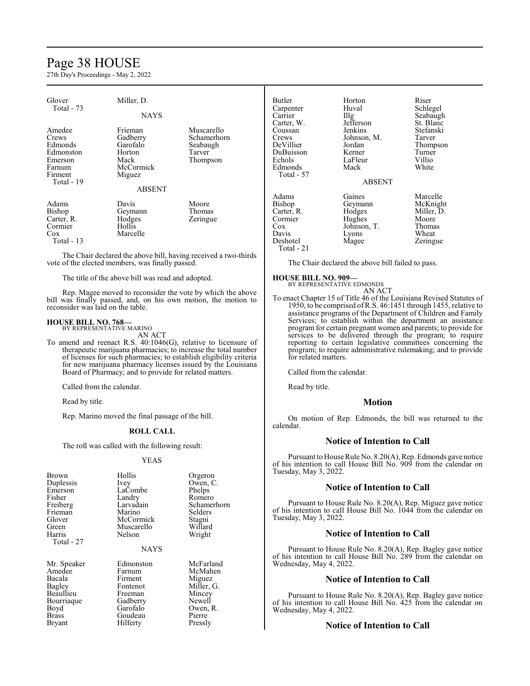# Page 38 HOUSE

27th Day's Proceedings - May 2, 2022

| Glover<br>Total - 73                                                    | Miller, D.<br><b>NAYS</b>                                                |                                                             | Butler<br>Carpenter<br>Carrier<br>Carter, W.                                          | Horton<br>Huval<br>$\prod_{i=1}^{n}$<br>Jefferson                      | Riser<br>Schlegel<br>Seabaugh<br>St. Blanc                                 |
|-------------------------------------------------------------------------|--------------------------------------------------------------------------|-------------------------------------------------------------|---------------------------------------------------------------------------------------|------------------------------------------------------------------------|----------------------------------------------------------------------------|
| Amedee<br>Crews<br>Edmonds<br>Edmonston<br>Emerson<br>Farnum<br>Firment | Frieman<br>Gadberry<br>Garofalo<br>Horton<br>Mack<br>McCormick<br>Miguez | Muscarello<br>Schamerhorn<br>Seabaugh<br>Tarver<br>Thompson | Coussan<br>Crews<br>DeVillier<br>DuBuisson<br>Echols<br><b>Edmonds</b><br>Total - 57  | Jenkins<br>Johnson, M.<br>Jordan<br>Kerner<br>LaFleur<br>Mack          | Stefanski<br>Tarver<br>Thompson<br>Turner<br>Villio<br>White               |
| Total - 19                                                              |                                                                          |                                                             |                                                                                       | <b>ABSENT</b>                                                          |                                                                            |
|                                                                         | <b>ABSENT</b>                                                            |                                                             |                                                                                       |                                                                        |                                                                            |
| Adams<br>Bishop<br>Carter, R.<br>Cormier<br>$\cos$<br>Total - 13        | Davis<br>Geymann<br>Hodges<br>Hollis<br>Marcelle                         | Moore<br>Thomas<br>Zeringue                                 | Adams<br>Bishop<br>Carter, R.<br>Cormier<br>$\cos$<br>Davis<br>Deshotel<br>Total - 21 | Gaines<br>Geymann<br>Hodges<br>Hughes<br>Johnson, T.<br>Lyons<br>Magee | Marcelle<br>McKnight<br>Miller, D.<br>Moore<br>Thomas<br>Wheat<br>Zeringue |

The Chair declared the above bill, having received a two-thirds vote of the elected members, was finally passed.

The title of the above bill was read and adopted.

Rep. Magee moved to reconsider the vote by which the above bill was finally passed, and, on his own motion, the motion to reconsider was laid on the table.

#### **HOUSE BILL NO. 768—** BY REPRESENTATIVE MARINO

AN ACT

To amend and reenact R.S. 40:1046(G), relative to licensure of therapeutic marijuana pharmacies; to increase the total number of licenses for such pharmacies; to establish eligibility criteria for new marijuana pharmacy licenses issued by the Louisiana Board of Pharmacy; and to provide for related matters.

Called from the calendar.

Read by title.

Rep. Marino moved the final passage of the bill.

#### **ROLL CALL**

The roll was called with the following result:

#### YEAS

| Brown       | Hollis      | Orgeron     |
|-------------|-------------|-------------|
| Duplessis   | Ivey        | Owen, C.    |
| Emerson     | LaCombe     | Phelps      |
| Fisher      | Landry      | Romero      |
| Freiberg    | Larvadain   | Schamerhorn |
| Frieman     | Marino      | Selders     |
| Glover      | McCormick   | Stagni      |
| Green       | Muscarello  | Willard     |
| Harris      | Nelson      | Wright      |
| Total - 27  |             |             |
|             | <b>NAYS</b> |             |
| Mr. Speaker | Edmonston   | McFarland   |
| Amedee      | Farnum      | McMahen     |
| Bacala      | Firment     | Miguez      |
| Bagley      | Fontenot    | Miller, G.  |
| Beaullieu   | Freeman     | Mincey      |
| Bourriaque  | Gadberry    | Newell      |
| Boyd        | Garofalo    | Owen, R.    |
| Brass       | Goudeau     | Pierre      |
| Bryant      | Hilferty    | Pressly     |
|             |             |             |

| Orgeron     |
|-------------|
| Owen, C.    |
| Phelps      |
| Romero      |
| Schamerhorn |
| Selders     |
| Stagni      |
| Willard     |
| Wright      |
|             |

| McFarland  |
|------------|
| McMahen    |
| Miguez     |
| Miller, G. |
| Mincey     |
| Newell     |
| Owen, R.   |
| Pierre     |
| Pressly    |

The Chair declared the above bill failed to pass.

#### **HOUSE BILL NO. 909—** BY REPRESENTATIVE EDMONDS

AN ACT

To enact Chapter 15 of Title 46 of the Louisiana Revised Statutes of 1950, to be comprised ofR.S. 46:1451 through 1455, relative to assistance programs of the Department of Children and Family Services; to establish within the department an assistance program for certain pregnant women and parents; to provide for services to be delivered through the program; to require reporting to certain legislative committees concerning the program; to require administrative rulemaking; and to provide for related matters.

Called from the calendar.

Read by title.

# **Motion**

On motion of Rep. Edmonds, the bill was returned to the calendar.

# **Notice of Intention to Call**

Pursuant to House Rule No. 8.20(A), Rep. Edmonds gave notice of his intention to call House Bill No. 909 from the calendar on Tuesday, May 3, 2022.

#### **Notice of Intention to Call**

Pursuant to House Rule No. 8.20(A), Rep. Miguez gave notice of his intention to call House Bill No. 1044 from the calendar on Tuesday, May 3, 2022.

# **Notice of Intention to Call**

Pursuant to House Rule No. 8.20(A), Rep. Bagley gave notice of his intention to call House Bill No. 289 from the calendar on Wednesday, May 4, 2022.

# **Notice of Intention to Call**

Pursuant to House Rule No. 8.20(A), Rep. Bagley gave notice of his intention to call House Bill No. 425 from the calendar on Wednesday, May 4, 2022.

#### **Notice of Intention to Call**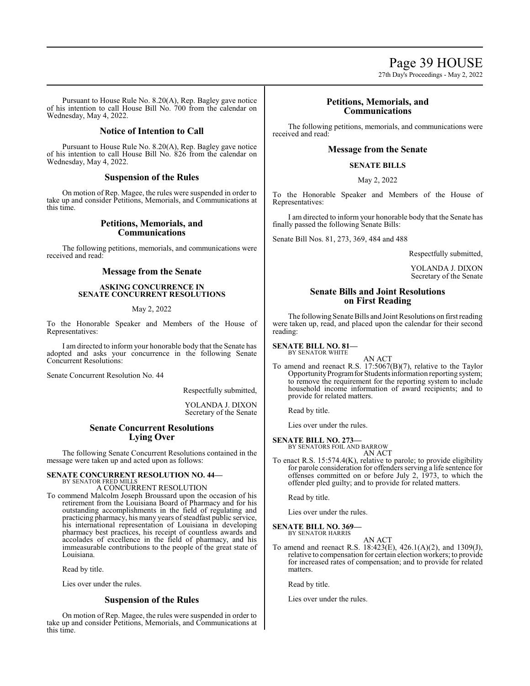27th Day's Proceedings - May 2, 2022

Pursuant to House Rule No. 8.20(A), Rep. Bagley gave notice of his intention to call House Bill No. 700 from the calendar on Wednesday, May 4, 2022.

# **Notice of Intention to Call**

Pursuant to House Rule No. 8.20(A), Rep. Bagley gave notice of his intention to call House Bill No. 826 from the calendar on Wednesday, May 4, 2022.

# **Suspension of the Rules**

On motion of Rep. Magee, the rules were suspended in order to take up and consider Petitions, Memorials, and Communications at this time.

# **Petitions, Memorials, and Communications**

The following petitions, memorials, and communications were received and read:

# **Message from the Senate**

## **ASKING CONCURRENCE IN SENATE CONCURRENT RESOLUTIONS**

# May 2, 2022

To the Honorable Speaker and Members of the House of Representatives:

I am directed to inform your honorable body that the Senate has adopted and asks your concurrence in the following Senate Concurrent Resolutions:

Senate Concurrent Resolution No. 44

Respectfully submitted,

YOLANDA J. DIXON Secretary of the Senate

# **Senate Concurrent Resolutions Lying Over**

The following Senate Concurrent Resolutions contained in the message were taken up and acted upon as follows:

# **SENATE CONCURRENT RESOLUTION NO. 44—**

BY SENATOR FRED MILLS A CONCURRENT RESOLUTION

To commend Malcolm Joseph Broussard upon the occasion of his retirement from the Louisiana Board of Pharmacy and for his outstanding accomplishments in the field of regulating and practicing pharmacy, his many years of steadfast public service, his international representation of Louisiana in developing pharmacy best practices, his receipt of countless awards and accolades of excellence in the field of pharmacy, and his immeasurable contributions to the people of the great state of Louisiana.

Read by title.

Lies over under the rules.

# **Suspension of the Rules**

On motion of Rep. Magee, the rules were suspended in order to take up and consider Petitions, Memorials, and Communications at this time.

# **Petitions, Memorials, and Communications**

The following petitions, memorials, and communications were received and read:

# **Message from the Senate**

# **SENATE BILLS**

# May 2, 2022

To the Honorable Speaker and Members of the House of Representatives:

I am directed to inform your honorable body that the Senate has finally passed the following Senate Bills:

Senate Bill Nos. 81, 273, 369, 484 and 488

Respectfully submitted,

YOLANDA J. DIXON Secretary of the Senate

# **Senate Bills and Joint Resolutions on First Reading**

The following Senate Bills and Joint Resolutions on first reading were taken up, read, and placed upon the calendar for their second reading:

# **SENATE BILL NO. 81—** BY SENATOR WHITE

AN ACT

To amend and reenact R.S. 17:5067(B)(7), relative to the Taylor Opportunity Program for Students information reporting system; to remove the requirement for the reporting system to include household income information of award recipients; and to provide for related matters.

Read by title.

Lies over under the rules.

# **SENATE BILL NO. 273—**

BY SENATORS FOIL AND BARROW AN ACT

To enact R.S. 15:574.4(K), relative to parole; to provide eligibility for parole consideration for offenders serving a life sentence for offenses committed on or before July 2, 1973, to which the offender pled guilty; and to provide for related matters.

Read by title.

Lies over under the rules.

# **SENATE BILL NO. 369—** BY SENATOR HARRIS

AN ACT

To amend and reenact R.S. 18:423(E), 426.1(A)(2), and 1309(J), relative to compensation for certain election workers; to provide for increased rates of compensation; and to provide for related matters.

Read by title.

Lies over under the rules.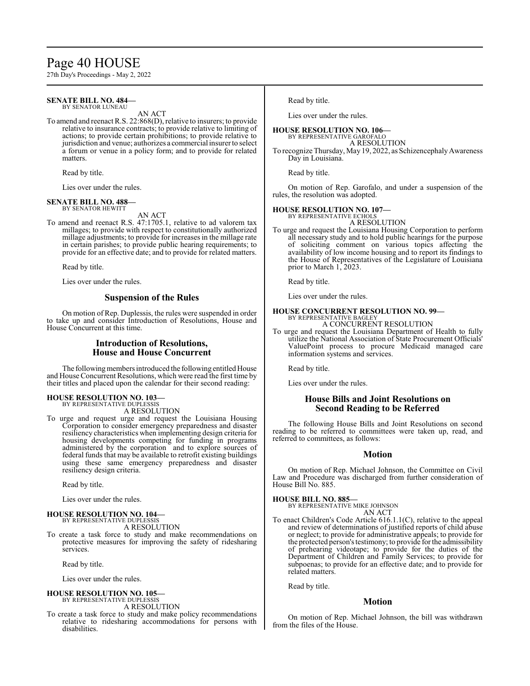# Page 40 HOUSE

27th Day's Proceedings - May 2, 2022

#### **SENATE BILL NO. 484—** BY SENATOR LUNEAU

AN ACT

To amend and reenact R.S. 22:868(D), relative to insurers; to provide relative to insurance contracts; to provide relative to limiting of actions; to provide certain prohibitions; to provide relative to jurisdiction and venue; authorizes a commercial insurer to select a forum or venue in a policy form; and to provide for related matters.

Read by title.

Lies over under the rules.

# **SENATE BILL NO. 488—** BY SENATOR HEWITT

AN ACT

To amend and reenact R.S. 47:1705.1, relative to ad valorem tax millages; to provide with respect to constitutionally authorized millage adjustments; to provide for increases in the millage rate in certain parishes; to provide public hearing requirements; to provide for an effective date; and to provide for related matters.

Read by title.

Lies over under the rules.

# **Suspension of the Rules**

On motion of Rep. Duplessis, the rules were suspended in order to take up and consider Introduction of Resolutions, House and House Concurrent at this time.

# **Introduction of Resolutions, House and House Concurrent**

The following members introduced the following entitled House and House Concurrent Resolutions, which were read the first time by their titles and placed upon the calendar for their second reading:

#### **HOUSE RESOLUTION NO. 103—** BY REPRESENTATIVE DUPLESSIS

A RESOLUTION

To urge and request urge and request the Louisiana Housing Corporation to consider emergency preparedness and disaster resiliency characteristics when implementing design criteria for housing developments competing for funding in programs administered by the corporation and to explore sources of federal funds that may be available to retrofit existing buildings using these same emergency preparedness and disaster resiliency design criteria.

Read by title.

Lies over under the rules.

#### **HOUSE RESOLUTION NO. 104—** BY REPRESENTATIVE DUPLESSIS

A RESOLUTION

To create a task force to study and make recommendations on protective measures for improving the safety of ridesharing services.

Read by title.

Lies over under the rules.

# **HOUSE RESOLUTION NO. 105—**

BY REPRESENTATIVE DUPLESSIS A RESOLUTION

To create a task force to study and make policy recommendations relative to ridesharing accommodations for persons with disabilities.

Read by title.

Lies over under the rules.

#### **HOUSE RESOLUTION NO. 106—** BY REPRESENTATIVE GAROFALO

A RESOLUTION

To recognize Thursday, May 19, 2022, as Schizencephaly Awareness Day in Louisiana.

Read by title.

On motion of Rep. Garofalo, and under a suspension of the rules, the resolution was adopted.

### **HOUSE RESOLUTION NO. 107—**

BY REPRESENTATIVE ECHOLS A RESOLUTION

To urge and request the Louisiana Housing Corporation to perform all necessary study and to hold public hearings for the purpose of soliciting comment on various topics affecting the availability of low income housing and to report its findings to the House of Representatives of the Legislature of Louisiana prior to March 1, 2023.

Read by title.

Lies over under the rules.

#### **HOUSE CONCURRENT RESOLUTION NO. 99—** BY REPRESENTATIVE BAGLEY A CONCURRENT RESOLUTION

To urge and request the Louisiana Department of Health to fully utilize the National Association of State Procurement Officials' ValuePoint process to procure Medicaid managed care information systems and services.

Read by title.

Lies over under the rules.

# **House Bills and Joint Resolutions on Second Reading to be Referred**

The following House Bills and Joint Resolutions on second reading to be referred to committees were taken up, read, and referred to committees, as follows:

# **Motion**

On motion of Rep. Michael Johnson, the Committee on Civil Law and Procedure was discharged from further consideration of House Bill No. 885.

**HOUSE BILL NO. 885—** BY REPRESENTATIVE MIKE JOHNSON AN ACT

To enact Children's Code Article 616.1.1(C), relative to the appeal and review of determinations of justified reports of child abuse or neglect; to provide for administrative appeals; to provide for the protected person's testimony; to provide for the admissibility of prehearing videotape; to provide for the duties of the Department of Children and Family Services; to provide for subpoenas; to provide for an effective date; and to provide for related matters.

Read by title.

### **Motion**

On motion of Rep. Michael Johnson, the bill was withdrawn from the files of the House.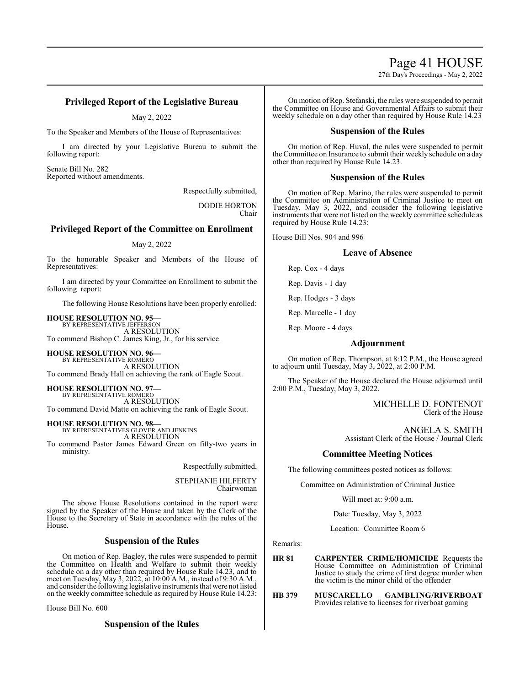27th Day's Proceedings - May 2, 2022

# **Privileged Report of the Legislative Bureau**

May 2, 2022

To the Speaker and Members of the House of Representatives:

I am directed by your Legislative Bureau to submit the following report:

Senate Bill No. 282 Reported without amendments.

Respectfully submitted,

DODIE HORTON Chair

# **Privileged Report of the Committee on Enrollment**

### May 2, 2022

To the honorable Speaker and Members of the House of Representatives:

I am directed by your Committee on Enrollment to submit the following report:

The following House Resolutions have been properly enrolled:

#### **HOUSE RESOLUTION NO. 95—** BY REPRESENTATIVE JEFFERSON

A RESOLUTION To commend Bishop C. James King, Jr., for his service.

**HOUSE RESOLUTION NO. 96—** BY REPRESENTATIVE ROMERO A RESOLUTION To commend Brady Hall on achieving the rank of Eagle Scout.

**HOUSE RESOLUTION NO. 97—** BY REPRESENTATIVE ROMERO

A RESOLUTION To commend David Matte on achieving the rank of Eagle Scout.

**HOUSE RESOLUTION NO. 98—** BY REPRESENTATIVES GLOVER AND JENKINS

A RESOLUTION

To commend Pastor James Edward Green on fifty-two years in ministry.

Respectfully submitted,

STEPHANIE HILFERTY Chairwoman

The above House Resolutions contained in the report were signed by the Speaker of the House and taken by the Clerk of the House to the Secretary of State in accordance with the rules of the House.

# **Suspension of the Rules**

On motion of Rep. Bagley, the rules were suspended to permit the Committee on Health and Welfare to submit their weekly schedule on a day other than required by House Rule 14.23, and to meet on Tuesday, May 3, 2022, at 10:00 A.M., instead of 9:30 A.M., and consider the following legislative instruments that were not listed on the weekly committee schedule as required by House Rule 14.23:

House Bill No. 600

**Suspension of the Rules**

On motion ofRep. Stefanski, the rules were suspended to permit the Committee on House and Governmental Affairs to submit their weekly schedule on a day other than required by House Rule 14.23

# **Suspension of the Rules**

On motion of Rep. Huval, the rules were suspended to permit the Committee on Insurance to submit their weekly schedule on a day other than required by House Rule 14.23.

# **Suspension of the Rules**

On motion of Rep. Marino, the rules were suspended to permit the Committee on Administration of Criminal Justice to meet on Tuesday, May 3, 2022, and consider the following legislative instruments that were not listed on the weekly committee schedule as required by House Rule 14.23:

House Bill Nos. 904 and 996

### **Leave of Absence**

Rep. Cox - 4 days

Rep. Davis - 1 day

Rep. Hodges - 3 days

Rep. Marcelle - 1 day

Rep. Moore - 4 days

## **Adjournment**

On motion of Rep. Thompson, at 8:12 P.M., the House agreed to adjourn until Tuesday, May 3, 2022, at 2:00 P.M.

The Speaker of the House declared the House adjourned until 2:00 P.M., Tuesday, May 3, 2022.

> MICHELLE D. FONTENOT Clerk of the House

ANGELA S. SMITH Assistant Clerk of the House / Journal Clerk

# **Committee Meeting Notices**

The following committees posted notices as follows:

Committee on Administration of Criminal Justice

Will meet at: 9:00 a.m.

Date: Tuesday, May 3, 2022

Location: Committee Room 6

Remarks:

**HR 81 CARPENTER CRIME/HOMICIDE** Requests the House Committee on Administration of Criminal Justice to study the crime of first degree murder when the victim is the minor child of the offender

**HB 379 MUSCARELLO GAMBLING/RIVERBOAT**  Provides relative to licenses for riverboat gaming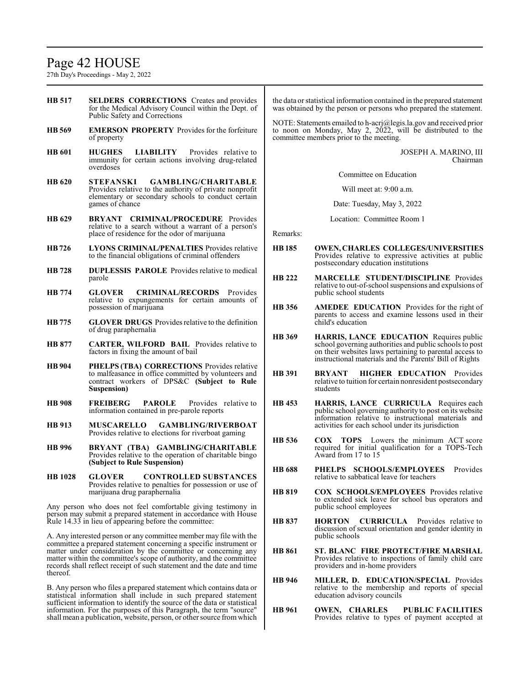# Page 42 HOUSE

27th Day's Proceedings - May 2, 2022

shall mean a publication, website, person, or other source fromwhich

| <b>HB</b> 517                                                                                                                                                                                                                                                                                                                                                         | <b>SELDERS CORRECTIONS</b> Creates and provides<br>for the Medical Advisory Council within the Dept. of<br>Public Safety and Corrections                               |               | the data or statistical information contained in the prepared statement<br>was obtained by the person or persons who prepared the statement.                                                                             |
|-----------------------------------------------------------------------------------------------------------------------------------------------------------------------------------------------------------------------------------------------------------------------------------------------------------------------------------------------------------------------|------------------------------------------------------------------------------------------------------------------------------------------------------------------------|---------------|--------------------------------------------------------------------------------------------------------------------------------------------------------------------------------------------------------------------------|
| <b>HB</b> 569                                                                                                                                                                                                                                                                                                                                                         | <b>EMERSON PROPERTY</b> Provides for the forfeiture<br>of property                                                                                                     |               | NOTE: Statements emailed to h-acrj@legis.la.gov and received prior<br>to noon on Monday, May 2, 2022, will be distributed to the<br>committee members prior to the meeting.                                              |
| <b>HB</b> 601                                                                                                                                                                                                                                                                                                                                                         | <b>LIABILITY</b> Provides relative to<br><b>HUGHES</b><br>immunity for certain actions involving drug-related<br>overdoses                                             |               | JOSEPH A. MARINO, III<br>Chairman                                                                                                                                                                                        |
| <b>HB</b> 620                                                                                                                                                                                                                                                                                                                                                         | <b>GAMBLING/CHARITABLE</b><br><b>STEFANSKI</b>                                                                                                                         |               | Committee on Education                                                                                                                                                                                                   |
|                                                                                                                                                                                                                                                                                                                                                                       | Provides relative to the authority of private nonprofit<br>elementary or secondary schools to conduct certain<br>games of chance                                       |               | Will meet at: 9:00 a.m.                                                                                                                                                                                                  |
|                                                                                                                                                                                                                                                                                                                                                                       |                                                                                                                                                                        |               | Date: Tuesday, May 3, 2022                                                                                                                                                                                               |
| HB 629                                                                                                                                                                                                                                                                                                                                                                | <b>BRYANT CRIMINAL/PROCEDURE</b> Provides<br>relative to a search without a warrant of a person's<br>place of residence for the odor of marijuana                      | Remarks:      | Location: Committee Room 1                                                                                                                                                                                               |
| HB 726                                                                                                                                                                                                                                                                                                                                                                | <b>LYONS CRIMINAL/PENALTIES</b> Provides relative<br>to the financial obligations of criminal offenders                                                                | <b>HB</b> 185 | <b>OWEN, CHARLES COLLEGES/UNIVERSITIES</b><br>Provides relative to expressive activities at public<br>postsecondary education institutions                                                                               |
| <b>HB</b> 728                                                                                                                                                                                                                                                                                                                                                         | <b>DUPLESSIS PAROLE</b> Provides relative to medical<br>parole                                                                                                         | <b>HB</b> 222 | <b>MARCELLE STUDENT/DISCIPLINE Provides</b>                                                                                                                                                                              |
| <b>HB</b> 774                                                                                                                                                                                                                                                                                                                                                         | <b>CRIMINAL/RECORDS</b> Provides<br><b>GLOVER</b><br>relative to expungements for certain amounts of                                                                   |               | relative to out-of-school suspensions and expulsions of<br>public school students                                                                                                                                        |
| <b>HB</b> 775                                                                                                                                                                                                                                                                                                                                                         | possession of marijuana<br><b>GLOVER DRUGS</b> Provides relative to the definition                                                                                     | HB 356        | <b>AMEDEE EDUCATION</b> Provides for the right of<br>parents to access and examine lessons used in their<br>child's education                                                                                            |
|                                                                                                                                                                                                                                                                                                                                                                       | of drug paraphernalia                                                                                                                                                  |               |                                                                                                                                                                                                                          |
| <b>HB 877</b>                                                                                                                                                                                                                                                                                                                                                         | <b>CARTER, WILFORD BAIL</b> Provides relative to<br>factors in fixing the amount of bail                                                                               | HB 369        | HARRIS, LANCE EDUCATION Requires public<br>school governing authorities and public schools to post<br>on their websites laws pertaining to parental access to<br>instructional materials and the Parents' Bill of Rights |
| <b>HB</b> 904                                                                                                                                                                                                                                                                                                                                                         | <b>PHELPS (TBA) CORRECTIONS</b> Provides relative<br>to malfeasance in office committed by volunteers and<br>contract workers of DPS&C (Subject to Rule<br>Suspension) | <b>HB</b> 391 | <b>HIGHER EDUCATION</b> Provides<br><b>BRYANT</b><br>relative to tuition for certain nonresident postsecondary<br>students                                                                                               |
| <b>HB</b> 908                                                                                                                                                                                                                                                                                                                                                         | <b>FREIBERG</b><br><b>PAROLE</b><br>Provides relative to<br>information contained in pre-parole reports                                                                | <b>HB</b> 453 | HARRIS, LANCE CURRICULA Requires each<br>public school governing authority to post on its website                                                                                                                        |
| <b>HB</b> 913                                                                                                                                                                                                                                                                                                                                                         | MUSCARELLO GAMBLING/RIVERBOAT<br>Provides relative to elections for riverboat gaming                                                                                   |               | information relative to instructional materials and<br>activities for each school under its jurisdiction                                                                                                                 |
| <b>HB</b> 996                                                                                                                                                                                                                                                                                                                                                         | BRYANT (TBA) GAMBLING/CHARITABLE<br>Provides relative to the operation of charitable bingo<br>(Subject to Rule Suspension)                                             | HB 536        | <b>COX</b> TOPS Lowers the minimum ACT score<br>required for initial qualification for a TOPS-Tech<br>Award from 17 to 15                                                                                                |
| <b>HB</b> 1028                                                                                                                                                                                                                                                                                                                                                        | <b>CONTROLLED SUBSTANCES</b><br><b>GLOVER</b>                                                                                                                          | <b>HB</b> 688 | PHELPS SCHOOLS/EMPLOYEES Provides<br>relative to sabbatical leave for teachers                                                                                                                                           |
|                                                                                                                                                                                                                                                                                                                                                                       | Provides relative to penalties for possession or use of<br>marijuana drug paraphernalia<br>Any person who does not feel comfortable giving testimony in                | <b>HB 819</b> | <b>COX SCHOOLS/EMPLOYEES</b> Provides relative<br>to extended sick leave for school bus operators and<br>public school employees                                                                                         |
| person may submit a prepared statement in accordance with House<br>Rule 14.33 in lieu of appearing before the committee:                                                                                                                                                                                                                                              |                                                                                                                                                                        | <b>HB 837</b> | <b>HORTON CURRICULA</b> Provides relative to<br>discussion of sexual orientation and gender identity in                                                                                                                  |
| A. Any interested person or any committee member may file with the<br>committee a prepared statement concerning a specific instrument or<br>matter under consideration by the committee or concerning any<br>matter within the committee's scope of authority, and the committee<br>records shall reflect receipt of such statement and the date and time<br>thereof. |                                                                                                                                                                        |               | public schools                                                                                                                                                                                                           |
|                                                                                                                                                                                                                                                                                                                                                                       |                                                                                                                                                                        | <b>HB 861</b> | ST. BLANC FIRE PROTECT/FIRE MARSHAL<br>Provides relative to inspections of family child care<br>providers and in-home providers                                                                                          |
| B. Any person who files a prepared statement which contains data or<br>statistical information shall include in such prepared statement                                                                                                                                                                                                                               |                                                                                                                                                                        | <b>HB</b> 946 | MILLER, D. EDUCATION/SPECIAL Provides<br>relative to the membership and reports of special<br>education advisory councils                                                                                                |
|                                                                                                                                                                                                                                                                                                                                                                       | sufficient information to identify the source of the data or statistical<br>information. For the purposes of this Paragraph, the term "source"                         | <b>HB</b> 961 | OWEN, CHARLES<br><b>PUBLIC FACILITIES</b>                                                                                                                                                                                |

Provides relative to types of payment accepted at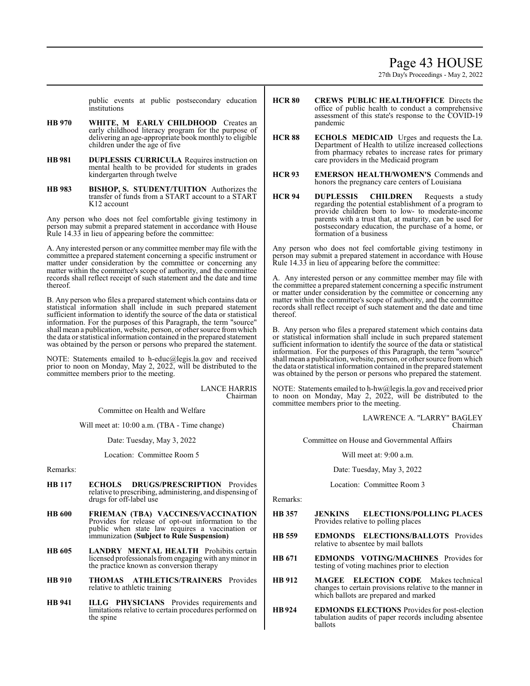# Page 43 HOUSE

27th Day's Proceedings - May 2, 2022

public events at public postsecondary education institutions

- **HB 970 WHITE, M EARLY CHILDHOOD** Creates an early childhood literacy program for the purpose of delivering an age-appropriate book monthly to eligible children under the age of five
- **HB 981 DUPLESSIS CURRICULA** Requires instruction on mental health to be provided for students in grades kindergarten through twelve
- **HB 983 BISHOP, S. STUDENT/TUITION** Authorizes the transfer of funds from a START account to a START K12 account

Any person who does not feel comfortable giving testimony in person may submit a prepared statement in accordance with House Rule 14.33 in lieu of appearing before the committee:

A. Any interested person or any committee member may file with the committee a prepared statement concerning a specific instrument or matter under consideration by the committee or concerning any matter within the committee's scope of authority, and the committee records shall reflect receipt of such statement and the date and time thereof.

B. Any person who files a prepared statement which contains data or statistical information shall include in such prepared statement sufficient information to identify the source of the data or statistical information. For the purposes of this Paragraph, the term "source" shall mean a publication, website, person, or other source fromwhich the data or statistical information contained in the prepared statement was obtained by the person or persons who prepared the statement.

NOTE: Statements emailed to h-educ@legis.la.gov and received prior to noon on Monday, May 2, 2022, will be distributed to the committee members prior to the meeting.

> LANCE HARRIS Chairman

Committee on Health and Welfare

Will meet at: 10:00 a.m. (TBA - Time change)

Date: Tuesday, May 3, 2022

Location: Committee Room 5

Remarks:

- **HB 117 ECHOLS DRUGS/PRESCRIPTION** Provides relative to prescribing, administering, and dispensing of drugs for off-label use
- **HB 600 FRIEMAN (TBA) VACCINES/VACCINATION**  Provides for release of opt-out information to the public when state law requires a vaccination or immunization **(Subject to Rule Suspension)**
- **HB 605 LANDRY MENTAL HEALTH** Prohibits certain licensed professionals fromengaging with anyminor in the practice known as conversion therapy
- **HB 910 THOMAS ATHLETICS/TRAINERS** Provides relative to athletic training
- **HB 941 ILLG PHYSICIANS** Provides requirements and limitations relative to certain procedures performed on the spine
- **HCR 80 CREWS PUBLIC HEALTH/OFFICE** Directs the office of public health to conduct a comprehensive assessment of this state's response to the COVID-19 pandemic
- **HCR 88 ECHOLS MEDICAID** Urges and requests the La. Department of Health to utilize increased collections from pharmacy rebates to increase rates for primary care providers in the Medicaid program
- **HCR 93 EMERSON HEALTH/WOMEN'S** Commends and honors the pregnancy care centers of Louisiana
- **HCR 94 DUPLESSIS CHILDREN** Requests a study regarding the potential establishment of a program to provide children born to low- to moderate-income parents with a trust that, at maturity, can be used for postsecondary education, the purchase of a home, or formation of a business

Any person who does not feel comfortable giving testimony in person may submit a prepared statement in accordance with House Rule 14.33 in lieu of appearing before the committee:

A. Any interested person or any committee member may file with the committee a prepared statement concerning a specific instrument or matter under consideration by the committee or concerning any matter within the committee's scope of authority, and the committee records shall reflect receipt of such statement and the date and time thereof.

B. Any person who files a prepared statement which contains data or statistical information shall include in such prepared statement sufficient information to identify the source of the data or statistical information. For the purposes of this Paragraph, the term "source" shall mean a publication, website, person, or other source fromwhich the data or statistical information contained in the prepared statement was obtained by the person or persons who prepared the statement.

NOTE: Statements emailed to h-hw@legis.la.gov and received prior to noon on Monday, May 2, 2022, will be distributed to the committee members prior to the meeting.

> LAWRENCE A. "LARRY" BAGLEY Chairman

Committee on House and Governmental Affairs

Will meet at: 9:00 a.m.

Date: Tuesday, May 3, 2022

Location: Committee Room 3

Remarks:

- **HB 357 JENKINS ELECTIONS/POLLING PLACES**  Provides relative to polling places
- **HB 559 EDMONDS ELECTIONS/BALLOTS** Provides relative to absentee by mail ballots
- **HB 671 EDMONDS VOTING/MACHINES** Provides for testing of voting machines prior to election
- **HB 912 MAGEE ELECTION CODE** Makes technical changes to certain provisions relative to the manner in which ballots are prepared and marked
- **HB924 EDMONDS ELECTIONS** Provides for post-election tabulation audits of paper records including absentee ballots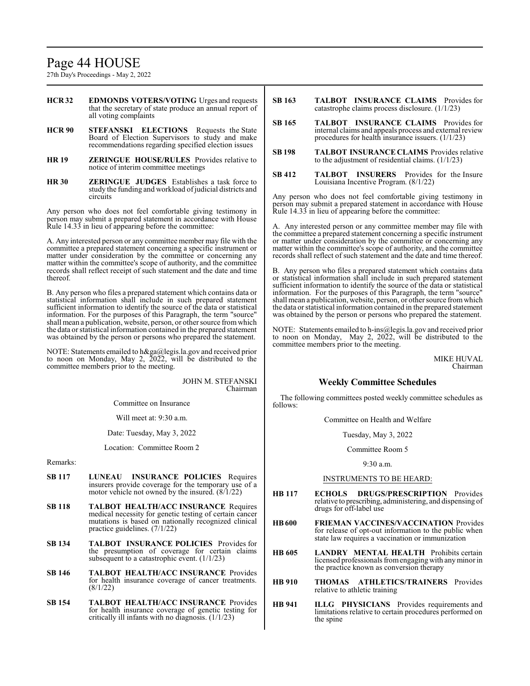# Page 44 HOUSE

27th Day's Proceedings - May 2, 2022

- **HCR 32 EDMONDS VOTERS/VOTING** Urges and requests that the secretary of state produce an annual report of all voting complaints
- **HCR 90 STEFANSKI ELECTIONS** Requests the State Board of Election Supervisors to study and make recommendations regarding specified election issues
- **HR 19 ZERINGUE HOUSE/RULES** Provides relative to notice of interim committee meetings
- **HR 30 ZERINGUE JUDGES** Establishes a task force to study the funding and workload of judicial districts and circuits

Any person who does not feel comfortable giving testimony in person may submit a prepared statement in accordance with House Rule 14.33 in lieu of appearing before the committee:

A. Any interested person or any committee member may file with the committee a prepared statement concerning a specific instrument or matter under consideration by the committee or concerning any matter within the committee's scope of authority, and the committee records shall reflect receipt of such statement and the date and time thereof.

B. Any person who files a prepared statement which contains data or statistical information shall include in such prepared statement sufficient information to identify the source of the data or statistical information. For the purposes of this Paragraph, the term "source" shall mean a publication, website, person, or other source fromwhich the data or statistical information contained in the prepared statement was obtained by the person or persons who prepared the statement.

NOTE: Statements emailed to h&ga@legis.la.gov and received prior to noon on Monday, May 2,  $\tilde{2022}$ , will be distributed to the committee members prior to the meeting.

> JOHN M. STEFANSKI Chairman

Committee on Insurance

Will meet at: 9:30 a.m.

Date: Tuesday, May 3, 2022

Location: Committee Room 2

# Remarks:

- **SB 117 LUNEAU INSURANCE POLICIES** Requires insurers provide coverage for the temporary use of a motor vehicle not owned by the insured. (8/1/22)
- **SB 118 TALBOT HEALTH/ACC INSURANCE** Requires medical necessity for genetic testing of certain cancer mutations is based on nationally recognized clinical practice guidelines. (7/1/22)
- **SB 134 TALBOT INSURANCE POLICIES** Provides for the presumption of coverage for certain claims subsequent to a catastrophic event. (1/1/23)
- **SB 146 TALBOT HEALTH/ACC INSURANCE** Provides for health insurance coverage of cancer treatments. (8/1/22)
- **SB 154 TALBOT HEALTH/ACC INSURANCE** Provides for health insurance coverage of genetic testing for critically ill infants with no diagnosis. (1/1/23)
- **SB 163 TALBOT INSURANCE CLAIMS** Provides for catastrophe claims process disclosure. (1/1/23)
- **SB 165 TALBOT INSURANCE CLAIMS** Provides for internal claims and appeals process and external review procedures for health insurance issuers. (1/1/23)
- **SB 198 TALBOT INSURANCE CLAIMS** Provides relative to the adjustment of residential claims. (1/1/23)
- **SB 412 TALBOT INSURERS** Provides for the Insure Louisiana Incentive Program. (8/1/22)

Any person who does not feel comfortable giving testimony in person may submit a prepared statement in accordance with House Rule 14.33 in lieu of appearing before the committee:

A. Any interested person or any committee member may file with the committee a prepared statement concerning a specific instrument or matter under consideration by the committee or concerning any matter within the committee's scope of authority, and the committee records shall reflect of such statement and the date and time thereof.

B. Any person who files a prepared statement which contains data or statistical information shall include in such prepared statement sufficient information to identify the source of the data or statistical information. For the purposes of this Paragraph, the term "source" shall mean a publication, website, person, or other source fromwhich the data or statistical information contained in the prepared statement was obtained by the person or persons who prepared the statement.

NOTE: Statements emailed to h-ins@legis.la.gov and received prior to noon on Monday, May 2, 2022, will be distributed to the committee members prior to the meeting.

> MIKE HUVAL Chairman

# **Weekly Committee Schedules**

The following committees posted weekly committee schedules as follows:

Committee on Health and Welfare

Tuesday, May 3, 2022

Committee Room 5

9:30 a.m.

- **HB 117 ECHOLS DRUGS/PRESCRIPTION** Provides relative to prescribing, administering, and dispensing of drugs for off-label use
- **HB600 FRIEMAN VACCINES/VACCINATION** Provides for release of opt-out information to the public when state law requires a vaccination or immunization
- **HB 605 LANDRY MENTAL HEALTH** Prohibits certain licensed professionals fromengagingwith anyminor in the practice known as conversion therapy
- **HB 910 THOMAS ATHLETICS/TRAINERS** Provides relative to athletic training
- **HB 941 ILLG PHYSICIANS** Provides requirements and limitations relative to certain procedures performed on the spine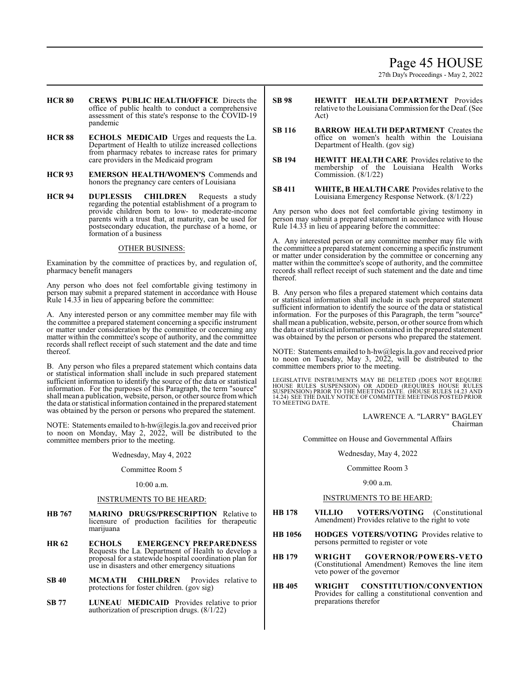# Page 45 HOUSE

27th Day's Proceedings - May 2, 2022

- **HCR 80 CREWS PUBLIC HEALTH/OFFICE** Directs the office of public health to conduct a comprehensive assessment of this state's response to the COVID-19 pandemic
- **HCR 88 ECHOLS MEDICAID** Urges and requests the La. Department of Health to utilize increased collections from pharmacy rebates to increase rates for primary care providers in the Medicaid program
- **HCR 93 EMERSON HEALTH/WOMEN'S** Commends and honors the pregnancy care centers of Louisiana
- **HCR 94 DUPLESSIS CHILDREN** Requests a study regarding the potential establishment of a program to provide children born to low- to moderate-income parents with a trust that, at maturity, can be used for postsecondary education, the purchase of a home, or formation of a business

### OTHER BUSINESS:

Examination by the committee of practices by, and regulation of, pharmacy benefit managers

Any person who does not feel comfortable giving testimony in person may submit a prepared statement in accordance with House Rule 14.33 in lieu of appearing before the committee:

A. Any interested person or any committee member may file with the committee a prepared statement concerning a specific instrument or matter under consideration by the committee or concerning any matter within the committee's scope of authority, and the committee records shall reflect receipt of such statement and the date and time thereof.

B. Any person who files a prepared statement which contains data or statistical information shall include in such prepared statement sufficient information to identify the source of the data or statistical information. For the purposes of this Paragraph, the term "source" shall mean a publication, website, person, or other source fromwhich the data or statistical information contained in the prepared statement was obtained by the person or persons who prepared the statement.

NOTE: Statements emailed to h-hw@legis.la.gov and received prior to noon on Monday, May 2, 2022, will be distributed to the committee members prior to the meeting.

#### Wednesday, May 4, 2022

#### Committee Room 5

# 10:00 a.m.

# INSTRUMENTS TO BE HEARD:

- **HB 767 MARINO DRUGS/PRESCRIPTION** Relative to licensure of production facilities for therapeutic marijuana
- **HR 62 ECHOLS EMERGENCY PREPAREDNESS** Requests the La. Department of Health to develop a proposal for a statewide hospital coordination plan for use in disasters and other emergency situations
- **SB 40 MCMATH CHILDREN** Provides relative to protections for foster children. (gov sig)
- **SB 77 LUNEAU MEDICAID** Provides relative to prior authorization of prescription drugs. (8/1/22)
- **SB 98 HEWITT HEALTH DEPARTMENT** Provides relative to the LouisianaCommission for the Deaf. (See Act)
- **SB 116 BARROW HEALTH DEPARTMENT** Creates the office on women's health within the Louisiana Department of Health. (gov sig)
- **SB 194 HEWITT HEALTH CARE** Provides relative to the membership of the Louisiana Health Works Commission. (8/1/22)
- **SB 411 WHITE, B HEALTH CARE** Provides relative to the Louisiana Emergency Response Network. (8/1/22)

Any person who does not feel comfortable giving testimony in person may submit a prepared statement in accordance with House Rule 14.33 in lieu of appearing before the committee:

A. Any interested person or any committee member may file with the committee a prepared statement concerning a specific instrument or matter under consideration by the committee or concerning any matter within the committee's scope of authority, and the committee records shall reflect receipt of such statement and the date and time thereof.

B. Any person who files a prepared statement which contains data or statistical information shall include in such prepared statement sufficient information to identify the source of the data or statistical information. For the purposes of this Paragraph, the term "source" shall mean a publication, website, person, or other source fromwhich the data or statistical information contained in the prepared statement was obtained by the person or persons who prepared the statement.

NOTE: Statements emailed to h-hw@legis.la.gov and received prior to noon on Tuesday, May 3, 2022, will be distributed to the committee members prior to the meeting.

LEGISLATIVE INSTRUMENTS MAY BE DELETED (DOES NOT REQUIRE<br>HOUSE RULES SUSPENSION) OR ADDED (REQUIRES HOUSE RULES<br>SUSPENSION) PRIOR TO THE MEETING DATE. (HOUSE RULES 14.23 AND<br>14.24) SEE THE DAILY NOTICE OF COMMITTEE MEETING TO MEETING DATE.

> LAWRENCE A. "LARRY" BAGLEY Chairman

Committee on House and Governmental Affairs

#### Wednesday, May 4, 2022

#### Committee Room 3

### 9:00 a.m.

- **HB 178 VILLIO VOTERS/VOTING** (Constitutional Amendment) Provides relative to the right to vote
- **HB 1056 HODGES VOTERS/VOTING** Provides relative to persons permitted to register or vote
- **HB 179 WRIGHT GOVERNOR/POWERS-VETO** (Constitutional Amendment) Removes the line item veto power of the governor
- **HB 405 WRIGHT CONSTITUTION/CONVENTION** Provides for calling a constitutional convention and preparations therefor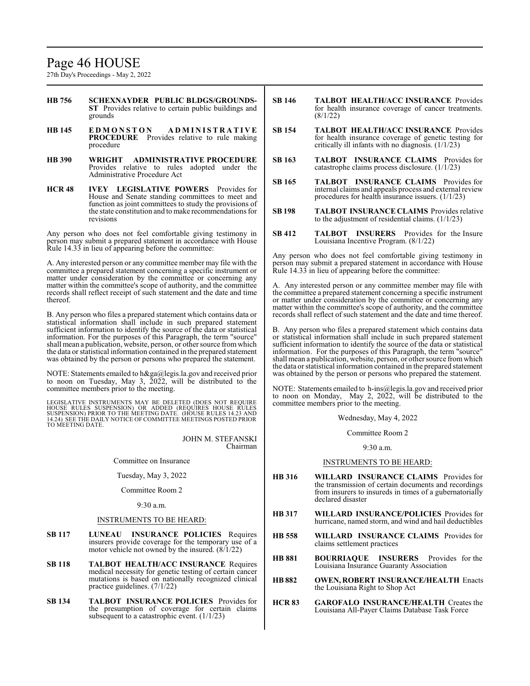# Page 46 HOUSE

27th Day's Proceedings - May 2, 2022

- **HB 756 SCHEXNAYDER PUBLIC BLDGS/GROUNDS-ST** Provides relative to certain public buildings and grounds
- **HB 145 E D M O N S T O N A D M I N I S T R A T I V E PROCEDURE** Provides relative to rule making procedure
- **HB 390 WRIGHT ADMINISTRATIVE PROCEDURE** Provides relative to rules adopted under the Administrative Procedure Act
- **HCR 48 IVEY LEGISLATIVE POWERS** Provides for House and Senate standing committees to meet and function as joint committees to study the provisions of the state constitution and to make recommendations for revisions

Any person who does not feel comfortable giving testimony in person may submit a prepared statement in accordance with House Rule 14.33 in lieu of appearing before the committee:

A. Any interested person or any committee member may file with the committee a prepared statement concerning a specific instrument or matter under consideration by the committee or concerning any matter within the committee's scope of authority, and the committee records shall reflect receipt of such statement and the date and time thereof.

B. Any person who files a prepared statement which contains data or statistical information shall include in such prepared statement sufficient information to identify the source of the data or statistical information. For the purposes of this Paragraph, the term "source" shall mean a publication, website, person, or other source fromwhich the data or statistical information contained in the prepared statement was obtained by the person or persons who prepared the statement.

NOTE: Statements emailed to h&ga@legis.la.gov and received prior to noon on Tuesday, May 3,  $2022$ , will be distributed to the committee members prior to the meeting.

LEGISLATIVE INSTRUMENTS MAY BE DELETED (DOES NOT REQUIRE<br>HOUSE RULES SUSPENSION) OR ADDED (REQUIRES HOUSE RULES<br>SUSPENSION) PRIOR TO THE MEETING DATE. (HOUSE RULES 14.23 AND<br>14.24) SEE THE DAILY NOTICE OF COMMITTEE MEETING TO MEETING DATE.

> JOHN M. STEFANSKI Chairman

Committee on Insurance

Tuesday, May 3, 2022

Committee Room 2

#### 9:30 a.m.

#### INSTRUMENTS TO BE HEARD:

- **SB 117 LUNEAU INSURANCE POLICIES** Requires insurers provide coverage for the temporary use of a motor vehicle not owned by the insured. (8/1/22)
- **SB 118 TALBOT HEALTH/ACC INSURANCE** Requires medical necessity for genetic testing of certain cancer mutations is based on nationally recognized clinical practice guidelines. (7/1/22)
- **SB 134 TALBOT INSURANCE POLICIES** Provides for the presumption of coverage for certain claims subsequent to a catastrophic event.  $(1/1/23)$
- **SB 146 TALBOT HEALTH/ACC INSURANCE** Provides for health insurance coverage of cancer treatments. (8/1/22)
- **SB 154 TALBOT HEALTH/ACC INSURANCE** Provides for health insurance coverage of genetic testing for critically ill infants with no diagnosis. (1/1/23)
- **SB 163 TALBOT INSURANCE CLAIMS** Provides for catastrophe claims process disclosure. (1/1/23)
- **SB 165 TALBOT INSURANCE CLAIMS** Provides for internal claims and appeals process and external review procedures for health insurance issuers. (1/1/23)
- **SB 198 TALBOT INSURANCE CLAIMS** Provides relative to the adjustment of residential claims. (1/1/23)
- **SB 412 TALBOT INSURERS** Provides for the Insure Louisiana Incentive Program. (8/1/22)

Any person who does not feel comfortable giving testimony in person may submit a prepared statement in accordance with House Rule 14.33 in lieu of appearing before the committee:

A. Any interested person or any committee member may file with the committee a prepared statement concerning a specific instrument or matter under consideration by the committee or concerning any matter within the committee's scope of authority, and the committee records shall reflect of such statement and the date and time thereof.

B. Any person who files a prepared statement which contains data or statistical information shall include in such prepared statement sufficient information to identify the source of the data or statistical information. For the purposes of this Paragraph, the term "source" shall mean a publication, website, person, or other source fromwhich the data or statistical information contained in the prepared statement was obtained by the person or persons who prepared the statement.

NOTE: Statements emailed to h-ins@legis.la.gov and received prior to noon on Monday, May 2, 2022, will be distributed to the committee members prior to the meeting.

Wednesday, May 4, 2022

Committee Room 2

9:30 a.m.

- **HB 316 WILLARD INSURANCE CLAIMS** Provides for the transmission of certain documents and recordings from insurers to insureds in times of a gubernatorially declared disaster
- **HB 317 WILLARD INSURANCE/POLICIES** Provides for hurricane, named storm, and wind and hail deductibles
- **HB 558 WILLARD INSURANCE CLAIMS** Provides for claims settlement practices
- **HB 881 BOURRIAQUE INSURERS** Provides for the Louisiana Insurance Guaranty Association
- **HB 882 OWEN, ROBERT INSURANCE/HEALTH** Enacts the Louisiana Right to Shop Act
- **HCR 83 GAROFALO INSURANCE/HEALTH** Creates the Louisiana All-Payer Claims Database Task Force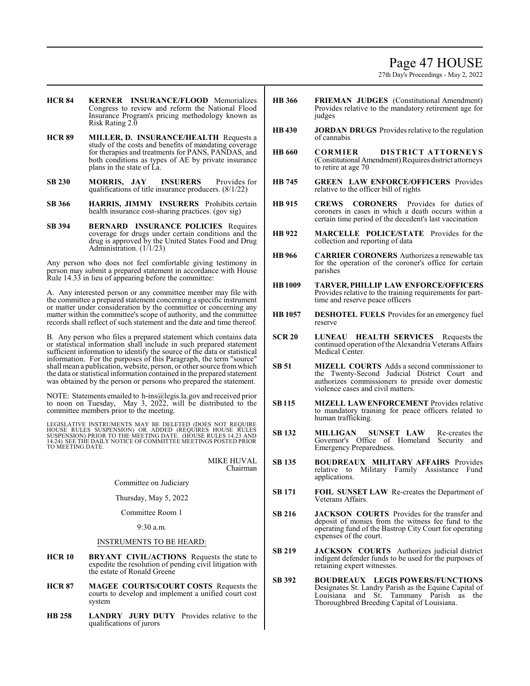# Page 47 HOUSE

27th Day's Proceedings - May 2, 2022

- **HCR 84 KERNER INSURANCE/FLOOD** Memorializes Congress to review and reform the National Flood Insurance Program's pricing methodology known as Risk Rating 2.0
- **HCR 89 MILLER, D. INSURANCE/HEALTH** Requests a study of the costs and benefits of mandating coverage for therapies and treatments for PANS, PANDAS, and both conditions as types of AE by private insurance plans in the state of La.
- **SB 230 MORRIS, JAY INSURERS** Provides for qualifications of title insurance producers. (8/1/22)
- **SB 366 HARRIS, JIMMY INSURERS** Prohibits certain health insurance cost-sharing practices. (gov sig)
- **SB 394 BERNARD INSURANCE POLICIES** Requires coverage for drugs under certain conditions and the drug is approved by the United States Food and Drug Administration. (1/1/23)

Any person who does not feel comfortable giving testimony in person may submit a prepared statement in accordance with House Rule 14.33 in lieu of appearing before the committee:

A. Any interested person or any committee member may file with the committee a prepared statement concerning a specific instrument or matter under consideration by the committee or concerning any matter within the committee's scope of authority, and the committee records shall reflect of such statement and the date and time thereof.

B. Any person who files a prepared statement which contains data or statistical information shall include in such prepared statement sufficient information to identify the source of the data or statistical information. For the purposes of this Paragraph, the term "source" shall mean a publication, website, person, or other source fromwhich the data or statistical information contained in the prepared statement was obtained by the person or persons who prepared the statement.

NOTE: Statements emailed to h-ins@legis.la.gov and received prior to noon on Tuesday, May 3,  $2022$ , will be distributed to the committee members prior to the meeting.

LEGISLATIVE INSTRUMENTS MAY BE DELETED (DOES NOT REQUIRE<br>HOUSE RULES SUSPENSION) OR ADDED (REQUIRES HOUSE RULES<br>SUSPENSION) PRIOR TO THE MEETING DATE. (HOUSE RULES 14.23 AND<br>14.24) SEE THE DAILY NOTICE OF COMMITTEE MEETING

MIKE HUVAL Chairman

Committee on Judiciary

Thursday, May 5, 2022

Committee Room 1

9:30 a.m.

- **HCR 10 BRYANT CIVIL/ACTIONS** Requests the state to expedite the resolution of pending civil litigation with the estate of Ronald Greene
- **HCR 87 MAGEE COURTS/COURT COSTS** Requests the courts to develop and implement a unified court cost system
- **HB 258 LANDRY JURY DUTY** Provides relative to the qualifications of jurors
- **HB 366 FRIEMAN JUDGES** (Constitutional Amendment) Provides relative to the mandatory retirement age for judges
- **HB 430 JORDAN DRUGS** Provides relative to the regulation of cannabis
- **HB 660 CORMIER DISTRICT ATTORNEYS** (ConstitutionalAmendment) Requires district attorneys to retire at age 70
- **HB 745 GREEN LAW ENFORCE/OFFICERS** Provides relative to the officer bill of rights
- **HB 915 CREWS CORONERS** Provides for duties of coroners in cases in which a death occurs within a certain time period of the decedent's last vaccination
- **HB 922 MARCELLE POLICE/STATE** Provides for the collection and reporting of data
- **HB 966 CARRIER CORONERS** Authorizes a renewable tax for the operation of the coroner's office for certain parishes
- **HB1009 TARVER, PHILLIP LAW ENFORCE/OFFICERS** Provides relative to the training requirements for parttime and reserve peace officers
- **HB 1057 DESHOTEL FUELS** Provides for an emergency fuel reserve
- **SCR 20 LUNEAU HEALTH SERVICES** Requests the continued operation of the Alexandria Veterans Affairs Medical Center.
- **SB 51 MIZELL COURTS** Adds a second commissioner to the Twenty-Second Judicial District Court and authorizes commissioners to preside over domestic violence cases and civil matters.
- **SB115 MIZELL LAWENFORCEMENT** Provides relative to mandatory training for peace officers related to human trafficking.
- **SB 132 MILLIGAN SUNSET LAW** Re-creates the Governor's Office of Homeland Security and Emergency Preparedness.
- **SB 135 BOUDREAUX MILITARY AFFAIRS** Provides relative to Military Family Assistance Fund applications.
- **SB 171 FOIL SUNSET LAW** Re-creates the Department of Veterans Affairs.
- **SB 216 JACKSON COURTS** Provides for the transfer and deposit of monies from the witness fee fund to the operating fund of the Bastrop City Court for operating expenses of the court.
- **SB 219 JACKSON COURTS** Authorizes judicial district indigent defender funds to be used for the purposes of retaining expert witnesses.
- **SB 392 BOUDREAUX LEGIS POWERS/FUNCTIONS** Designates St. Landry Parish as the Equine Capital of Louisiana and St. Tammany Parish as the Thoroughbred Breeding Capital of Louisiana.